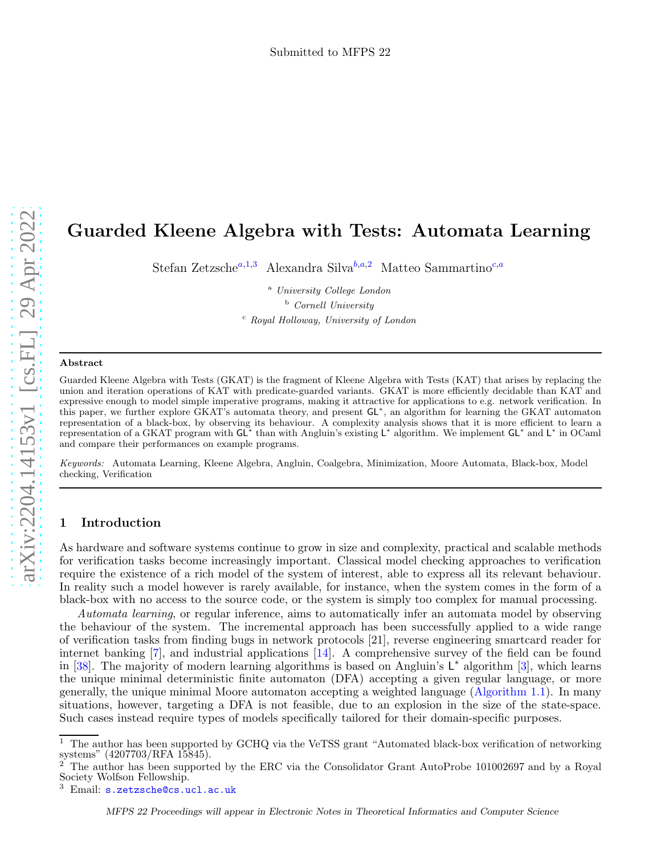# <span id="page-0-1"></span>Guarded Kleene Algebra with Tests: Automata Learning

Stef[a](#page-0-0)n Zetzsche<sup>a,[1](#page-1-0),[3](#page-1-0)</sup> Alexandra Silva<sup>[b](#page-0-1),a,[2](#page-1-0)</sup> Matteo Sammartino<sup>[c](#page-0-2),a</sup>

<span id="page-0-0"></span><sup>a</sup> University College London <sup>b</sup> Cornell University <sup>c</sup> Royal Holloway, University of London

#### <span id="page-0-2"></span>Abstract

Guarded Kleene Algebra with Tests (GKAT) is the fragment of Kleene Algebra with Tests (KAT) that arises by replacing the union and iteration operations of KAT with predicate-guarded variants. GKAT is more efficiently decidable than KAT and expressive enough to model simple imperative programs, making it attractive for applications to e.g. network verification. In this paper, we further explore GKAT's automata theory, and present GL<sup>\*</sup>, an algorithm for learning the GKAT automaton representation of a black-box, by observing its behaviour. A complexity analysis shows that it is more efficient to learn a<br>representation of a GKAT program with GL\* than with Angluin's existing L\* algorithm. We implement and compare their performances on example programs.

Keywords: Automata Learning, Kleene Algebra, Angluin, Coalgebra, Minimization, Moore Automata, Black-box, Model checking, Verification

# 1 Introduction

As hardware and software systems continue to grow in size and complexity, practical and scalable methods for verification tasks become increasingly important. Classical model checking approaches to verification require the existence of a rich model of the system of interest, able to express all its relevant behaviour. In reality such a model however is rarely available, for instance, when the system comes in the form of a black-box with no access to the source code, or the system is simply too complex for manual processing.

Automata learning, or regular inference, aims to automatically infer an automata model by observing the behaviour of the system. The incremental approach has been successfully applied to a wide range of verification tasks from finding bugs in network protocols [21], reverse engineering smartcard reader for internet banking [ [7\]](#page-15-0), and industrial applications [\[14\]](#page-15-1). A comprehensive survey of the field can be found in [\[38\]](#page-16-0). The majority of modern learning algorithms is based on Angluin's  $L^*$  algorithm [[3\]](#page-15-2), which learns the unique minimal deterministic finite automaton (DFA) accepting a given regular language, or more generally, the unique minimal Moore automaton accepting a weighted language [\(Algorithm 1.1\)](#page-1-1). In many situations, however, targeting a DFA is not feasible, due to an explosion in the size of the state-space. Such cases instead require types of models specifically tailored for their domain-specific purposes.

<sup>&</sup>lt;sup>1</sup> The author has been supported by GCHQ via the VeTSS grant "Automated black-box verification of networking systems"  $(4207703/RFA 15845)$ .

 $\frac{2}{3}$  The author has been supported by the ERC via the Consolidator Grant AutoProbe 101002697 and by a Royal Society Wolfson Fellowship.

 $3$  Email:  $s$ .zetzsche@cs.ucl.ac.uk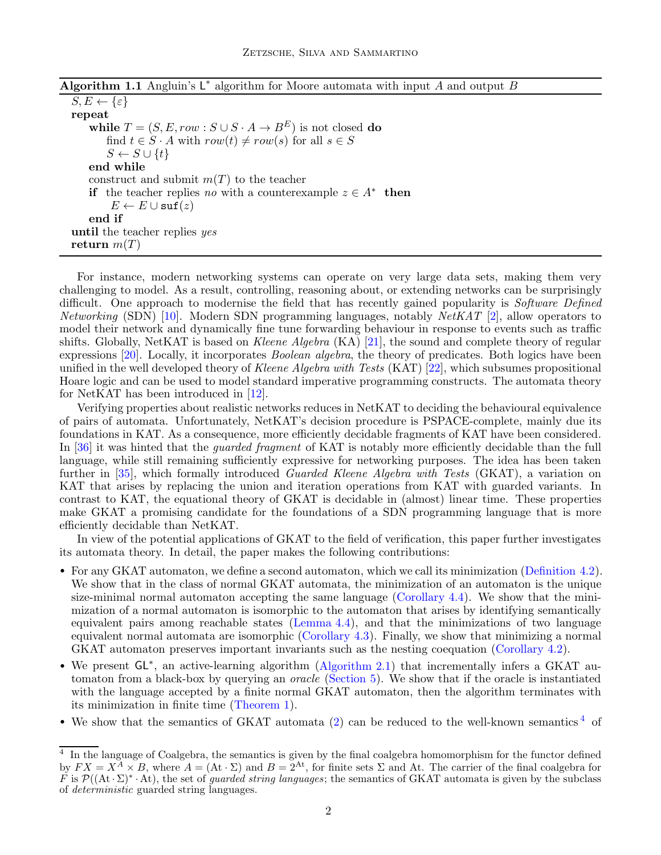<span id="page-1-1"></span>

|  | <b>Algorithm 1.1</b> Angluin's $L^*$ algorithm for Moore automata with input A and output B |  |  |  |  |  |
|--|---------------------------------------------------------------------------------------------|--|--|--|--|--|
|  |                                                                                             |  |  |  |  |  |
|  |                                                                                             |  |  |  |  |  |
|  |                                                                                             |  |  |  |  |  |

 $S, E \leftarrow {\varepsilon}$ repeat while  $T = (S, E, row : S \cup S \cdot A \rightarrow B^E)$  is not closed do find  $t \in S \cdot A$  with  $row(t) \neq row(s)$  for all  $s \in S$  $S \leftarrow S \cup \{t\}$ end while construct and submit  $m(T)$  to the teacher if the teacher replies no with a counterexample  $z \in A^*$  then  $E \leftarrow E \cup \texttt{suffix}(\textit{z})$ end if until the teacher replies yes return  $m(T)$ 

For instance, modern networking systems can operate on very large data sets, making them very challenging to model. As a result, controlling, reasoning about, or extending networks can be surprisingly difficult. One approach to modernise the field that has recently gained popularity is Software Defined *Networking* (SDN) [\[10\]](#page-15-3). Modern SDN programming languages, notably  $NetKAT$  [\[2\]](#page-15-4), allow operators to model their network and dynamically fine tune forwarding behaviour in response to events such as traffic shifts. Globally, NetKAT is based on Kleene Algebra  $(KA)$  [\[21\]](#page-15-5), the sound and complete theory of regular expressions [\[20\]](#page-15-6). Locally, it incorporates *Boolean algebra*, the theory of predicates. Both logics have been unified in the well developed theory of Kleene Algebra with Tests (KAT) [\[22\]](#page-15-7), which subsumes propositional Hoare logic and can be used to model standard imperative programming constructs. The automata theory for NetKAT has been introduced in [\[12\]](#page-15-8).

Verifying properties about realistic networks reduces in NetKAT to deciding the behavioural equivalence of pairs of automata. Unfortunately, NetKAT's decision procedure is PSPACE-complete, mainly due its foundations in KAT. As a consequence, more efficiently decidable fragments of KAT have been considered. In [\[36\]](#page-16-1) it was hinted that the *quarded fragment* of KAT is notably more efficiently decidable than the full language, while still remaining sufficiently expressive for networking purposes. The idea has been taken further in [\[35\]](#page-16-2), which formally introduced *Guarded Kleene Algebra with Tests* (GKAT), a variation on KAT that arises by replacing the union and iteration operations from KAT with guarded variants. In contrast to KAT, the equational theory of GKAT is decidable in (almost) linear time. These properties make GKAT a promising candidate for the foundations of a SDN programming language that is more efficiently decidable than NetKAT.

In view of the potential applications of GKAT to the field of verification, this paper further investigates its automata theory. In detail, the paper makes the following contributions:

- For any GKAT automaton, we define a second automaton, which we call its minimization [\(Definition 4.2\)](#page-8-0). We show that in the class of normal GKAT automata, the minimization of an automaton is the unique size-minimal normal automaton accepting the same language [\(Corollary 4.4\)](#page-10-0). We show that the minimization of a normal automaton is isomorphic to the automaton that arises by identifying semantically equivalent pairs among reachable states [\(Lemma 4.4\)](#page-9-0), and that the minimizations of two language equivalent normal automata are isomorphic [\(Corollary 4.3\)](#page-9-1). Finally, we show that minimizing a normal GKAT automaton preserves important invariants such as the nesting coequation [\(Corollary 4.2\)](#page-9-2).
- We present GL<sup>\*</sup>, an active-learning algorithm [\(Algorithm 2.1\)](#page-3-0) that incrementally infers a GKAT automaton from a black-box by querying an *oracle* [\(Section 5\)](#page-10-1). We show that if the oracle is instantiated with the language accepted by a finite normal GKAT automaton, then the algorithm terminates with its minimization in finite time [\(Theorem 1\)](#page-11-0).
- <span id="page-1-0"></span>• We show that the semantics of GKAT automata [\(2\)](#page-6-0) can be reduced to the well-known semantics  $4\sigma$  $4\sigma$

<span id="page-1-2"></span><sup>&</sup>lt;sup>4</sup> In the language of Coalgebra, the semantics is given by the final coalgebra homomorphism for the functor defined by  $FX = X^A \times B$ , where  $A = (At \cdot \Sigma)$  and  $B = 2^{At}$ , for finite sets  $\Sigma$  and At. The carrier of the final coalgebra for F is  $\mathcal{P}((\mathrm{At} \cdot \Sigma)^* \cdot \mathrm{At})$ , the set of *guarded string languages*; the semantics of GKAT automata is given by the subclass of deterministic guarded string languages.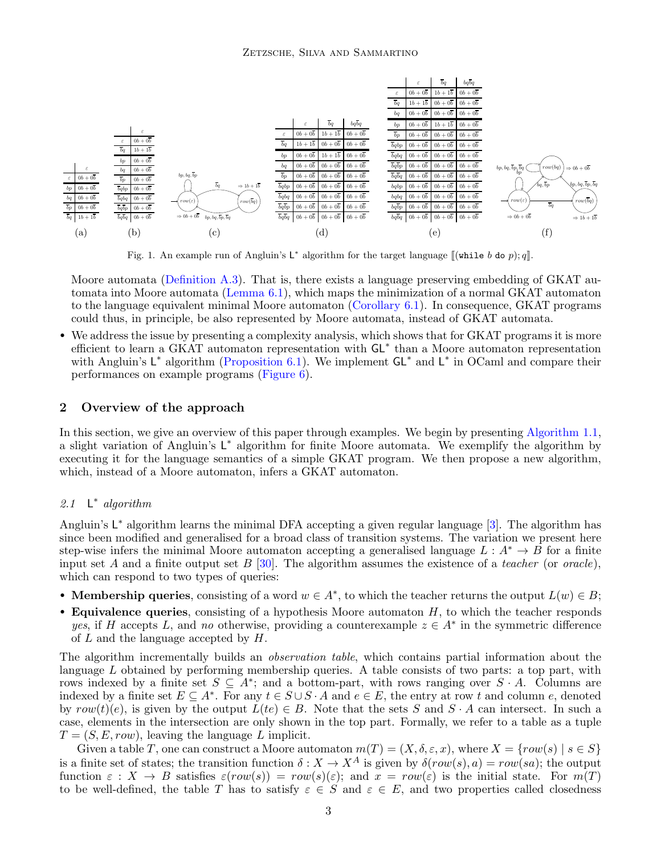<span id="page-2-0"></span>

Fig. 1. An example run of Angluin's  $L^*$  algorithm for the target language  $\llbracket (\text{while } b \text{ do } p); q \rrbracket$ .

Moore automata [\(Definition A.3\)](#page-16-3). That is, there exists a language preserving embedding of GKAT automata into Moore automata [\(Lemma 6.1\)](#page-12-0), which maps the minimization of a normal GKAT automaton to the language equivalent minimal Moore automaton [\(Corollary 6.1\)](#page-12-1). In consequence, GKAT programs could thus, in principle, be also represented by Moore automata, instead of GKAT automata.

• We address the issue by presenting a complexity analysis, which shows that for GKAT programs it is more efficient to learn a GKAT automaton representation with GL<sup>\*</sup> than a Moore automaton representation with Angluin's  $\mathsf{L}^*$  algorithm [\(Proposition 6.1\)](#page-12-2). We implement  $\mathsf{GL}^*$  and  $\mathsf{L}^*$  in OCaml and compare their performances on example programs [\(Figure 6\)](#page-13-0).

#### 2 Overview of the approach

In this section, we give an overview of this paper through examples. We begin by presenting [Algorithm 1.1,](#page-1-1) a slight variation of Angluin's L<sup>\*</sup> algorithm for finite Moore automata. We exemplify the algorithm by executing it for the language semantics of a simple GKAT program. We then propose a new algorithm, which, instead of a Moore automaton, infers a GKAT automaton.

#### $2.1$ ∗ algorithm

Angluin's L<sup>\*</sup> algorithm learns the minimal DFA accepting a given regular language [\[3\]](#page-15-2). The algorithm has since been modified and generalised for a broad class of transition systems. The variation we present here step-wise infers the minimal Moore automaton accepting a generalised language  $L : A^* \to B$  for a finite input set A and a finite output set B [\[30\]](#page-16-4). The algorithm assumes the existence of a teacher (or oracle), which can respond to two types of queries:

- Membership queries, consisting of a word  $w \in A^*$ , to which the teacher returns the output  $L(w) \in B$ ;
- Equivalence queries, consisting of a hypothesis Moore automaton  $H$ , to which the teacher responds yes, if H accepts L, and no otherwise, providing a counterexample  $z \in A^*$  in the symmetric difference of  $L$  and the language accepted by  $H$ .

The algorithm incrementally builds an *observation table*, which contains partial information about the language  $L$  obtained by performing membership queries. A table consists of two parts: a top part, with rows indexed by a finite set  $S \subseteq A^*$ ; and a bottom-part, with rows ranging over  $S \cdot A$ . Columns are indexed by a finite set  $E \subseteq A^*$ . For any  $t \in S \cup S \cdot A$  and  $e \in E$ , the entry at row t and column e, denoted by  $row(t)(e)$ , is given by the output  $L(te) \in B$ . Note that the sets S and  $S \cdot A$  can intersect. In such a case, elements in the intersection are only shown in the top part. Formally, we refer to a table as a tuple  $T = (S, E, row)$ , leaving the language L implicit.

Given a table T, one can construct a Moore automaton  $m(T) = (X, \delta, \varepsilon, x)$ , where  $X = \{row(s) | s \in S\}$ is a finite set of states; the transition function  $\delta: X \to X^A$  is given by  $\delta(row(s), a) = row(sa)$ ; the output function  $\varepsilon : X \to B$  satisfies  $\varepsilon(row(s)) = row(s)(\varepsilon)$ ; and  $x = row(\varepsilon)$  is the initial state. For  $m(T)$ to be well-defined, the table T has to satisfy  $\varepsilon \in S$  and  $\varepsilon \in E$ , and two properties called closedness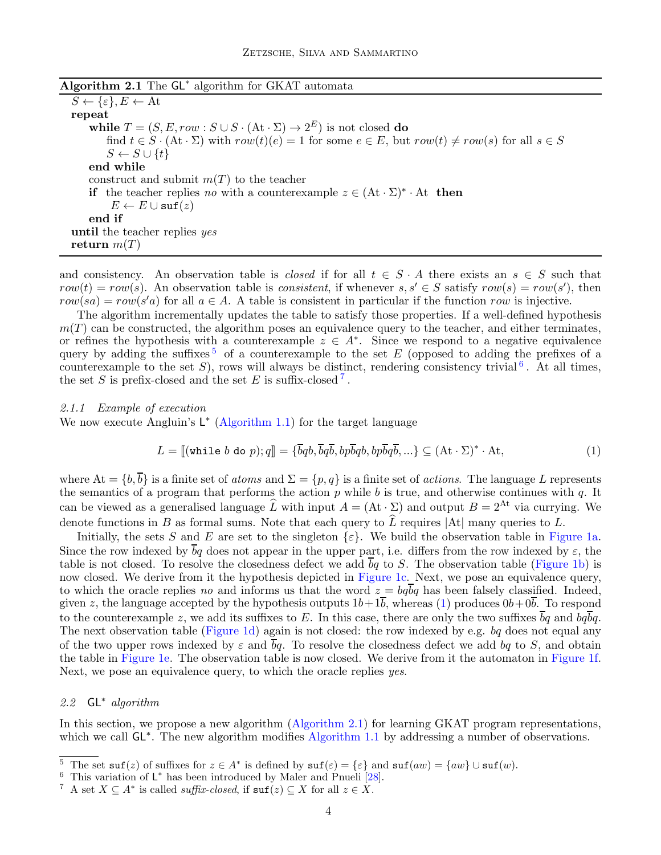<span id="page-3-0"></span>

| Algorithm 2.1 The $GL^*$ algorithm for GKAT automata |  |
|------------------------------------------------------|--|
|------------------------------------------------------|--|

 $S \leftarrow {\varepsilon}, E \leftarrow \text{At}$ repeat while  $T = (S, E, row : S \cup S \cdot (\mathrm{At} \cdot \Sigma) \rightarrow 2^E)$  is not closed do find  $t \in S \cdot (\mathrm{At} \cdot \Sigma)$  with  $row(t)(e) = 1$  for some  $e \in E$ , but  $row(t) \neq row(s)$  for all  $s \in S$  $S \leftarrow S \cup \{t\}$ end while construct and submit  $m(T)$  to the teacher if the teacher replies no with a counterexample  $z \in (At \cdot \Sigma)^* \cdot At$  then  $E \leftarrow E \cup \text{suf}(z)$ end if until the teacher replies yes return  $m(T)$ 

and consistency. An observation table is *closed* if for all  $t \in S \cdot A$  there exists an  $s \in S$  such that  $row(t) = row(s)$ . An observation table is *consistent*, if whenever  $s, s' \in S$  satisfy  $row(s) = row(s')$ , then  $row(sa) = row(s'a)$  for all  $a \in A$ . A table is consistent in particular if the function row is injective.

The algorithm incrementally updates the table to satisfy those properties. If a well-defined hypothesis  $m(T)$  can be constructed, the algorithm poses an equivalence query to the teacher, and either terminates, or refines the hypothesis with a counterexample  $z \in A^*$ . Since we respond to a negative equivalence query by adding the suffixes  $5$  of a counterexample to the set E (opposed to adding the prefixes of a counterexample to the set S), rows will always be distinct, rendering consistency trivial<sup>[6](#page-3-2)</sup>. At all times, the set S is prefix-closed and the set E is suffix-closed<sup>[7](#page-3-3)</sup>.

#### 2.1.1 Example of execution

We now execute Angluin's  $L^*$  [\(Algorithm 1.1\)](#page-1-1) for the target language

<span id="page-3-4"></span>
$$
L = [[\text{while } b \text{ do } p); q]] = {\overline{b}q b, \overline{b}q \overline{b}, bp \overline{b}q b, bp \overline{b}q \overline{b}, \dots} \subseteq (\text{At } \cdot \Sigma)^* \cdot \text{At},
$$
\n(1)

where  $At = \{b, \overline{b}\}\$ is a finite set of *atoms* and  $\Sigma = \{p, q\}$  is a finite set of *actions*. The language L represents the semantics of a program that performs the action  $p$  while  $b$  is true, and otherwise continues with  $q$ . It can be viewed as a generalised language  $\widehat{L}$  with input  $A = (At \cdot \Sigma)$  and output  $B = 2^{At}$  via currying. We denote functions in B as formal sums. Note that each query to  $\hat{L}$  requires |At| many queries to L.

Initially, the sets S and E are set to the singleton  $\{\varepsilon\}$ . We build the observation table in [Figure 1a.](#page-2-0) Since the row indexed by  $\overline{b}q$  does not appear in the upper part, i.e. differs from the row indexed by  $\varepsilon$ , the table is not closed. To resolve the closedness defect we add  $\overline{b}q$  to S. The observation table [\(Figure 1b\)](#page-2-0) is now closed. We derive from it the hypothesis depicted in [Figure 1c.](#page-2-0) Next, we pose an equivalence query, to which the oracle replies no and informs us that the word  $z = bq bq$  has been falsely classified. Indeed, given z, the language accepted by the hypothesis outputs  $1b+1b$ , whereas [\(1\)](#page-3-4) produces  $0b+0b$ . To respond to the counterexample z, we add its suffixes to E. In this case, there are only the two suffixes  $\overline{b}q$  and  $bq\overline{b}q$ . The next observation table [\(Figure 1d\)](#page-2-0) again is not closed: the row indexed by e.g. bq does not equal any of the two upper rows indexed by  $\varepsilon$  and  $\overline{b}q$ . To resolve the closedness defect we add bq to S, and obtain the table in [Figure 1e.](#page-2-0) The observation table is now closed. We derive from it the automaton in [Figure 1f.](#page-2-0) Next, we pose an equivalence query, to which the oracle replies yes.

# 2.2 GL<sup>\*</sup> algorithm

In this section, we propose a new algorithm [\(Algorithm 2.1\)](#page-3-0) for learning GKAT program representations, which we call  $GL^*$ . The new algorithm modifies [Algorithm 1.1](#page-1-1) by addressing a number of observations.

<sup>&</sup>lt;sup>5</sup> The set  $\text{suf}(z)$  of suffixes for  $z \in A^*$  is defined by  $\text{suf}(\varepsilon) = \{\varepsilon\}$  and  $\text{suf}(aw) = \{aw\} \cup \text{suf}(w)$ .

<span id="page-3-1"></span><sup>&</sup>lt;sup>6</sup> This variation of  $L^*$  has been introduced by Maler and Pnueli [\[28\]](#page-15-9).

<span id="page-3-3"></span><span id="page-3-2"></span><sup>&</sup>lt;sup>7</sup> A set  $X \subseteq A^*$  is called *suffix-closed*, if  $\text{sur}(z) \subseteq X$  for all  $z \in X$ .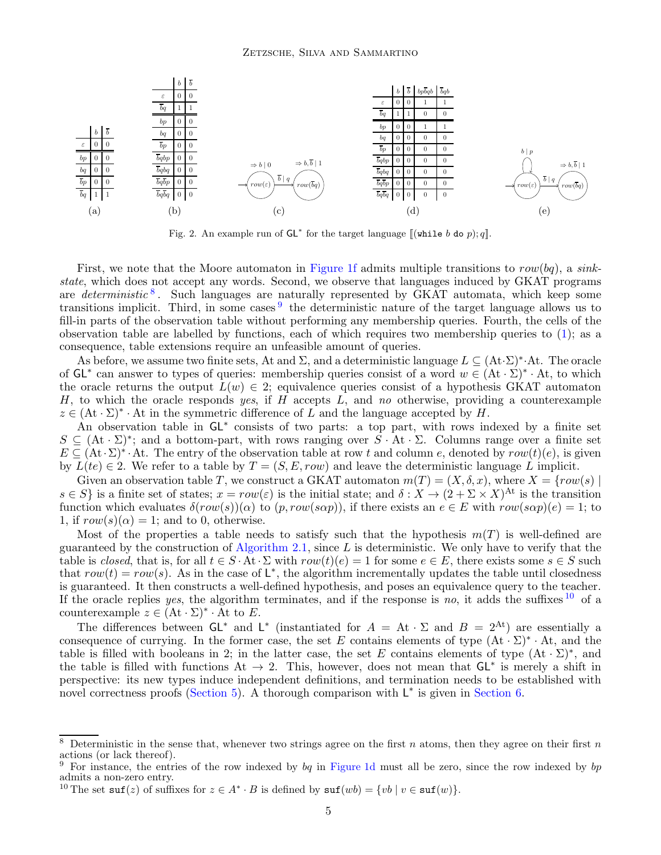<span id="page-4-3"></span>

Fig. 2. An example run of  $GL^*$  for the target language  $\llbracket (\text{while } b \text{ do } p); q \rrbracket$ .

First, we note that the Moore automaton in [Figure 1f](#page-2-0) admits multiple transitions to  $row(bq)$ , a sinkstate, which does not accept any words. Second, we observe that languages induced by GKAT programs are *deterministic*<sup>[8](#page-4-0)</sup>. Such languages are naturally represented by GKAT automata, which keep some transitions implicit. Third, in some cases  $9$  the deterministic nature of the target language allows us to fill-in parts of the observation table without performing any membership queries. Fourth, the cells of the observation table are labelled by functions, each of which requires two membership queries to [\(1\)](#page-3-4); as a consequence, table extensions require an unfeasible amount of queries.

As before, we assume two finite sets, At and  $\Sigma$ , and a deterministic language  $L \subseteq (At \cdot \Sigma)^* \cdot At$ . The oracle of  $GL^*$  can answer to types of queries: membership queries consist of a word  $w \in (At \cdot \Sigma)^* \cdot At$ , to which the oracle returns the output  $L(w) \in 2$ ; equivalence queries consist of a hypothesis GKAT automaton H, to which the oracle responds yes, if H accepts  $L$ , and no otherwise, providing a counterexample  $z \in (At \cdot \Sigma)^* \cdot At$  in the symmetric difference of L and the language accepted by H.

An observation table in GL<sup>∗</sup> consists of two parts: a top part, with rows indexed by a finite set  $S \subseteq (\mathsf{At} \cdot \Sigma)^*$ ; and a bottom-part, with rows ranging over  $\overline{S} \cdot \overline{\mathsf{At}} \cdot \Sigma$ . Columns range over a finite set  $E \subseteq (At \cdot \Sigma)^* \cdot At$ . The entry of the observation table at row t and column e, denoted by  $row(t)(e)$ , is given by  $L(te) \in 2$ . We refer to a table by  $T = (S, E, row)$  and leave the deterministic language L implicit.

Given an observation table T, we construct a GKAT automaton  $m(T) = (X, \delta, x)$ , where  $X = \{row(s) \mid$  $s \in S$  is a finite set of states;  $x = row(\varepsilon)$  is the initial state; and  $\delta: X \to (2 + \Sigma \times X)^{At}$  is the transition function which evaluates  $\delta(row(s))(\alpha)$  to  $(p, row(s\alpha p))$ , if there exists an  $e \in E$  with  $row(s\alpha p)(e) = 1$ ; to 1, if  $row(s)(\alpha) = 1$ ; and to 0, otherwise.

Most of the properties a table needs to satisfy such that the hypothesis  $m(T)$  is well-defined are guaranteed by the construction of [Algorithm 2.1,](#page-3-0) since L is deterministic. We only have to verify that the table is closed, that is, for all  $t \in S \cdot At \cdot \Sigma$  with  $row(t)(e) = 1$  for some  $e \in E$ , there exists some  $s \in S$  such that  $row(t) = row(s)$ . As in the case of  $\mathsf{L}^*$ , the algorithm incrementally updates the table until closedness is guaranteed. It then constructs a well-defined hypothesis, and poses an equivalence query to the teacher. If the oracle replies yes, the algorithm terminates, and if the response is no, it adds the suffixes  $10$  of a counterexample  $z \in (At \cdot \Sigma)^* \cdot \overline{At}$  to E.

The differences between  $GL^*$  and  $L^*$  (instantiated for  $A = At \cdot \Sigma$  and  $B = 2^{At}$ ) are essentially a consequence of currying. In the former case, the set E contains elements of type  $(At \cdot \Sigma)^* \cdot At$ , and the table is filled with booleans in 2; in the latter case, the set E contains elements of type  $(At \cdot \Sigma)^*$ , and the table is filled with functions  $At \rightarrow 2$ . This, however, does not mean that  $GL^*$  is merely a shift in perspective: its new types induce independent definitions, and termination needs to be established with novel correctness proofs [\(Section 5\)](#page-10-1). A thorough comparison with  $L^*$  is given in [Section 6.](#page-11-1)

<sup>&</sup>lt;sup>8</sup> Deterministic in the sense that, whenever two strings agree on the first n atoms, then they agree on their first n actions (or lack thereof).

<span id="page-4-0"></span><sup>&</sup>lt;sup>9</sup> For instance, the entries of the row indexed by bq in [Figure 1d](#page-2-0) must all be zero, since the row indexed by bp admits a non-zero entry.

<span id="page-4-2"></span><span id="page-4-1"></span><sup>&</sup>lt;sup>10</sup> The set  $\text{surf}(z)$  of suffixes for  $z \in A^* \cdot B$  is defined by  $\text{surf}(wb) = \{vb \mid v \in \text{surf}(w)\}.$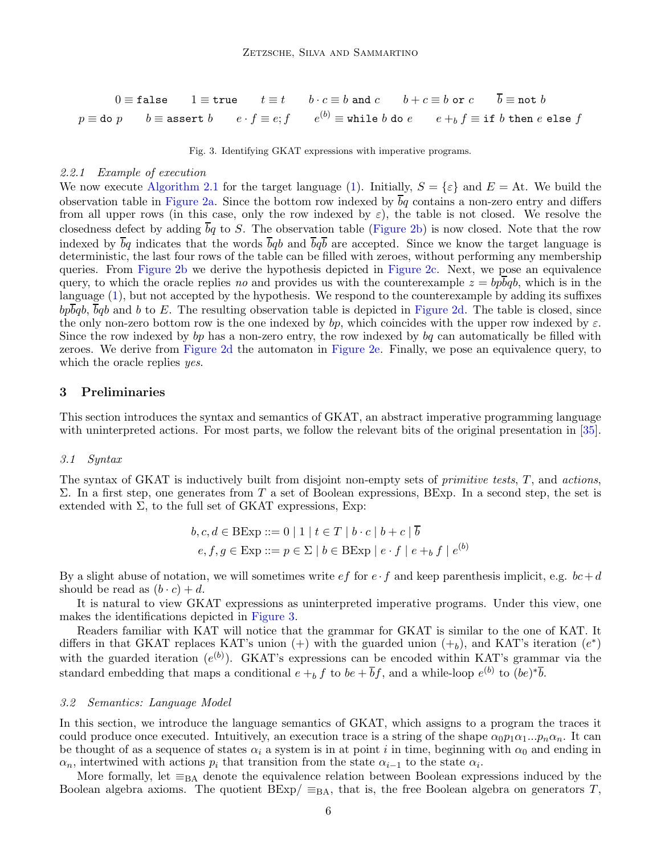<span id="page-5-0"></span> $0 \equiv \texttt{false}$   $1 \equiv \texttt{true}$   $t \equiv t$   $b \cdot c \equiv b$  and  $c$   $b + c \equiv b$  or  $c$   $\bar{b} \equiv \texttt{not } b$  $p\equiv$  do  $p$  b  $\equiv$  assert  $b$  e  $\cdot$   $f\equiv e; f$  e $^{(b)}\equiv$  while  $b$  do  $e$  e  $+_bf$   $f\equiv$  if  $b$  then  $e$  else  $f$ 

Fig. 3. Identifying GKAT expressions with imperative programs.

#### <span id="page-5-1"></span>2.2.1 Example of execution

We now execute [Algorithm 2.1](#page-3-0) for the target language [\(1\)](#page-3-4). Initially,  $S = \{\varepsilon\}$  and  $E = \text{At}$ . We build the observation table in [Figure 2a.](#page-4-3) Since the bottom row indexed by  $\overline{b}q$  contains a non-zero entry and differs from all upper rows (in this case, only the row indexed by  $\varepsilon$ ), the table is not closed. We resolve the closedness defect by adding bq to S. The observation table [\(Figure 2b\)](#page-4-3) is now closed. Note that the row indexed by  $\overline{b}q$  indicates that the words  $\overline{b}qb$  and  $\overline{b}q\overline{b}$  are accepted. Since we know the target language is deterministic, the last four rows of the table can be filled with zeroes, without performing any membership queries. From [Figure 2b](#page-4-3) we derive the hypothesis depicted in [Figure 2c.](#page-4-3) Next, we pose an equivalence query, to which the oracle replies no and provides us with the counterexample  $z = bpbqb$ , which is in the language [\(1\)](#page-3-4), but not accepted by the hypothesis. We respond to the counterexample by adding its suffixes  $b\bar{p}\bar{b}qb$ ,  $\bar{b}qb$  and b to E. The resulting observation table is depicted in [Figure 2d.](#page-4-3) The table is closed, since the only non-zero bottom row is the one indexed by bp, which coincides with the upper row indexed by  $\varepsilon$ . Since the row indexed by bp has a non-zero entry, the row indexed by bq can automatically be filled with zeroes. We derive from [Figure 2d](#page-4-3) the automaton in [Figure 2e.](#page-4-3) Finally, we pose an equivalence query, to which the oracle replies *yes*.

#### 3 Preliminaries

This section introduces the syntax and semantics of GKAT, an abstract imperative programming language with uninterpreted actions. For most parts, we follow the relevant bits of the original presentation in [\[35\]](#page-16-2).

#### 3.1 Syntax

The syntax of GKAT is inductively built from disjoint non-empty sets of *primitive tests*,  $T$ , and *actions*, Σ. In a first step, one generates from T a set of Boolean expressions, BExp. In a second step, the set is extended with  $\Sigma$ , to the full set of GKAT expressions, Exp:

$$
b, c, d \in \text{BExp} ::= 0 \mid 1 \mid t \in T \mid b \cdot c \mid b + c \mid b
$$
  

$$
e, f, g \in \text{Exp} ::= p \in \Sigma \mid b \in \text{BExp} \mid e \cdot f \mid e +_b f \mid e^{(b)}
$$

By a slight abuse of notation, we will sometimes write  $ef$  for  $e \cdot f$  and keep parenthesis implicit, e.g.  $bc+d$ should be read as  $(b \cdot c) + d$ .

It is natural to view GKAT expressions as uninterpreted imperative programs. Under this view, one makes the identifications depicted in [Figure 3.](#page-5-0)

Readers familiar with KAT will notice that the grammar for GKAT is similar to the one of KAT. It differs in that GKAT replaces KAT's union  $(+)$  with the guarded union  $(+_b)$ , and KAT's iteration  $(e^*)$ with the guarded iteration  $(e^{(b)})$ . GKAT's expressions can be encoded within KAT's grammar via the standard embedding that maps a conditional  $e + b f$  to  $be + \overline{b}f$ , and a while-loop  $e^{(b)}$  to  $(be)^{*}\overline{b}$ .

#### 3.2 Semantics: Language Model

In this section, we introduce the language semantics of GKAT, which assigns to a program the traces it could produce once executed. Intuitively, an execution trace is a string of the shape  $\alpha_0 p_1 \alpha_1 ... p_n \alpha_n$ . It can be thought of as a sequence of states  $\alpha_i$  a system is in at point i in time, beginning with  $\alpha_0$  and ending in  $\alpha_n$ , intertwined with actions  $p_i$  that transition from the state  $\alpha_{i-1}$  to the state  $\alpha_i$ .

More formally, let  $\equiv_{BA}$  denote the equivalence relation between Boolean expressions induced by the Boolean algebra axioms. The quotient  $BExp/ \equiv_{BA}$ , that is, the free Boolean algebra on generators T,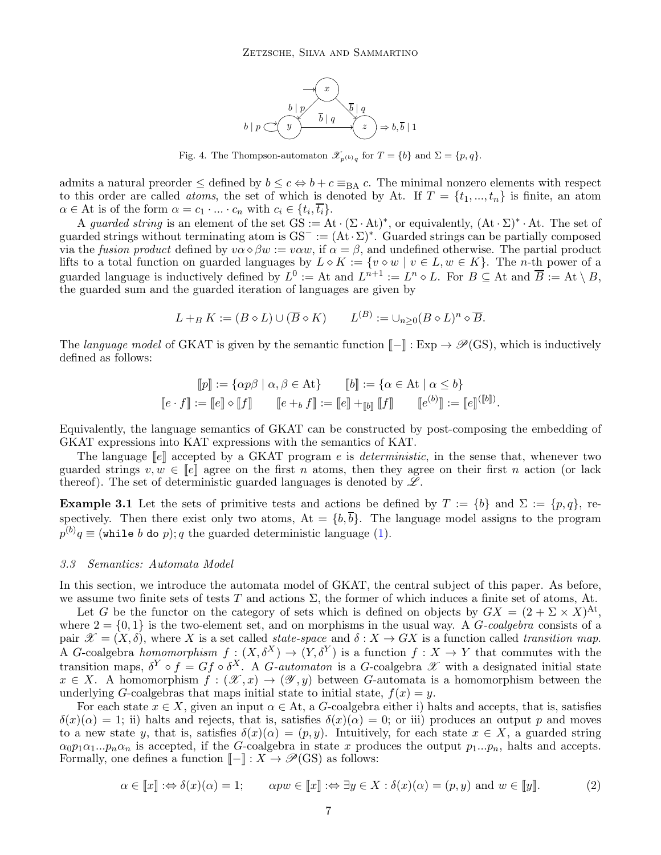

Fig. 4. The Thompson-automaton  $\mathscr{X}_{p^{(b)}q}$  for  $T = \{b\}$  and  $\Sigma = \{p, q\}.$ 

<span id="page-6-1"></span>admits a natural preorder  $\leq$  defined by  $b \leq c \Leftrightarrow b + c \equiv_{BA} c$ . The minimal nonzero elements with respect to this order are called *atoms*, the set of which is denoted by At. If  $T = \{t_1, ..., t_n\}$  is finite, an atom  $\alpha \in \mathcal{A}$ t is of the form  $\alpha = c_1 \cdot ... \cdot c_n$  with  $c_i \in \{t_i, \overline{t_i}\}.$ 

A guarded string is an element of the set  $GS := At \cdot (\Sigma \cdot At)^*$ , or equivalently,  $(At \cdot \Sigma)^* \cdot At$ . The set of guarded strings without terminating atom is  $GS^- := (At \cdot \Sigma)^*$ . Guarded strings can be partially composed via the fusion product defined by  $v\alpha \diamond \beta w := v\alpha w$ , if  $\alpha = \beta$ , and undefined otherwise. The partial product lifts to a total function on guarded languages by  $L \circ K := \{v \circ w \mid v \in L, w \in K\}$ . The *n*-th power of a guarded language is inductively defined by  $L^0 :=$  At and  $L^{n+1} := L^n \diamond L$ . For  $B \subseteq$  At and  $\overline{B} :=$  At  $\setminus B$ , the guarded sum and the guarded iteration of languages are given by

$$
L +_{B} K := (B \diamond L) \cup (\overline{B} \diamond K) \qquad L^{(B)} := \cup_{n \geq 0} (B \diamond L)^{n} \diamond \overline{B}.
$$

The language model of GKAT is given by the semantic function  $\llbracket - \rrbracket : \text{Exp} \to \mathscr{P}(\text{GS})$ , which is inductively defined as follows:

$$
\llbracket p \rrbracket := \{ \alpha p \beta \mid \alpha, \beta \in \text{At} \} \qquad \llbracket b \rrbracket := \{ \alpha \in \text{At} \mid \alpha \le b \}
$$

$$
\llbracket e \cdot f \rrbracket := \llbracket e \rrbracket \circ \llbracket f \rrbracket \qquad \llbracket e +_b f \rrbracket := \llbracket e \rrbracket +_{\llbracket b \rrbracket} \llbracket f \rrbracket \qquad \llbracket e^{(b)} \rrbracket := \llbracket e \rrbracket^{\langle \llbracket b \rrbracket \rangle}.
$$

Equivalently, the language semantics of GKAT can be constructed by post-composing the embedding of GKAT expressions into KAT expressions with the semantics of KAT.

The language  $\llbracket e \rrbracket$  accepted by a GKAT program e is *deterministic*, in the sense that, whenever two guarded strings  $v, w \in \llbracket e \rrbracket$  agree on the first n atoms, then they agree on their first n action (or lack thereof). The set of deterministic guarded languages is denoted by  $\mathscr{L}$ .

**Example 3.1** Let the sets of primitive tests and actions be defined by  $T := \{b\}$  and  $\Sigma := \{p, q\}$ , respectively. Then there exist only two atoms,  $At = \{b, \overline{b}\}\.$  The language model assigns to the program  $p^{(b)}q \equiv$  (while b do p); q the guarded deterministic language [\(1\)](#page-3-4).

#### 3.3 Semantics: Automata Model

In this section, we introduce the automata model of GKAT, the central subject of this paper. As before, we assume two finite sets of tests T and actions  $\Sigma$ , the former of which induces a finite set of atoms, At.

Let G be the functor on the category of sets which is defined on objects by  $GX = (2 + \Sigma \times X)^{At}$ , where  $2 = \{0, 1\}$  is the two-element set, and on morphisms in the usual way. A G-coalgebra consists of a pair  $\mathscr{X} = (X, \delta)$ , where X is a set called *state-space* and  $\delta : X \to GX$  is a function called *transition map*. A G-coalgebra homomorphism  $f:(X,\delta^X) \to (Y,\delta^Y)$  is a function  $f:X \to Y$  that commutes with the transition maps,  $\delta^Y \circ f = Gf \circ \delta^X$ . A *G*-automaton is a *G*-coalgebra  $\mathscr X$  with a designated initial state  $x \in X$ . A homomorphism  $f : (\mathcal{X}, x) \to (\mathcal{Y}, y)$  between G-automata is a homomorphism between the underlying G-coalgebras that maps initial state to initial state,  $f(x) = y$ .

For each state  $x \in X$ , given an input  $\alpha \in \Lambda$ , a G-coalgebra either i) halts and accepts, that is, satisfies  $\delta(x)(\alpha) = 1$ ; ii) halts and rejects, that is, satisfies  $\delta(x)(\alpha) = 0$ ; or iii) produces an output p and moves to a new state y, that is, satisfies  $\delta(x)(\alpha) = (p, y)$ . Intuitively, for each state  $x \in X$ , a guarded string  $\alpha_0 p_1 \alpha_1 ... p_n \alpha_n$  is accepted, if the G-coalgebra in state x produces the output  $p_1...p_n$ , halts and accepts. Formally, one defines a function  $\llbracket - \rrbracket : X \to \mathscr{P}(\text{GS})$  as follows:

<span id="page-6-0"></span>
$$
\alpha \in [\![x]\!] : \Leftrightarrow \delta(x)(\alpha) = 1; \qquad \alpha pw \in [\![x]\!] : \Leftrightarrow \exists y \in X : \delta(x)(\alpha) = (p, y) \text{ and } w \in [\![y]\!].
$$
 (2)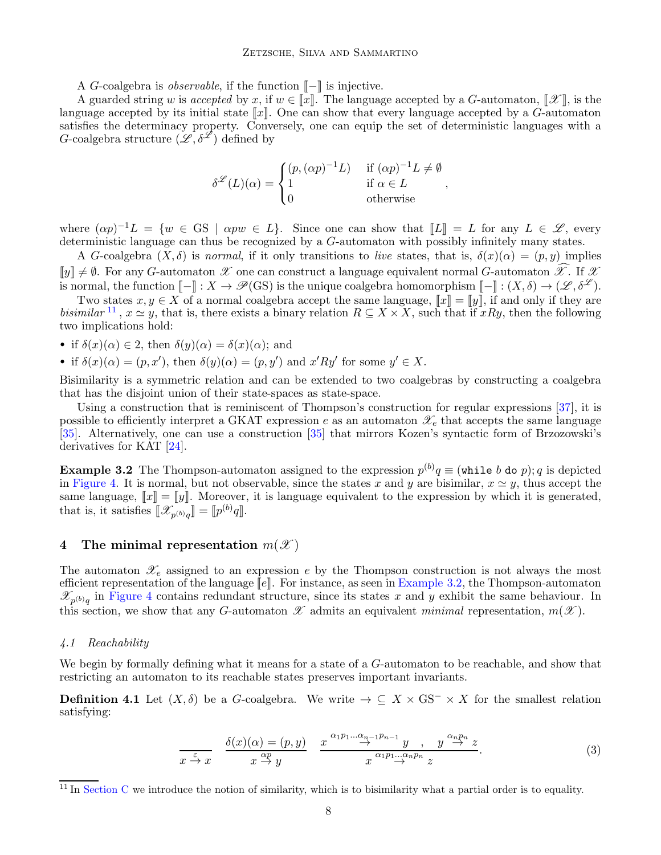#### Zetzsche, Silva and Sammartino

A G-coalgebra is *observable*, if the function  $\llbracket - \rrbracket$  is injective.

A guarded string w is accepted by x, if  $w \in \llbracket x \rrbracket$ . The language accepted by a G-automaton,  $\llbracket \mathcal{X} \rrbracket$ , is the language accepted by its initial state  $\llbracket x \rrbracket$ . One can show that every language accepted by a G-automaton satisfies the determinacy property. Conversely, one can equip the set of deterministic languages with a G-coalgebra structure  $(\mathscr{L}, \delta^{\mathscr{L}})$  defined by

$$
\delta^{\mathcal{L}}(L)(\alpha) = \begin{cases} (p, (\alpha p)^{-1}L) & \text{if } (\alpha p)^{-1}L \neq \emptyset \\ 1 & \text{if } \alpha \in L \\ 0 & \text{otherwise} \end{cases},
$$

where  $(\alpha p)^{-1}L = \{w \in \mathbb{G}S \mid \alpha pw \in L\}$ . Since one can show that  $[[L]] = L$  for any  $L \in \mathscr{L}$ , every deterministic language can thus be recognized by a G-automaton with possibly infinitely many states.

A G-coalgebra  $(X, \delta)$  is normal, if it only transitions to live states, that is,  $\delta(x)(\alpha) = (p, y)$  implies  $\llbracket y \rrbracket \neq \emptyset$ . For any G-automaton  $\mathscr X$  one can construct a language equivalent normal G-automaton  $\widehat{\mathscr X}$ . If  $\mathscr X$ is normal, the function  $\llbracket - \rrbracket : X \to \mathscr{P}(\text{GS})$  is the unique coalgebra homomorphism  $\llbracket - \rrbracket : (X, \delta) \to (\mathscr{L}, \delta^{\mathscr{L}})$ .

Two states  $x, y \in X$  of a normal coalgebra accept the same language,  $\llbracket x \rrbracket = \llbracket y \rrbracket$ , if and only if they are bisimilar <sup>[11](#page-7-0)</sup>,  $x \simeq y$ , that is, there exists a binary relation  $R \subseteq X \times X$ , such that if xRy, then the following two implications hold:

• if  $\delta(x)(\alpha) \in 2$ , then  $\delta(y)(\alpha) = \delta(x)(\alpha)$ ; and

• if  $\delta(x)(\alpha) = (p, x')$ , then  $\delta(y)(\alpha) = (p, y')$  and  $x'Ry'$  for some  $y' \in X$ .

Bisimilarity is a symmetric relation and can be extended to two coalgebras by constructing a coalgebra that has the disjoint union of their state-spaces as state-space.

Using a construction that is reminiscent of Thompson's construction for regular expressions [\[37\]](#page-16-5), it is possible to efficiently interpret a GKAT expression e as an automaton  $\mathscr{X}_e$  that accepts the same language [\[35\]](#page-16-2). Alternatively, one can use a construction [\[35\]](#page-16-2) that mirrors Kozen's syntactic form of Brzozowski's derivatives for KAT [\[24\]](#page-15-10).

<span id="page-7-1"></span>**Example 3.2** The Thompson-automaton assigned to the expression  $p^{(b)}q \equiv$  (while b do p); q is depicted in [Figure 4.](#page-6-1) It is normal, but not observable, since the states x and y are bisimilar,  $x \approx y$ , thus accept the same language,  $\llbracket x \rrbracket = \llbracket y \rrbracket$ . Moreover, it is language equivalent to the expression by which it is generated, that is, it satisfies  $[\![\mathscr{X}_{p^{(b)}q}]\!] = [\![p^{(b)}q]\!]$ .

#### 4 The minimal representation  $m(\mathscr{X})$

The automaton  $\mathscr{X}_e$  assigned to an expression e by the Thompson construction is not always the most efficient representation of the language  $\llbracket e \rrbracket$ . For instance, as seen in [Example 3.2,](#page-7-1) the Thompson-automaton  $\mathscr{X}_{p^{(b)}q}$  in [Figure 4](#page-6-1) contains redundant structure, since its states x and y exhibit the same behaviour. In this section, we show that any G-automaton  $\mathscr X$  admits an equivalent minimal representation,  $m(\mathscr X)$ .

#### 4.1 Reachability

We begin by formally defining what it means for a state of a G-automaton to be reachable, and show that restricting an automaton to its reachable states preserves important invariants.

**Definition 4.1** Let  $(X, \delta)$  be a G-coalgebra. We write  $\rightarrow \subseteq X \times \text{GS}^{-} \times X$  for the smallest relation satisfying:

<span id="page-7-2"></span>
$$
\frac{\delta(x)(\alpha) = (p, y)}{x \stackrel{\varepsilon}{\to} x} \quad \frac{\delta(x)(\alpha) = (p, y)}{x \stackrel{\alpha p}{\to} y} \quad \frac{x^{\alpha_1 p_1 \dots \alpha_{n-1} p_{n-1}} y}{x^{\alpha_1 p_1 \dots \alpha_n p_n} z}.
$$
\n(3)

<span id="page-7-0"></span><sup>&</sup>lt;sup>11</sup> In [Section C](#page-29-0) we introduce the notion of similarity, which is to bisimilarity what a partial order is to equality.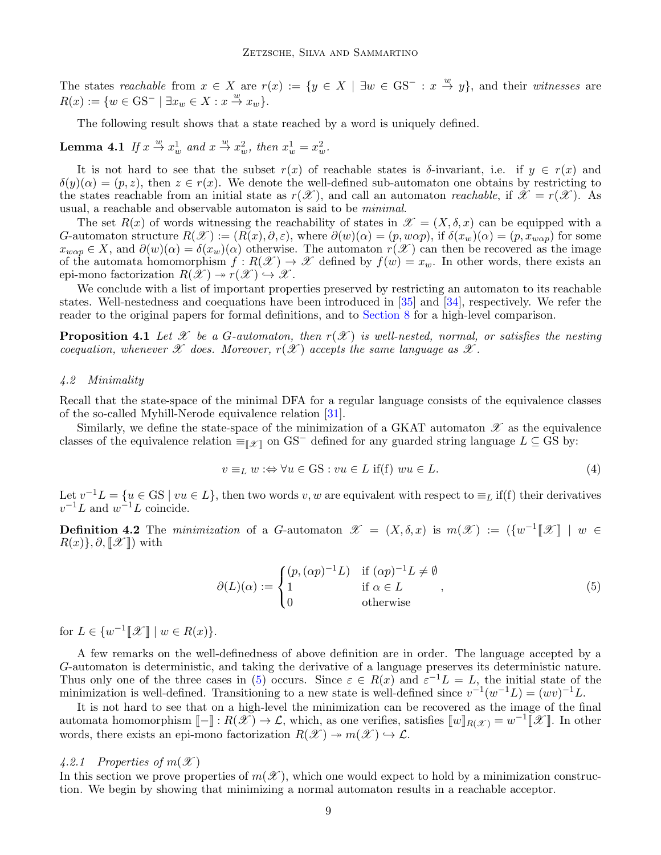The states reachable from  $x \in X$  are  $r(x) := \{y \in X \mid \exists w \in \text{GS}^- : x \stackrel{w}{\to} y\}$ , and their witnesses are  $R(x) := \{w \in \text{GS}^- \mid \exists x_w \in X : x \stackrel{w}{\rightarrow} x_w\}.$ 

The following result shows that a state reached by a word is uniquely defined.

<span id="page-8-4"></span>**Lemma 4.1** If  $x \stackrel{w}{\rightarrow} x_w^1$  and  $x \stackrel{w}{\rightarrow} x_w^2$ , then  $x_w^1 = x_w^2$ .

It is not hard to see that the subset  $r(x)$  of reachable states is  $\delta$ -invariant, i.e. if  $y \in r(x)$  and  $\delta(y)(\alpha) = (p, z)$ , then  $z \in r(x)$ . We denote the well-defined sub-automaton one obtains by restricting to the states reachable from an initial state as  $r(\mathscr{X})$ , and call an automaton *reachable*, if  $\mathscr{X} = r(\mathscr{X})$ . As usual, a reachable and observable automaton is said to be minimal.

The set  $R(x)$  of words witnessing the reachability of states in  $\mathscr{X} = (X, \delta, x)$  can be equipped with a G-automaton structure  $R(\mathscr{X}) := (R(x), \partial, \varepsilon)$ , where  $\partial(w)(\alpha) = (p, w\alpha p)$ , if  $\delta(x_w)(\alpha) = (p, x_{w\alpha p})$  for some  $x_{w\alpha p} \in X$ , and  $\partial(w)(\alpha) = \delta(x_w)(\alpha)$  otherwise. The automaton  $r(\mathscr{X})$  can then be recovered as the image of the automata homomorphism  $f: R(\mathcal{X}) \to \mathcal{X}$  defined by  $f(w) = x_w$ . In other words, there exists an epi-mono factorization  $R(\mathscr{X}) \to r(\mathscr{X}) \hookrightarrow \mathscr{X}$ .

We conclude with a list of important properties preserved by restricting an automaton to its reachable states. Well-nestedness and coequations have been introduced in [\[35\]](#page-16-2) and [\[34\]](#page-16-6), respectively. We refer the reader to the original papers for formal definitions, and to [Section 8](#page-13-1) for a high-level comparison.

<span id="page-8-2"></span>**Proposition 4.1** Let X be a G-automaton, then  $r(\mathcal{X})$  is well-nested, normal, or satisfies the nesting coequation, whenever  $\mathscr X$  does. Moreover,  $r(\mathscr X)$  accepts the same language as  $\mathscr X$ .

#### 4.2 Minimality

Recall that the state-space of the minimal DFA for a regular language consists of the equivalence classes of the so-called Myhill-Nerode equivalence relation [\[31\]](#page-16-7).

Similarly, we define the state-space of the minimization of a GKAT automaton  $\mathscr X$  as the equivalence classes of the equivalence relation  $\equiv_{\llbracket \mathscr{X} \rrbracket}$  on GS<sup>−</sup> defined for any guarded string language  $L \subseteq$  GS by:

$$
v \equiv_L w : \Leftrightarrow \forall u \in \mathcal{GS} : vu \in L \text{ if (f) } wu \in L. \tag{4}
$$

Let  $v^{-1}L = \{u \in \text{GS} \mid vu \in L\}$ , then two words  $v, w$  are equivalent with respect to  $\equiv_L$  if(f) their derivatives  $v^{-1}L$  and  $w^{-1}L$  coincide.

<span id="page-8-0"></span>**Definition 4.2** The minimization of a G-automaton  $\mathscr{X} = (X, \delta, x)$  is  $m(\mathscr{X}) := (\{w^{-1}[\mathscr{X}]] \mid w \in \mathscr{X}$  $R(x)$ ,  $\partial$ ,  $\mathcal{X}$ ) with

<span id="page-8-1"></span>
$$
\partial(L)(\alpha) := \begin{cases} (p, (\alpha p)^{-1}L) & \text{if } (\alpha p)^{-1}L \neq \emptyset \\ 1 & \text{if } \alpha \in L \\ 0 & \text{otherwise} \end{cases}
$$
 (5)

for  $L \in \{w^{-1}[\mathcal{X}] \mid w \in R(x)\}.$ 

A few remarks on the well-definedness of above definition are in order. The language accepted by a G-automaton is deterministic, and taking the derivative of a language preserves its deterministic nature. Thus only one of the three cases in [\(5\)](#page-8-1) occurs. Since  $\varepsilon \in R(x)$  and  $\varepsilon^{-1}L = L$ , the initial state of the minimization is well-defined. Transitioning to a new state is well-defined since  $v^{-1}(w^{-1}L) = (wv)^{-1}L$ .

It is not hard to see that on a high-level the minimization can be recovered as the image of the final automata homomorphism  $[-]: R(\mathscr{X}) \to \mathcal{L}$ , which, as one verifies, satisfies  $[\![w]\!]_{R(\mathscr{X})} = w^{-1}[\![\mathscr{X}]\!]$ . In other words, there exists an epi-mono factorization  $R(\mathscr{X}) \to m(\mathscr{X}) \hookrightarrow \mathcal{L}$ .

#### 4.2.1 Properties of  $m(\mathscr{X})$

<span id="page-8-3"></span>In this section we prove properties of  $m(\mathscr{X})$ , which one would expect to hold by a minimization construction. We begin by showing that minimizing a normal automaton results in a reachable acceptor.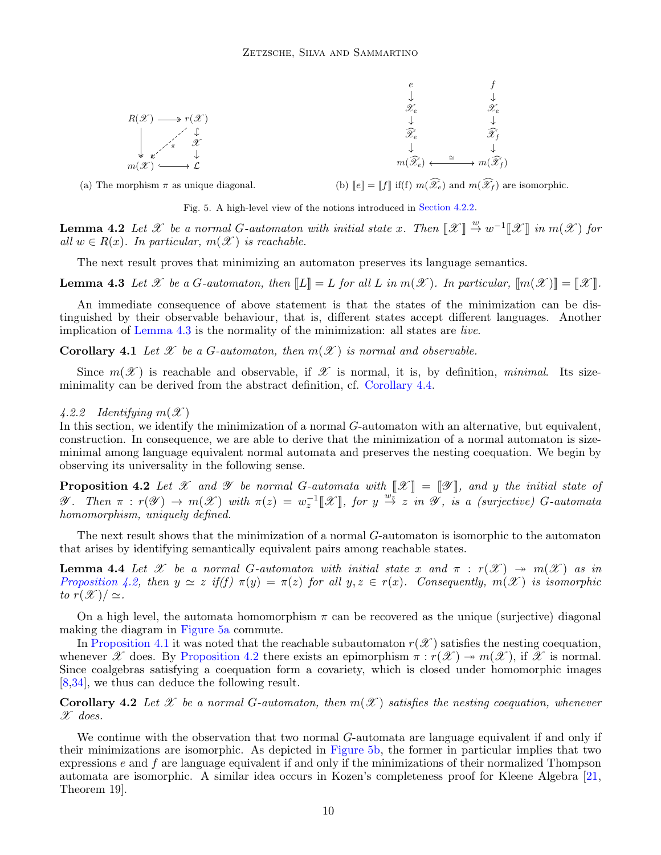<span id="page-9-6"></span>

(a) The morphism  $\pi$  as unique diagonal.

(b)  $\llbracket e \rrbracket = \llbracket f \rrbracket$  if(f)  $m(\widehat{\mathscr{X}}_e)$  and  $m(\widehat{\mathscr{X}}_f)$  are isomorphic.

Fig. 5. A high-level view of the notions introduced in [Section 4.2.2.](#page-9-3)

**Lemma 4.2** Let X be a normal G-automaton with initial state x. Then  $\llbracket \mathcal{X} \rrbracket \stackrel{w}{\to} w^{-1} \llbracket \mathcal{X} \rrbracket$  in  $m(\mathcal{X})$  for all  $w \in R(x)$ . In particular,  $m(\mathscr{X})$  is reachable.

The next result proves that minimizing an automaton preserves its language semantics.

<span id="page-9-4"></span>**Lemma 4.3** Let X be a G-automaton, then  $\llbracket L \rrbracket = L$  for all L in  $m(\mathcal{X})$ . In particular,  $\llbracket m(\mathcal{X}) \rrbracket = \llbracket \mathcal{X} \rrbracket$ .

An immediate consequence of above statement is that the states of the minimization can be distinguished by their observable behaviour, that is, different states accept different languages. Another implication of [Lemma 4.3](#page-9-4) is the normality of the minimization: all states are live.

<span id="page-9-7"></span>**Corollary 4.1** Let  $\mathcal X$  be a G-automaton, then  $m(\mathcal X)$  is normal and observable.

Since  $m(\mathscr{X})$  is reachable and observable, if  $\mathscr{X}$  is normal, it is, by definition, minimal. Its sizeminimality can be derived from the abstract definition, cf. [Corollary 4.4.](#page-10-0)

#### <span id="page-9-3"></span>4.2.2 Identifying  $m(\mathscr{X})$

In this section, we identify the minimization of a normal G-automaton with an alternative, but equivalent, construction. In consequence, we are able to derive that the minimization of a normal automaton is sizeminimal among language equivalent normal automata and preserves the nesting coequation. We begin by observing its universality in the following sense.

<span id="page-9-5"></span>**Proposition 4.2** Let  $\mathcal X$  and  $\mathcal Y$  be normal G-automata with  $\llbracket \mathcal X \rrbracket = \llbracket \mathcal Y \rrbracket$ , and y the initial state of  $\mathscr{Y}.$  Then  $\pi : r(\mathscr{Y}) \to m(\mathscr{X})$  with  $\pi(z) = w_z^{-1}[\mathscr{X}],$  for  $y \stackrel{w_z}{\to} z$  in  $\mathscr{Y},$  is a (surjective) G-automata homomorphism, uniquely defined.

The next result shows that the minimization of a normal G-automaton is isomorphic to the automaton that arises by identifying semantically equivalent pairs among reachable states.

<span id="page-9-0"></span>**Lemma 4.4** Let X be a normal G-automaton with initial state x and  $\pi$  :  $r(\mathcal{X}) \rightarrow m(\mathcal{X})$  as in [Proposition 4.2,](#page-9-5) then  $y \simeq z$  if(f)  $\pi(y) = \pi(z)$  for all  $y, z \in r(x)$ . Consequently,  $m(\mathscr{X})$  is isomorphic to  $r(\mathscr{X})/\simeq$ .

On a high level, the automata homomorphism  $\pi$  can be recovered as the unique (surjective) diagonal making the diagram in [Figure 5a](#page-9-6) commute.

In [Proposition 4.1](#page-8-2) it was noted that the reachable subautomaton  $r(\mathscr{X})$  satisfies the nesting coequation, whenever X does. By [Proposition 4.2](#page-9-5) there exists an epimorphism  $\pi : r(\mathcal{X}) \to m(\mathcal{X})$ , if X is normal. Since coalgebras satisfying a coequation form a covariety, which is closed under homomorphic images [\[8,](#page-15-11)[34\]](#page-16-6), we thus can deduce the following result.

<span id="page-9-2"></span>**Corollary 4.2** Let X be a normal G-automaton, then  $m(\mathcal{X})$  satisfies the nesting coequation, whenever  $\mathscr{X}$  does.

<span id="page-9-1"></span>We continue with the observation that two normal G-automata are language equivalent if and only if their minimizations are isomorphic. As depicted in [Figure 5b,](#page-9-6) the former in particular implies that two expressions  $e$  and  $f$  are language equivalent if and only if the minimizations of their normalized Thompson automata are isomorphic. A similar idea occurs in Kozen's completeness proof for Kleene Algebra [\[21,](#page-15-5) Theorem 19].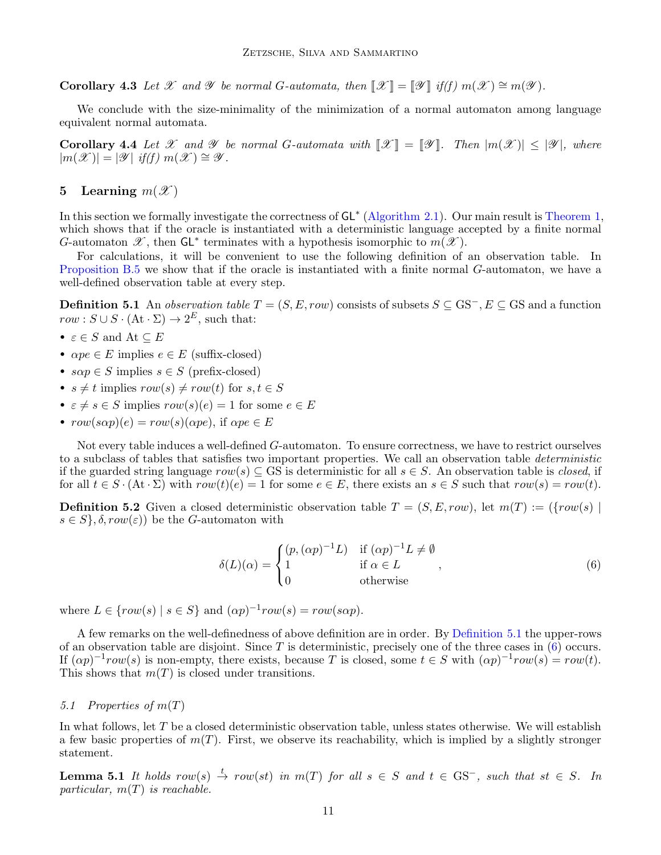Corollary 4.3 Let X and Y be normal G-automata, then  $\mathcal{X} \parallel = \mathcal{Y} \parallel if(f) m(\mathcal{X}) \cong m(\mathcal{Y})$ .

We conclude with the size-minimality of the minimization of a normal automaton among language equivalent normal automata.

<span id="page-10-0"></span>**Corollary 4.4** Let X and Y be normal G-automata with  $\mathcal{X} \parallel = \mathcal{Y} \parallel$ . Then  $|m(\mathcal{X})| \leq |\mathcal{Y}|$ , where  $|m(\mathscr{X})| = |\mathscr{Y}|$  if(f)  $m(\mathscr{X}) \cong \mathscr{Y}$ .

# <span id="page-10-1"></span>5 Learning  $m(\mathscr{X})$

In this section we formally investigate the correctness of GL<sup>∗</sup> [\(Algorithm 2.1\)](#page-3-0). Our main result is [Theorem 1,](#page-11-0) which shows that if the oracle is instantiated with a deterministic language accepted by a finite normal G-automaton  $\mathscr{X}$ , then  $GL^*$  terminates with a hypothesis isomorphic to  $m(\mathscr{X})$ .

For calculations, it will be convenient to use the following definition of an observation table. In [Proposition B.5](#page-25-0) we show that if the oracle is instantiated with a finite normal G-automaton, we have a well-defined observation table at every step.

<span id="page-10-2"></span>**Definition 5.1** An observation table  $T = (S, E, row)$  consists of subsets  $S \subseteq \text{GS}^-, E \subseteq \text{GS}$  and a function  $row: S \cup S \cdot (\text{At} \cdot \Sigma) \rightarrow 2^E$ , such that:

- $\varepsilon \in S$  and  $\mathrm{At} \subseteq E$
- $\alpha pe \in E$  implies  $e \in E$  (suffix-closed)
- $s\alpha p \in S$  implies  $s \in S$  (prefix-closed)
- $s \neq t$  implies  $row(s) \neq row(t)$  for  $s, t \in S$
- $\varepsilon \neq s \in S$  implies  $row(s)(e) = 1$  for some  $e \in E$
- $row(s\alpha p)(e) = row(s)(\alpha p e)$ , if  $\alpha pe \in E$

Not every table induces a well-defined G-automaton. To ensure correctness, we have to restrict ourselves to a subclass of tables that satisfies two important properties. We call an observation table deterministic if the guarded string language  $row(s) \subseteq GS$  is deterministic for all  $s \in S$ . An observation table is *closed*, if for all  $t \in S \cdot (\mathbf{At} \cdot \Sigma)$  with  $row(t)(e) = 1$  for some  $e \in E$ , there exists an  $s \in S$  such that  $row(s) = row(t)$ .

**Definition 5.2** Given a closed deterministic observation table  $T = (S, E, row)$ , let  $m(T) := (\{row(s) |$  $s \in S$ ,  $\delta, row(\varepsilon)$  be the G-automaton with

<span id="page-10-3"></span>
$$
\delta(L)(\alpha) = \begin{cases} (p, (\alpha p)^{-1}L) & \text{if } (\alpha p)^{-1}L \neq \emptyset \\ 1 & \text{if } \alpha \in L \\ 0 & \text{otherwise} \end{cases}
$$
 (6)

where  $L \in \{row(s) \mid s \in S\}$  and  $(\alpha p)^{-1} row(s) = row(s \alpha p)$ .

A few remarks on the well-definedness of above definition are in order. By [Definition 5.1](#page-10-2) the upper-rows of an observation table are disjoint. Since  $T$  is deterministic, precisely one of the three cases in  $(6)$  occurs. If  $(\alpha p)^{-1}row(s)$  is non-empty, there exists, because T is closed, some  $t \in S$  with  $(\alpha p)^{-1}row(s) = row(t)$ . This shows that  $m(T)$  is closed under transitions.

#### 5.1 Properties of m(T)

In what follows, let T be a closed deterministic observation table, unless states otherwise. We will establish a few basic properties of  $m(T)$ . First, we observe its reachability, which is implied by a slightly stronger statement.

<span id="page-10-4"></span>**Lemma 5.1** It holds row(s)  $\stackrel{t}{\rightarrow}$  row(st) in m(T) for all  $s \in S$  and  $t \in \text{GS}^-$ , such that  $st \in S$ . In particular,  $m(T)$  is reachable.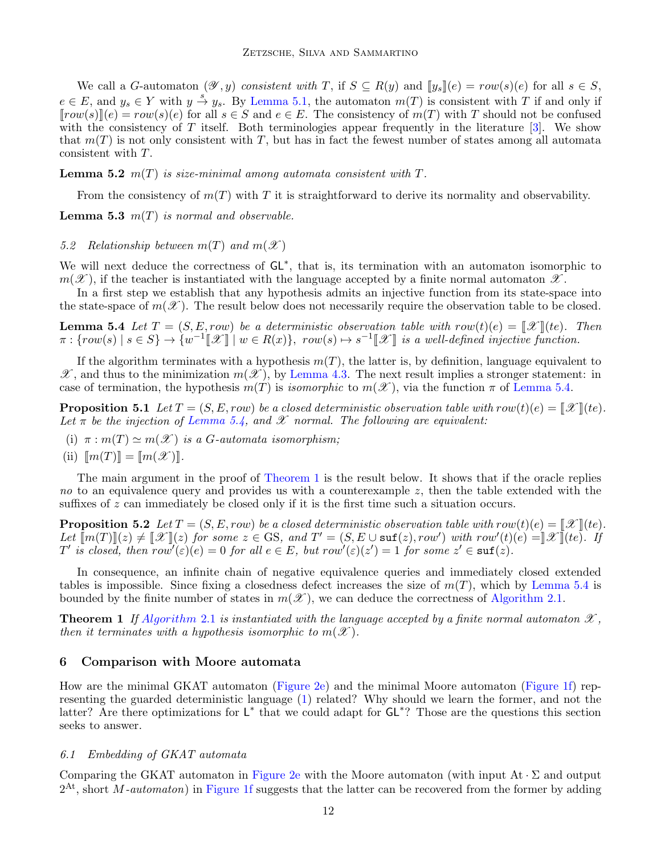We call a G-automaton  $(\mathscr{Y}, y)$  consistent with T, if  $S \subseteq R(y)$  and  $[[y_s]](e) = row(s)(e)$  for all  $s \in S$ ,  $e \in E$ , and  $y_s \in Y$  with  $y \stackrel{s}{\rightarrow} y_s$ . By [Lemma 5.1,](#page-10-4) the automaton  $m(T)$  is consistent with T if and only if  $[row(s)](e) = row(s)(e)$  for all  $s \in S$  and  $e \in E$ . The consistency of  $m(T)$  with T should not be confused with the consistency of T itself. Both terminologies appear frequently in the literature  $[3]$ . We show that  $m(T)$  is not only consistent with T, but has in fact the fewest number of states among all automata consistent with T.

<span id="page-11-4"></span>**Lemma 5.2**  $m(T)$  is size-minimal among automata consistent with  $T$ .

From the consistency of  $m(T)$  with T it is straightforward to derive its normality and observability.

<span id="page-11-5"></span>**Lemma 5.3**  $m(T)$  is normal and observable.

#### 5.2 Relationship between  $m(T)$  and  $m(\mathscr{X})$

We will next deduce the correctness of GL<sup>\*</sup>, that is, its termination with an automaton isomorphic to  $m(\mathscr{X})$ , if the teacher is instantiated with the language accepted by a finite normal automaton  $\mathscr{X}$ .

In a first step we establish that any hypothesis admits an injective function from its state-space into the state-space of  $m(\mathscr{X})$ . The result below does not necessarily require the observation table to be closed.

<span id="page-11-2"></span>**Lemma 5.4** Let  $T = (S, E, row)$  be a deterministic observation table with  $row(t)(e) = \llbracket \mathcal{X} \rrbracket$  (te). Then  $\pi: \{row(s) \mid s \in S\} \rightarrow \overline{\{w^{-1}[[\mathscr{X}] \mid w \in R(x)\}}, row(s) \mapsto s^{-1}[[\mathscr{X}] \text{ is a well-defined injective function.}$ 

If the algorithm terminates with a hypothesis  $m(T)$ , the latter is, by definition, language equivalent to  $\mathscr{X}$ , and thus to the minimization  $m(\mathscr{X})$ , by [Lemma 4.3.](#page-9-4) The next result implies a stronger statement: in case of termination, the hypothesis  $m(T)$  is *isomorphic* to  $m(\mathscr{X})$ , via the function  $\pi$  of [Lemma 5.4.](#page-11-2)

**Proposition 5.1** Let  $T = (S, E, row)$  be a closed deterministic observation table with  $row(t)(e) = \llbracket \mathcal{X} \rrbracket (te)$ . Let  $\pi$  be the injection of [Lemma 5.4,](#page-11-2) and  $\mathscr X$  normal. The following are equivalent:

- (i)  $\pi : m(T) \simeq m(\mathscr{X})$  is a G-automata isomorphism;
- (ii)  $\llbracket m(T) \rrbracket = \llbracket m(\mathcal{X}) \rrbracket$ .

The main argument in the proof of [Theorem 1](#page-11-0) is the result below. It shows that if the oracle replies no to an equivalence query and provides us with a counterexample  $z$ , then the table extended with the suffixes of  $z$  can immediately be closed only if it is the first time such a situation occurs.

<span id="page-11-3"></span>**Proposition 5.2** Let  $T = (S, E, row)$  be a closed deterministic observation table with  $row(t)(e) = \llbracket \mathcal{X} \rrbracket (te)$ . Let  $\llbracket m(T) \rrbracket(z) \neq \llbracket \mathcal{X} \rrbracket(z)$  for some  $z \in \text{GS}$ , and  $T' = (S, E \cup \text{suf}(z), row')$  with  $row'(t)(e) = \llbracket \mathcal{X} \rrbracket(e)$ . If  $T'$  is closed, then  $row'(\varepsilon)(e) = 0$  for all  $e \in E$ , but  $row'(\varepsilon)(z') = 1$  for some  $z' \in \text{suf}(z)$ .

In consequence, an infinite chain of negative equivalence queries and immediately closed extended tables is impossible. Since fixing a closedness defect increases the size of  $m(T)$ , which by [Lemma 5.4](#page-11-2) is bounded by the finite number of states in  $m(\mathscr{X})$ , we can deduce the correctness of [Algorithm 2.1.](#page-3-0)

<span id="page-11-0"></span>**Theorem 1** If [Algorithm](#page-3-0) 2.1 is instantiated with the language accepted by a finite normal automaton  $\mathscr{X}$ , then it terminates with a hypothesis isomorphic to  $m(\mathscr{X})$ .

#### <span id="page-11-1"></span>6 Comparison with Moore automata

How are the minimal GKAT automaton [\(Figure 2e\)](#page-4-3) and the minimal Moore automaton [\(Figure 1f\)](#page-2-0) representing the guarded deterministic language [\(1\)](#page-3-4) related? Why should we learn the former, and not the latter? Are there optimizations for L<sup>\*</sup> that we could adapt for GL<sup>\*</sup>? Those are the questions this section seeks to answer.

#### 6.1 Embedding of GKAT automata

Comparing the GKAT automaton in [Figure 2e](#page-4-3) with the Moore automaton (with input  $At \cdot \Sigma$  and output  $2<sup>At</sup>$ , short *M*-automaton) in [Figure 1f](#page-2-0) suggests that the latter can be recovered from the former by adding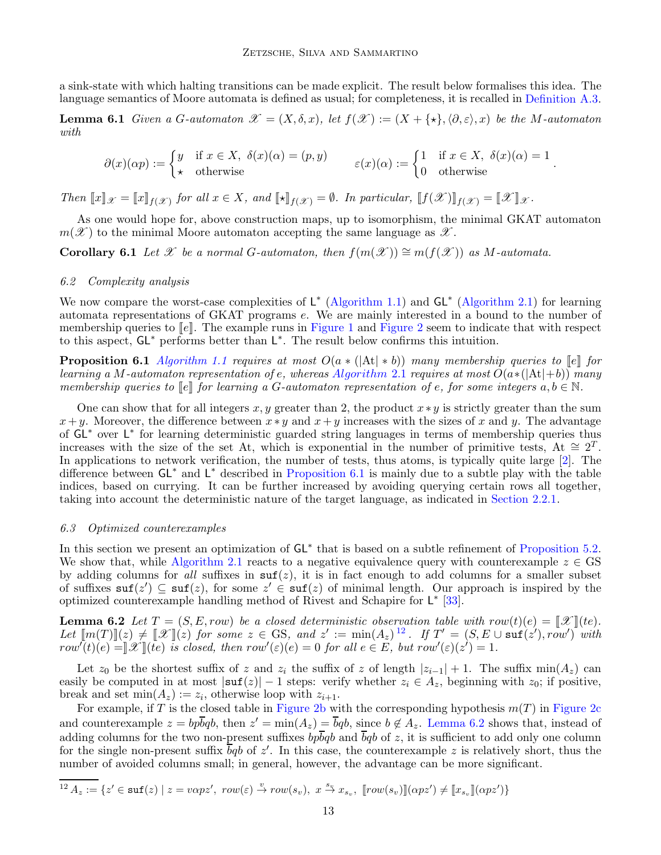a sink-state with which halting transitions can be made explicit. The result below formalises this idea. The language semantics of Moore automata is defined as usual; for completeness, it is recalled in [Definition A.3.](#page-16-3)

<span id="page-12-0"></span>**Lemma 6.1** Given a G-automaton  $\mathscr{X} = (X, \delta, x)$ , let  $f(\mathscr{X}) := (X + \{\star\}, \langle \partial, \varepsilon \rangle, x)$  be the M-automaton with

$$
\partial(x)(\alpha p) := \begin{cases} y & \text{if } x \in X, \ \delta(x)(\alpha) = (p, y) \\ \star & \text{otherwise} \end{cases} \qquad \varepsilon(x)(\alpha) := \begin{cases} 1 & \text{if } x \in X, \ \delta(x)(\alpha) = 1 \\ 0 & \text{otherwise} \end{cases}.
$$

Then  $\llbracket x \rrbracket_{\mathcal{X}} = \llbracket x \rrbracket_{f(\mathcal{X})}$  for all  $x \in X$ , and  $\llbracket \star \rrbracket_{f(\mathcal{X})} = \emptyset$ . In particular,  $\llbracket f(\mathcal{X}) \rrbracket_{f(\mathcal{X})} = \llbracket \mathcal{X} \rrbracket_{\mathcal{X}}$ .

As one would hope for, above construction maps, up to isomorphism, the minimal GKAT automaton  $m(\mathscr{X})$  to the minimal Moore automaton accepting the same language as  $\mathscr{X}$ .

<span id="page-12-1"></span>**Corollary 6.1** Let X be a normal G-automaton, then  $f(m(\mathcal{X})) \cong m(f(\mathcal{X}))$  as M-automata.

#### 6.2 Complexity analysis

We now compare the worst-case complexities of  $L^*$  [\(Algorithm 1.1\)](#page-1-1) and  $GL^*$  [\(Algorithm 2.1\)](#page-3-0) for learning automata representations of GKAT programs e. We are mainly interested in a bound to the number of membership queries to  $\llbracket e \rrbracket$ . The example runs in [Figure 1](#page-2-0) and [Figure 2](#page-4-3) seem to indicate that with respect to this aspect, GL<sup>\*</sup> performs better than L<sup>\*</sup>. The result below confirms this intuition.

<span id="page-12-2"></span>**Proposition 6.1** [Algorithm 1.1](#page-1-1) requires at most  $O(a * (|At| * b))$  many membership queries to  $[e]$  for learning a M-automaton representation of e, whereas [Algorithm](#page-3-0) 2.1 requires at most  $O(a*(|At|+b))$  many membership queries to  $\llbracket e \rrbracket$  for learning a G-automaton representation of e, for some integers  $a, b \in \mathbb{N}$ .

One can show that for all integers  $x, y$  greater than 2, the product  $x * y$  is strictly greater than the sum  $x + y$ . Moreover, the difference between  $x * y$  and  $x + y$  increases with the sizes of x and y. The advantage of GL<sup>\*</sup> over L<sup>\*</sup> for learning deterministic guarded string languages in terms of membership queries thus increases with the size of the set At, which is exponential in the number of primitive tests, At  $\cong 2^T$ . In applications to network verification, the number of tests, thus atoms, is typically quite large [\[2\]](#page-15-4). The difference between GL<sup>\*</sup> and L<sup>\*</sup> described in [Proposition 6.1](#page-12-2) is mainly due to a subtle play with the table indices, based on currying. It can be further increased by avoiding querying certain rows all together, taking into account the deterministic nature of the target language, as indicated in [Section 2.2.1.](#page-5-1)

#### <span id="page-12-5"></span>6.3 Optimized counterexamples

In this section we present an optimization of GL<sup>∗</sup> that is based on a subtle refinement of [Proposition 5.2.](#page-11-3) We show that, while [Algorithm 2.1](#page-3-0) reacts to a negative equivalence query with counterexample  $z \in \text{GS}$ by adding columns for all suffixes in  $\text{snf}(z)$ , it is in fact enough to add columns for a smaller subset of suffixes  $\text{suf}(z') \subseteq \text{suf}(z)$ , for some  $z' \in \text{suf}(z)$  of minimal length. Our approach is inspired by the optimized counterexample handling method of Rivest and Schapire for L ∗ [\[33\]](#page-16-8).

<span id="page-12-4"></span>**Lemma 6.2** Let  $T = (S, E, row)$  be a closed deterministic observation table with  $row(t)(e) = \llbracket \mathcal{X} \rrbracket (te)$ . Let  $\llbracket m(T) \rrbracket(z) \neq \llbracket \mathcal{X} \rrbracket(z)$  for some  $z \in \text{GS}$ , and  $z' := \min(A_z)^{12}$  $z' := \min(A_z)^{12}$  $z' := \min(A_z)^{12}$ . If  $T' = (S, E \cup \text{sur}(z'), row')$  with  $row^{\dagger}(t)(e) = \mathbb{I}[X](te)$  is closed, then  $row^{\prime}(\varepsilon)(e) = 0$  for all  $e \in E$ , but  $row^{\prime}(\varepsilon)(z^{\prime}) = 1$ .

Let  $z_0$  be the shortest suffix of z and  $z_i$  the suffix of z of length  $|z_{i-1}| + 1$ . The suffix min(A<sub>z</sub>) can easily be computed in at most  $|\text{surf}(z)| - 1$  steps: verify whether  $z_i \in A_z$ , beginning with  $z_0$ ; if positive, break and set  $min(A_z) := z_i$ , otherwise loop with  $z_{i+1}$ .

For example, if T is the closed table in [Figure 2b](#page-4-3) with the corresponding hypothesis  $m(T)$  in [Figure 2c](#page-4-3) and counterexample  $z = bp\overline{b}qb$ , then  $z' = \min(A_z) = \overline{b}qb$ , since  $b \notin A_z$ . [Lemma 6.2](#page-12-4) shows that, instead of adding columns for the two non-present suffixes  $b\bar{p}\bar{q}b$  and  $\bar{b}qb$  of z, it is sufficient to add only one column for the single non-present suffix  $\overline{b}qb$  of z'. In this case, the counterexample z is relatively short, thus the number of avoided columns small; in general, however, the advantage can be more significant.

<span id="page-12-3"></span>
$$
\overline{^{12}\,A_z:=}\left\{z' \in \mathtt{suf}(z) \mid z= v\alpha p z',\;row(\varepsilon)\stackrel{v}{\to} row(s_v),\; x\stackrel{s_v}{\to} x_{s_v},\;\\ \llbracket row(s_v) \rrbracket(\alpha p z')\neq \llbracket x_{s_v}\rrbracket(\alpha p z')\right\}
$$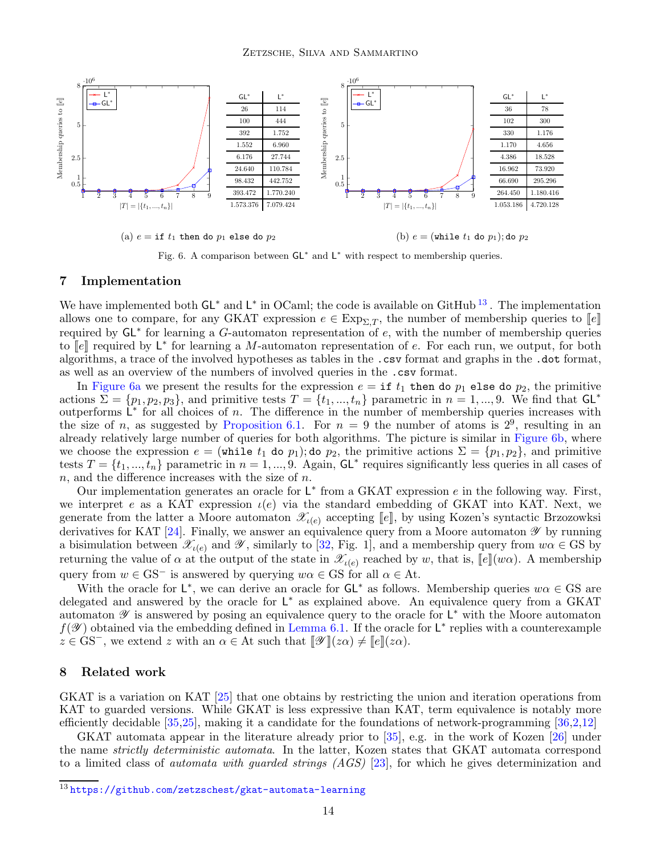<span id="page-13-0"></span>

Fig. 6. A comparison between  $GL^*$  and  $L^*$  with respect to membership queries.

#### 7 Implementation

We have implemented both  $GL^*$  and  $L^*$  in OCaml; the code is available on GitHub<sup>[13](#page-13-2)</sup>. The implementation allows one to compare, for any GKAT expression  $e \in \text{Exp}_{\Sigma,T}$ , the number of membership queries to  $\llbracket e \rrbracket$ required by  $GL^*$  for learning a G-automaton representation of e, with the number of membership queries to  $\llbracket e \rrbracket$  required by  $\mathsf{L}^*$  for learning a M-automaton representation of e. For each run, we output, for both algorithms, a trace of the involved hypotheses as tables in the .csv format and graphs in the .dot format, as well as an overview of the numbers of involved queries in the .csv format.

In [Figure 6a](#page-13-0) we present the results for the expression  $e = \text{if } t_1$  then do  $p_1$  else do  $p_2$ , the primitive actions  $\Sigma = \{p_1, p_2, p_3\}$ , and primitive tests  $T = \{t_1, ..., t_n\}$  parametric in  $n = 1, ..., 9$ . We find that  $GL^*$ outperforms  $\overline{\mathsf{L}}^*$  for all choices of n. The difference in the number of membership queries increases with the size of n, as suggested by [Proposition 6.1.](#page-12-2) For  $n = 9$  the number of atoms is  $2^9$ , resulting in an already relatively large number of queries for both algorithms. The picture is similar in [Figure 6b,](#page-13-0) where we choose the expression  $e = (\text{while } t_1 \text{ do } p_1);$  do  $p_2$ , the primitive actions  $\Sigma = \{p_1, p_2\}$ , and primitive tests  $T = \{t_1, ..., t_n\}$  parametric in  $n = 1, ..., 9$ . Again,  $GL^*$  requires significantly less queries in all cases of  $n$ , and the difference increases with the size of  $n$ .

Our implementation generates an oracle for  $L^*$  from a GKAT expression  $e$  in the following way. First, we interpret e as a KAT expression  $\iota(e)$  via the standard embedding of GKAT into KAT. Next, we generate from the latter a Moore automaton  $\mathscr{X}_{\iota(e)}$  accepting  $[[e]],$  by using Kozen's syntactic Brzozowksi derivatives for KAT [\[24\]](#page-15-10). Finally, we answer an equivalence query from a Moore automaton  $\mathscr Y$  by running a bisimulation between  $\mathscr{X}_{\iota(e)}$  and  $\mathscr{Y}$ , similarly to [\[32,](#page-16-9) Fig. 1], and a membership query from  $w\alpha \in \mathrm{GS}$  by returning the value of  $\alpha$  at the output of the state in  $\mathscr{X}_{\iota(e)}$  reached by w, that is,  $[\![e]\!](w\alpha)$ . A membership query from  $w \in \text{GS}^-$  is answered by querying  $w\alpha \in \text{GS}$  for all  $\alpha \in \text{At}$ .

With the oracle for  $\mathsf{L}^*$ , we can derive an oracle for  $\mathsf{GL}^*$  as follows. Membership queries  $w\alpha \in \mathrm{GS}$  are delegated and answered by the oracle for  $L^*$  as explained above. An equivalence query from a GKAT automaton  $\mathscr Y$  is answered by posing an equivalence query to the oracle for  $\mathsf L^*$  with the Moore automaton  $f(\mathscr{Y})$  obtained via the embedding defined in [Lemma 6.1.](#page-12-0) If the oracle for  $\mathsf{L}^*$  replies with a counterexample  $z \in \text{GS}^-$ , we extend z with an  $\alpha \in \text{At}$  such that  $\llbracket \mathscr{Y} \rrbracket(z\alpha) \neq \llbracket e \rrbracket(z\alpha)$ .

#### <span id="page-13-1"></span>8 Related work

GKAT is a variation on KAT [\[25\]](#page-15-12) that one obtains by restricting the union and iteration operations from KAT to guarded versions. While GKAT is less expressive than KAT, term equivalence is notably more efficiently decidable [\[35,](#page-16-2)[25\]](#page-15-12), making it a candidate for the foundations of network-programming [\[36,](#page-16-1)[2](#page-15-4)[,12\]](#page-15-8)

GKAT automata appear in the literature already prior to [\[35\]](#page-16-2), e.g. in the work of Kozen [\[26\]](#page-15-13) under the name strictly deterministic automata. In the latter, Kozen states that GKAT automata correspond to a limited class of *automata with quarded strings (AGS)* [\[23\]](#page-15-14), for which he gives determinization and

<span id="page-13-2"></span><sup>13</sup> <https://github.com/zetzschest/gkat-automata-learning>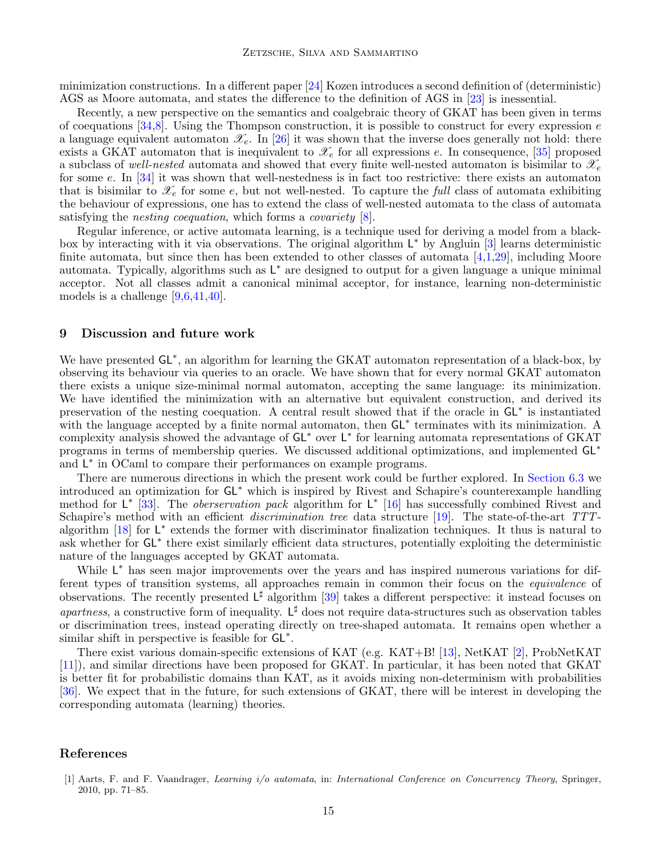minimization constructions. In a different paper [\[24\]](#page-15-10) Kozen introduces a second definition of (deterministic) AGS as Moore automata, and states the difference to the definition of AGS in [\[23\]](#page-15-14) is inessential.

Recently, a new perspective on the semantics and coalgebraic theory of GKAT has been given in terms of coequations  $[34,8]$  $[34,8]$ . Using the Thompson construction, it is possible to construct for every expression e a language equivalent automaton  $\mathscr{X}_{e}$ . In [\[26\]](#page-15-13) it was shown that the inverse does generally not hold: there exists a GKAT automaton that is inequivalent to  $\mathscr{X}_e$  for all expressions e. In consequence, [\[35\]](#page-16-2) proposed a subclass of well-nested automata and showed that every finite well-nested automaton is bisimilar to  $\mathscr{X}_e$ for some e. In [\[34\]](#page-16-6) it was shown that well-nestedness is in fact too restrictive: there exists an automaton that is bisimilar to  $\mathcal{X}_e$  for some e, but not well-nested. To capture the full class of automata exhibiting the behaviour of expressions, one has to extend the class of well-nested automata to the class of automata satisfying the *nesting coequation*, which forms a *covariety*  $[8]$ .

Regular inference, or active automata learning, is a technique used for deriving a model from a blackbox by interacting with it via observations. The original algorithm  $L^*$  by Angluin [\[3\]](#page-15-2) learns deterministic finite automata, but since then has been extended to other classes of automata [\[4](#page-15-15)[,1,](#page-14-0)[29\]](#page-16-10), including Moore automata. Typically, algorithms such as  $L^*$  are designed to output for a given language a unique minimal acceptor. Not all classes admit a canonical minimal acceptor, for instance, learning non-deterministic models is a challenge [\[9](#page-15-16)[,6,](#page-15-17)[41,](#page-16-11)[40\]](#page-16-12).

#### 9 Discussion and future work

We have presented  $GL^*$ , an algorithm for learning the GKAT automaton representation of a black-box, by observing its behaviour via queries to an oracle. We have shown that for every normal GKAT automaton there exists a unique size-minimal normal automaton, accepting the same language: its minimization. We have identified the minimization with an alternative but equivalent construction, and derived its preservation of the nesting coequation. A central result showed that if the oracle in GL<sup>∗</sup> is instantiated with the language accepted by a finite normal automaton, then GL<sup>∗</sup> terminates with its minimization. A complexity analysis showed the advantage of GL<sup>\*</sup> over L<sup>\*</sup> for learning automata representations of GKAT programs in terms of membership queries. We discussed additional optimizations, and implemented GL<sup>∗</sup> and L<sup>\*</sup> in OCaml to compare their performances on example programs.

There are numerous directions in which the present work could be further explored. In [Section 6.3](#page-12-5) we introduced an optimization for GL<sup>∗</sup> which is inspired by Rivest and Schapire's counterexample handling method for  $\mathsf{L}^*$  [\[33\]](#page-16-8). The *oberservation pack* algorithm for  $\mathsf{L}^*$  [\[16\]](#page-15-18) has successfully combined Rivest and Schapire's method with an efficient *discrimination tree* data structure [\[19\]](#page-15-19). The state-of-the-art TTT-algorithm [\[18\]](#page-15-20) for L<sup>\*</sup> extends the former with discriminator finalization techniques. It thus is natural to ask whether for GL<sup>\*</sup> there exist similarly efficient data structures, potentially exploiting the deterministic nature of the languages accepted by GKAT automata.

While  $L^*$  has seen major improvements over the years and has inspired numerous variations for different types of transition systems, all approaches remain in common their focus on the equivalence of observations. The recently presented  $L^{\sharp}$  algorithm [\[39\]](#page-16-13) takes a different perspective: it instead focuses on *apartness*, a constructive form of inequality.  $L^{\sharp}$  does not require data-structures such as observation tables or discrimination trees, instead operating directly on tree-shaped automata. It remains open whether a similar shift in perspective is feasible for  $\mathsf{GL}^*$ .

There exist various domain-specific extensions of KAT (e.g. KAT+B! [\[13\]](#page-15-21), NetKAT [\[2\]](#page-15-4), ProbNetKAT [\[11\]](#page-15-22)), and similar directions have been proposed for GKAT. In particular, it has been noted that GKAT is better fit for probabilistic domains than KAT, as it avoids mixing non-determinism with probabilities [\[36\]](#page-16-1). We expect that in the future, for such extensions of GKAT, there will be interest in developing the corresponding automata (learning) theories.

#### <span id="page-14-0"></span>References

<sup>[1]</sup> Aarts, F. and F. Vaandrager, Learning i/o automata, in: International Conference on Concurrency Theory, Springer, 2010, pp. 71–85.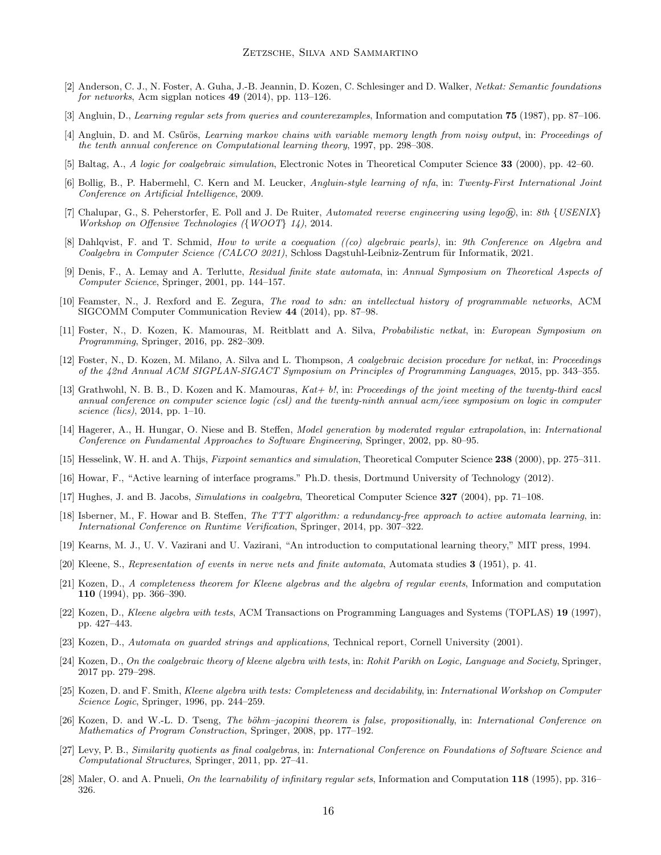- <span id="page-15-4"></span>[2] Anderson, C. J., N. Foster, A. Guha, J.-B. Jeannin, D. Kozen, C. Schlesinger and D. Walker, Netkat: Semantic foundations for networks, Acm sigplan notices 49 (2014), pp. 113–126.
- <span id="page-15-15"></span><span id="page-15-2"></span>[3] Angluin, D., Learning regular sets from queries and counterexamples, Information and computation 75 (1987), pp. 87–106.
- [4] Angluin, D. and M. Csűrös, Learning markov chains with variable memory length from noisy output, in: Proceedings of the tenth annual conference on Computational learning theory, 1997, pp. 298–308.
- <span id="page-15-23"></span><span id="page-15-17"></span>[5] Baltag, A., A logic for coalgebraic simulation, Electronic Notes in Theoretical Computer Science 33 (2000), pp. 42–60.
- [6] Bollig, B., P. Habermehl, C. Kern and M. Leucker, Angluin-style learning of nfa, in: Twenty-First International Joint Conference on Artificial Intelligence, 2009.
- <span id="page-15-0"></span>[7] Chalupar, G., S. Peherstorfer, E. Poll and J. De Ruiter, Automated reverse engineering using lego $\hat{p}$ , in: 8th {USENIX} Workshop on Offensive Technologies ({WOOT} 14), 2014.
- <span id="page-15-11"></span>[8] Dahlqvist, F. and T. Schmid, How to write a coequation ((co) algebraic pearls), in: 9th Conference on Algebra and Coalgebra in Computer Science (CALCO 2021), Schloss Dagstuhl-Leibniz-Zentrum für Informatik, 2021.
- <span id="page-15-16"></span>[9] Denis, F., A. Lemay and A. Terlutte, Residual finite state automata, in: Annual Symposium on Theoretical Aspects of Computer Science, Springer, 2001, pp. 144–157.
- <span id="page-15-3"></span>[10] Feamster, N., J. Rexford and E. Zegura, The road to sdn: an intellectual history of programmable networks, ACM SIGCOMM Computer Communication Review 44 (2014), pp. 87–98.
- <span id="page-15-22"></span>[11] Foster, N., D. Kozen, K. Mamouras, M. Reitblatt and A. Silva, Probabilistic netkat, in: European Symposium on Programming, Springer, 2016, pp. 282–309.
- <span id="page-15-8"></span>[12] Foster, N., D. Kozen, M. Milano, A. Silva and L. Thompson, A coalgebraic decision procedure for netkat, in: Proceedings of the 42nd Annual ACM SIGPLAN-SIGACT Symposium on Principles of Programming Languages, 2015, pp. 343–355.
- <span id="page-15-21"></span>[13] Grathwohl, N. B. B., D. Kozen and K. Mamouras, Kat+ b!, in: Proceedings of the joint meeting of the twenty-third eacsl annual conference on computer science logic (csl) and the twenty-ninth annual acm/ieee symposium on logic in computer science (lics), 2014, pp. 1–10.
- <span id="page-15-1"></span>[14] Hagerer, A., H. Hungar, O. Niese and B. Steffen, Model generation by moderated regular extrapolation, in: International Conference on Fundamental Approaches to Software Engineering, Springer, 2002, pp. 80–95.
- <span id="page-15-25"></span><span id="page-15-18"></span>[15] Hesselink, W. H. and A. Thijs, Fixpoint semantics and simulation, Theoretical Computer Science 238 (2000), pp. 275–311.
- <span id="page-15-24"></span>[16] Howar, F., "Active learning of interface programs." Ph.D. thesis, Dortmund University of Technology (2012).
- <span id="page-15-20"></span>[17] Hughes, J. and B. Jacobs, Simulations in coalgebra, Theoretical Computer Science 327 (2004), pp. 71–108.
- [18] Isberner, M., F. Howar and B. Steffen, The TTT algorithm: a redundancy-free approach to active automata learning, in: International Conference on Runtime Verification, Springer, 2014, pp. 307–322.
- <span id="page-15-19"></span><span id="page-15-6"></span>[19] Kearns, M. J., U. V. Vazirani and U. Vazirani, "An introduction to computational learning theory," MIT press, 1994.
- <span id="page-15-5"></span>[20] Kleene, S., Representation of events in nerve nets and finite automata, Automata studies 3 (1951), p. 41.
- [21] Kozen, D., A completeness theorem for Kleene algebras and the algebra of regular events, Information and computation 110 (1994), pp. 366–390.
- <span id="page-15-7"></span>[22] Kozen, D., Kleene algebra with tests, ACM Transactions on Programming Languages and Systems (TOPLAS) 19 (1997), pp. 427–443.
- <span id="page-15-14"></span><span id="page-15-10"></span>[23] Kozen, D., Automata on guarded strings and applications, Technical report, Cornell University (2001).
- [24] Kozen, D., On the coalgebraic theory of kleene algebra with tests, in: Rohit Parikh on Logic, Language and Society, Springer, 2017 pp. 279–298.
- <span id="page-15-12"></span>[25] Kozen, D. and F. Smith, Kleene algebra with tests: Completeness and decidability, in: International Workshop on Computer Science Logic, Springer, 1996, pp. 244–259.
- <span id="page-15-13"></span>[26] Kozen, D. and W.-L. D. Tseng, The böhm–jacopini theorem is false, propositionally, in: International Conference on Mathematics of Program Construction, Springer, 2008, pp. 177–192.
- <span id="page-15-26"></span>[27] Levy, P. B., Similarity quotients as final coalgebras, in: International Conference on Foundations of Software Science and Computational Structures, Springer, 2011, pp. 27–41.
- <span id="page-15-9"></span>[28] Maler, O. and A. Pnueli, On the learnability of infinitary regular sets, Information and Computation 118 (1995), pp. 316– 326.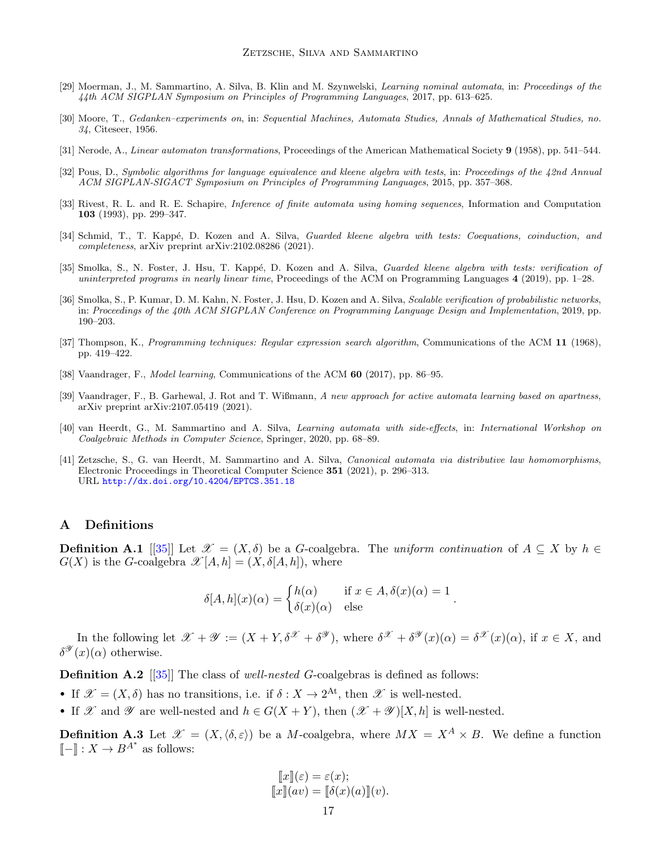- <span id="page-16-10"></span><span id="page-16-4"></span>[29] Moerman, J., M. Sammartino, A. Silva, B. Klin and M. Szynwelski, Learning nominal automata, in: Proceedings of the 44th ACM SIGPLAN Symposium on Principles of Programming Languages, 2017, pp. 613–625.
- [30] Moore, T., Gedanken–experiments on, in: Sequential Machines, Automata Studies, Annals of Mathematical Studies, no. 34, Citeseer, 1956.
- <span id="page-16-9"></span><span id="page-16-7"></span>[31] Nerode, A., Linear automaton transformations, Proceedings of the American Mathematical Society 9 (1958), pp. 541–544.
- <span id="page-16-8"></span>[32] Pous, D., Symbolic algorithms for language equivalence and kleene algebra with tests, in: Proceedings of the 42nd Annual ACM SIGPLAN-SIGACT Symposium on Principles of Programming Languages, 2015, pp. 357–368.
- [33] Rivest, R. L. and R. E. Schapire, *Inference of finite automata using homing sequences*, Information and Computation 103 (1993), pp. 299–347.
- <span id="page-16-6"></span>[34] Schmid, T., T. Kappé, D. Kozen and A. Silva, Guarded kleene algebra with tests: Coequations, coinduction, and completeness, arXiv preprint arXiv:2102.08286 (2021).
- <span id="page-16-2"></span>[35] Smolka, S., N. Foster, J. Hsu, T. Kappé, D. Kozen and A. Silva, Guarded kleene algebra with tests: verification of uninterpreted programs in nearly linear time, Proceedings of the ACM on Programming Languages 4 (2019), pp. 1–28.
- <span id="page-16-1"></span>[36] Smolka, S., P. Kumar, D. M. Kahn, N. Foster, J. Hsu, D. Kozen and A. Silva, *Scalable verification of probabilistic networks*, in: Proceedings of the 40th ACM SIGPLAN Conference on Programming Language Design and Implementation, 2019, pp. 190–203.
- <span id="page-16-5"></span>[37] Thompson, K., *Programming techniques: Regular expression search algorithm*, Communications of the ACM 11 (1968), pp. 419–422.
- <span id="page-16-13"></span><span id="page-16-0"></span>[38] Vaandrager, F., Model learning, Communications of the ACM 60 (2017), pp. 86–95.
- [39] Vaandrager, F., B. Garhewal, J. Rot and T. Wißmann, A new approach for active automata learning based on apartness, arXiv preprint arXiv:2107.05419 (2021).
- <span id="page-16-12"></span>[40] van Heerdt, G., M. Sammartino and A. Silva, Learning automata with side-effects, in: International Workshop on Coalgebraic Methods in Computer Science, Springer, 2020, pp. 68–89.
- <span id="page-16-11"></span>[41] Zetzsche, S., G. van Heerdt, M. Sammartino and A. Silva, Canonical automata via distributive law homomorphisms, Electronic Proceedings in Theoretical Computer Science 351 (2021), p. 296–313. URL <http://dx.doi.org/10.4204/EPTCS.351.18>

## A Definitions

**Definition A.1** [[\[35\]](#page-16-2)] Let  $\mathcal{X} = (X, \delta)$  be a G-coalgebra. The uniform continuation of  $A \subseteq X$  by  $h \in$  $G(X)$  is the G-coalgebra  $\mathscr{X}[A,h] = (X,\delta[A,h])$ , where

$$
\delta[A, h](x)(\alpha) = \begin{cases} h(\alpha) & \text{if } x \in A, \delta(x)(\alpha) = 1 \\ \delta(x)(\alpha) & \text{else} \end{cases}.
$$

In the following let  $\mathscr{X} + \mathscr{Y} := (X + Y, \delta^{\mathscr{X}} + \delta^{\mathscr{Y}})$ , where  $\delta^{\mathscr{X}} + \delta^{\mathscr{Y}}(x)(\alpha) = \delta^{\mathscr{X}}(x)(\alpha)$ , if  $x \in X$ , and  $\delta^{\mathscr{Y}}(x)(\alpha)$  otherwise.

**Definition A.2** [[\[35\]](#page-16-2)] The class of well-nested G-coalgebras is defined as follows:

- If  $\mathscr{X} = (X, \delta)$  has no transitions, i.e. if  $\delta : X \to 2^{\text{At}}$ , then  $\mathscr{X}$  is well-nested.
- If X and V are well-nested and  $h \in G(X + Y)$ , then  $(\mathscr{X} + \mathscr{Y})[X, h]$  is well-nested.

<span id="page-16-3"></span>**Definition A.3** Let  $\mathscr{X} = (X, \langle \delta, \varepsilon \rangle)$  be a *M*-coalgebra, where  $MX = X^A \times B$ . We define a function  $\llbracket - \rrbracket$  :  $X \to B^{A^*}$  as follows:

$$
\llbracket x \rrbracket(\varepsilon) = \varepsilon(x);
$$
  

$$
\llbracket x \rrbracket(av) = \llbracket \delta(x)(a) \rrbracket(v).
$$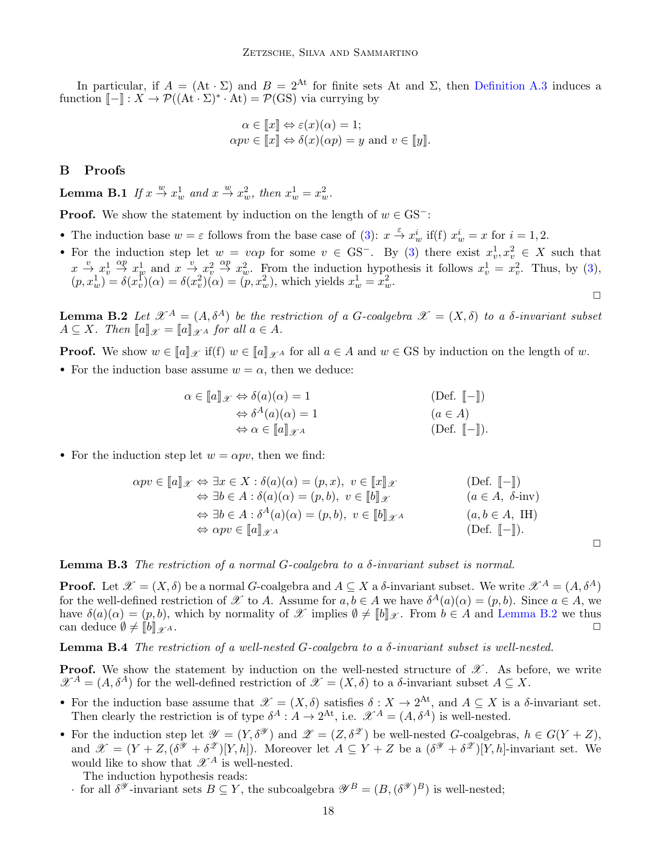In particular, if  $A = (At \cdot \Sigma)$  and  $B = 2^{At}$  for finite sets At and  $\Sigma$ , then [Definition A.3](#page-16-3) induces a function  $\llbracket - \rrbracket : X \to \mathcal{P}((\mathbf{At} \cdot \Sigma)^* \cdot \mathbf{At}) = \mathcal{P}(\mathbf{GS})$  via currying by

$$
\alpha \in \llbracket x \rrbracket \Leftrightarrow \varepsilon(x)(\alpha) = 1; \n\alpha pv \in \llbracket x \rrbracket \Leftrightarrow \delta(x)(\alpha p) = y \text{ and } v \in \llbracket y \rrbracket
$$

### B Proofs

**Lemma B.1** If  $x \stackrel{w}{\rightarrow} x_w^1$  and  $x \stackrel{w}{\rightarrow} x_w^2$ , then  $x_w^1 = x_w^2$ .

**Proof.** We show the statement by induction on the length of  $w \in \text{GS}^-$ :

- The induction base  $w = \varepsilon$  follows from the base case of [\(3\)](#page-7-2):  $x \stackrel{\varepsilon}{\to} x_w^i$  if(f)  $x_w^i = x$  for  $i = 1, 2$ .
- For the induction step let  $w = v \alpha p$  for some  $v \in \text{GS}^-$ . By [\(3\)](#page-7-2) there exist  $x_v^1, x_v^2 \in X$  such that  $x \stackrel{v}{\rightarrow} x_v^1 \stackrel{\alpha p}{\rightarrow} x_w^1$  and  $x \stackrel{v}{\rightarrow} x_v^2 \stackrel{\alpha p}{\rightarrow} x_w^2$ . From the induction hypothesis it follows  $x_v^1 = x_v^2$ . Thus, by [\(3\)](#page-7-2),  $(p, x_w^1) = \delta(x_v^1)(\alpha) = \delta(x_v^2)(\alpha) = (p, x_w^2)$ , which yields  $x_w^1 = x_w^2$ .

<span id="page-17-0"></span>**Lemma B.2** Let  $\mathcal{X}^A = (A, \delta^A)$  be the restriction of a G-coalgebra  $\mathcal{X} = (X, \delta)$  to a  $\delta$ -invariant subset  $A \subseteq X$ . Then  $[[a]]_{\mathscr{X}} = [[a]]_{\mathscr{X}^A}$  for all  $a \in A$ .

**Proof.** We show  $w \in [a]_{\mathscr{X}}$  if(f)  $w \in [a]_{\mathscr{X}}$  for all  $a \in A$  and  $w \in GS$  by induction on the length of w.

• For the induction base assume  $w = \alpha$ , then we deduce:

$$
\alpha \in [\![a]\!]_{\mathscr{X}} \Leftrightarrow \delta(a)(\alpha) = 1
$$
\n
$$
\Leftrightarrow \delta^A(a)(\alpha) = 1
$$
\n
$$
\Leftrightarrow \alpha \in [\![a]\!]_{\mathscr{X}^A}
$$
\n
$$
(Def. [\![-]\!])
$$
\n
$$
(a \in A)
$$
\n
$$
(Def. [\![-]\!]).
$$

• For the induction step let  $w = \alpha pv$ , then we find:

$$
\alpha pv \in [\![a]\!]_{\mathscr{X}} \Leftrightarrow \exists x \in X : \delta(a)(\alpha) = (p, x), \ v \in [\![x]\!]_{\mathscr{X}} \qquad (\text{Def. } [\![-]\!])
$$
  
\n
$$
\Leftrightarrow \exists b \in A : \delta(a)(\alpha) = (p, b), \ v \in [\![b]\!]_{\mathscr{X}} \qquad (a \in A, \ \delta\text{-inv})
$$
  
\n
$$
\Leftrightarrow \exists b \in A : \delta^A(a)(\alpha) = (p, b), \ v \in [\![b]\!]_{\mathscr{X}} \qquad (a, b \in A, \ \text{IH})
$$
  
\n
$$
\Leftrightarrow \alpha pv \in [\![a]\!]_{\mathscr{X}} \qquad (\text{Def. } [\![-]\!]).
$$

<span id="page-17-2"></span>**Lemma B.3** The restriction of a normal  $G$ -coalgebra to a  $\delta$ -invariant subset is normal.

**Proof.** Let  $\mathscr{X} = (X, \delta)$  be a normal G-coalgebra and  $A \subseteq X$  a  $\delta$ -invariant subset. We write  $\mathscr{X}^A = (A, \delta^A)$ for the well-defined restriction of X to A. Assume for  $a, b \in A$  we have  $\delta^A(a)(\alpha) = (p, b)$ . Since  $a \in A$ , we have  $\delta(a)(\alpha) = (p, b)$ , which by normality of X implies  $\emptyset \neq [b]_{\mathscr{X}}$ . From  $b \in A$  and [Lemma B.2](#page-17-0) we thus can deduce  $\emptyset \neq \llbracket b \rrbracket_{\mathscr{X}^A}$ .

<span id="page-17-1"></span>**Lemma B.4** The restriction of a well-nested G-coalgebra to a  $\delta$ -invariant subset is well-nested.

**Proof.** We show the statement by induction on the well-nested structure of  $\mathscr{X}$ . As before, we write  $\mathscr{X}^A = (A, \delta^A)$  for the well-defined restriction of  $\mathscr{X} = (X, \delta)$  to a  $\delta$ -invariant subset  $A \subseteq X$ .

- For the induction base assume that  $\mathscr{X} = (X, \delta)$  satisfies  $\delta : X \to 2^{\text{At}}$ , and  $A \subseteq X$  is a  $\delta$ -invariant set. Then clearly the restriction is of type  $\delta^A : A \to 2^{\text{At}}$ , i.e.  $\mathscr{X}^A = (A, \delta^A)$  is well-nested.
- For the induction step let  $\mathscr{Y} = (Y, \delta^{\mathscr{Y}})$  and  $\mathscr{Z} = (Z, \delta^{\mathscr{Z}})$  be well-nested G-coalgebras,  $h \in G(Y + Z)$ , and  $\mathscr{X} = (Y + Z, (\delta^{\mathscr{Y}} + \delta^{\mathscr{Z}})[Y, h])$ . Moreover let  $A \subseteq Y + Z$  be a  $(\delta^{\mathscr{Y}} + \delta^{\mathscr{Z}})[Y, h]$ -invariant set. We would like to show that  $\mathscr{X}^A$  is well-nested.

The induction hypothesis reads:

for all  $\delta^{\mathscr{Y}}$ -invariant sets  $B \subseteq Y$ , the subcoalgebra  $\mathscr{Y}^B = (B, (\delta^{\mathscr{Y}})^B)$  is well-nested;

 $\Box$ 

 $\Box$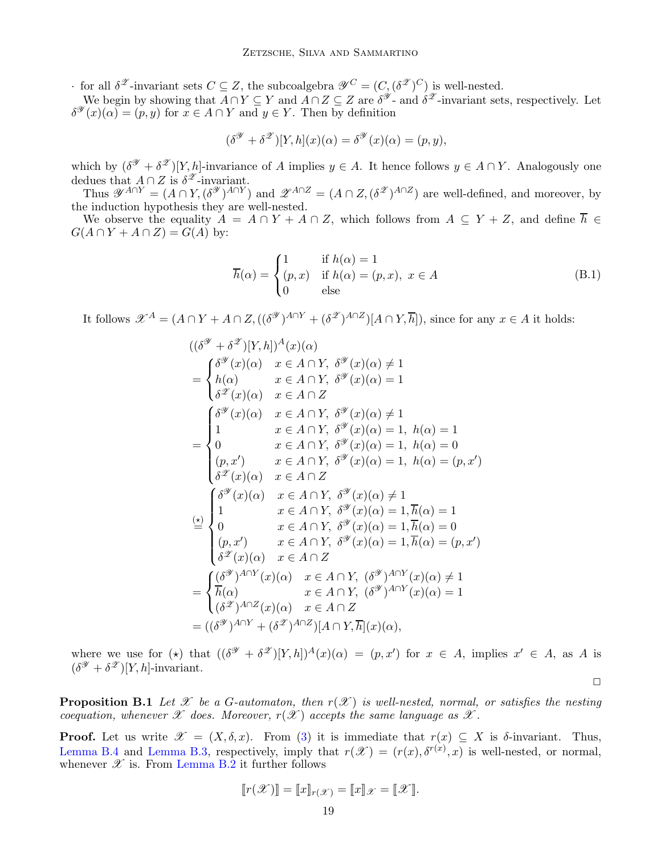for all  $\delta^{\mathscr{Z}}$ -invariant sets  $C \subseteq Z$ , the subcoalgebra  $\mathscr{Y}^C = (C, (\delta^{\mathscr{Z}})^C)$  is well-nested.

We begin by showing that  $A \cap Y \subseteq Y$  and  $\overline{A} \cap Z \subseteq Z$  are  $\delta^{\mathscr{Y}}$ - and  $\delta^{\mathscr{Z}}$ -invariant sets, respectively. Let  $\delta^{\mathscr{Y}}(x)(\alpha) = (p, y)$  for  $x \in A \cap Y$  and  $y \in Y$ . Then by definition

$$
(\delta^{\mathscr{Y}} + \delta^{\mathscr{Z}})[Y, h](x)(\alpha) = \delta^{\mathscr{Y}}(x)(\alpha) = (p, y),
$$

which by  $(\delta^{\mathscr{Y}} + \delta^{\mathscr{Z}})[Y,h]$ -invariance of A implies  $y \in A$ . It hence follows  $y \in A \cap Y$ . Analogously one dedues that  $A \cap Z$  is  $\delta^{\mathscr{Z}}$ -invariant.

Thus  $\mathscr{Y}^{A\cap Y} = (A \cap Y, (\delta^{\mathscr{Y}})^{A\cap Y})$  and  $\mathscr{Z}^{A\cap Z} = (A \cap Z, (\delta^{\mathscr{Z}})^{A\cap Z})$  are well-defined, and moreover, by the induction hypothesis they are well-nested.

We observe the equality  $A = A \cap Y + A \cap Z$ , which follows from  $A \subseteq Y + Z$ , and define  $\overline{h} \in \overline{A}$  $G(A \cap Y + A \cap Z) = G(A)$  by:

$$
\overline{h}(\alpha) = \begin{cases}\n1 & \text{if } h(\alpha) = 1 \\
(p, x) & \text{if } h(\alpha) = (p, x), \ x \in A \\
0 & \text{else}\n\end{cases}
$$
\n(B.1)

 $\Box$ 

It follows  $\mathscr{X}^A = (A \cap Y + A \cap Z, ((\delta^{\mathscr{Y}})^{A \cap Y} + (\delta^{\mathscr{Z}})^{A \cap Z})[A \cap Y, \overline{h}])$ , since for any  $x \in A$  it holds:

$$
((\delta^{\mathcal{Y}} + \delta^{\mathcal{Z}})[Y, h])^{A}(x)(\alpha)
$$
\n
$$
= \begin{cases}\n\delta^{\mathcal{Y}}(x)(\alpha) & x \in A \cap Y, \ \delta^{\mathcal{Y}}(x)(\alpha) \neq 1 \\
h(\alpha) & x \in A \cap Y, \ \delta^{\mathcal{Y}}(x)(\alpha) = 1\n\end{cases}
$$
\n
$$
= \begin{cases}\n\delta^{\mathcal{Y}}(x)(\alpha) & x \in A \cap Y, \ \delta^{\mathcal{Y}}(x)(\alpha) \neq 1 \\
1 & x \in A \cap Y, \ \delta^{\mathcal{Y}}(x)(\alpha) = 1, \ h(\alpha) = 1 \\
0 & x \in A \cap Y, \ \delta^{\mathcal{Y}}(x)(\alpha) = 1, \ h(\alpha) = 0 \\
(p, x') & x \in A \cap Y, \ \delta^{\mathcal{Y}}(x)(\alpha) = 1, \ h(\alpha) = (p, x')\n\end{cases}
$$
\n
$$
\delta^{\mathcal{Z}}(x)(\alpha) & x \in A \cap Y, \ \delta^{\mathcal{Y}}(x)(\alpha) \neq 1
$$
\n
$$
= \begin{cases}\n\delta^{\mathcal{Y}}(x)(\alpha) & x \in A \cap Y, \ \delta^{\mathcal{Y}}(x)(\alpha) \neq 1 \\
1 & x \in A \cap Y, \ \delta^{\mathcal{Y}}(x)(\alpha) = 1, \overline{h}(\alpha) = 1 \\
0 & x \in A \cap Y, \ \delta^{\mathcal{Y}}(x)(\alpha) = 1, \overline{h}(\alpha) = 0 \\
(p, x') & x \in A \cap Y, \ \delta^{\mathcal{Y}}(x)(\alpha) = 1, \overline{h}(\alpha) = (p, x')\n\end{cases}
$$
\n
$$
= \begin{cases}\n\delta^{\mathcal{Y}})^{A \cap Y}(x)(\alpha) & x \in A \cap Y, \ (\delta^{\mathcal{Y}})^{A \cap Y}(x)(\alpha) \neq 1 \\
\overline{h}(\alpha) & x \in A \cap Y, \ (\delta^{\mathcal{Y}})^{A \cap Y}(x)(\alpha) = 1 \\
(\delta^{\mathcal{Z}})^{A \cap Y}(x)(\alpha) & x \in A \cap Y, \ (\delta^{\mathcal{Y}})^{A \cap Y}(x)(\alpha) = 1\n\end{cases
$$

where we use for (\*) that  $((\delta^{\mathscr{Y}} + \delta^{\mathscr{Z}})[Y,h])^A(x)(\alpha) = (p,x')$  for  $x \in A$ , implies  $x' \in A$ , as A is  $(\delta^{\mathscr{Y}} + \delta^{\mathscr{Z}})[Y,h]$ -invariant.

**Proposition B.1** Let X be a G-automaton, then  $r(\mathcal{X})$  is well-nested, normal, or satisfies the nesting coequation, whenever  $\mathscr X$  does. Moreover,  $r(\mathscr X)$  accepts the same language as  $\mathscr X$ .

**Proof.** Let us write  $\mathscr{X} = (X, \delta, x)$ . From [\(3\)](#page-7-2) it is immediate that  $r(x) \subseteq X$  is  $\delta$ -invariant. Thus, [Lemma B.4](#page-17-1) and [Lemma B.3,](#page-17-2) respectively, imply that  $r(\mathcal{X}) = (r(x), \delta^{r(x)}, x)$  is well-nested, or normal, whenever  $\mathscr X$  is. From [Lemma B.2](#page-17-0) it further follows

$$
[\![r(\mathscr{X})]\!] = [\![x]\!]_{r(\mathscr{X})} = [\![x]\!]_{\mathscr{X}} = [\![\mathscr{X}]\!].
$$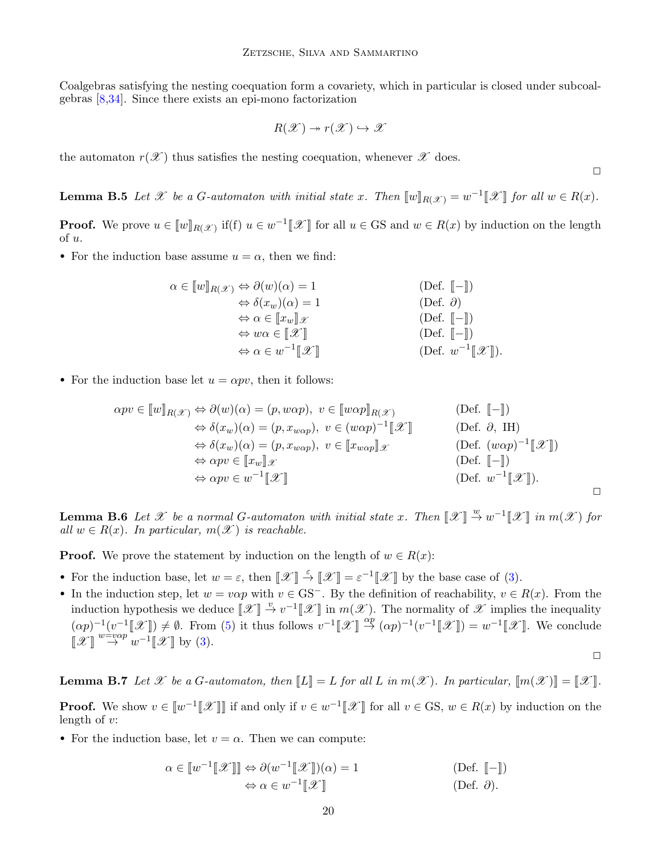Coalgebras satisfying the nesting coequation form a covariety, which in particular is closed under subcoalgebras [\[8,](#page-15-11)[34\]](#page-16-6). Since there exists an epi-mono factorization

$$
R(\mathscr{X}) \twoheadrightarrow r(\mathscr{X}) \hookrightarrow \mathscr{X}
$$

the automaton  $r(\mathscr{X})$  thus satisfies the nesting coequation, whenever  $\mathscr{X}$  does.

 $\Box$ 

**Lemma B.5** Let  $\mathscr X$  be a G-automaton with initial state x. Then  $[\![w]\!]_{R(\mathscr X)} = w^{-1}[\![\mathscr X]\!]$  for all  $w \in R(x)$ .

**Proof.** We prove  $u \in [w]_{R(\mathcal{X})}$  if(f)  $u \in w^{-1}[\mathcal{X}]$  for all  $u \in GS$  and  $w \in R(x)$  by induction on the length of u.

• For the induction base assume  $u = \alpha$ , then we find:

$$
\alpha \in [w]_{R(\mathscr{X})} \Leftrightarrow \partial(w)(\alpha) = 1
$$
\n
$$
\Leftrightarrow \delta(x_w)(\alpha) = 1
$$
\n
$$
\Leftrightarrow \alpha \in [x_w]_{\mathscr{X}}
$$
\n
$$
\Leftrightarrow w\alpha \in [\mathscr{X}]
$$
\n
$$
\Leftrightarrow \alpha \in w^{-1}[\mathscr{X}]
$$
\n
$$
\Box \text{Def. } [-\text{]}
$$
\n
$$
\Box \text{Def. } [-\text{]}
$$
\n
$$
\Box \text{Def. } [-\text{]}
$$
\n
$$
\Box \text{Def. } w^{-1}[\mathscr{X}]].
$$

• For the induction base let  $u = \alpha pv$ , then it follows:

$$
\alpha pv \in [w]_{R(\mathscr{X})} \Leftrightarrow \partial(w)(\alpha) = (p, w\alpha p), \ v \in [w\alpha p]_{R(\mathscr{X})} \qquad \text{(Def. } [-])
$$
  
\n
$$
\Leftrightarrow \delta(x_w)(\alpha) = (p, x_{w\alpha p}), \ v \in (w\alpha p)^{-1}[\mathscr{X}] \qquad \text{(Def. } \partial, \text{ IH})
$$
  
\n
$$
\Leftrightarrow \delta(x_w)(\alpha) = (p, x_{w\alpha p}), \ v \in [x_{w\alpha p}]\mathscr{X} \qquad \text{(Def. } (w\alpha p)^{-1}[\mathscr{X}])
$$
  
\n
$$
\Leftrightarrow \alpha pv \in [x_w]\mathscr{X} \qquad \text{(Def. } [-])
$$
  
\n
$$
\Leftrightarrow \alpha pv \in w^{-1}[\mathscr{X}] \qquad \text{(Def. } w^{-1}[\mathscr{X}]).
$$

**Lemma B.6** Let  $\mathscr X$  be a normal G-automaton with initial state x. Then  $\llbracket \mathscr X \rrbracket \stackrel{w}{\to} w^{-1} \llbracket \mathscr X \rrbracket$  in  $m(\mathscr X)$  for all  $w \in R(x)$ . In particular,  $m(\mathscr{X})$  is reachable.

**Proof.** We prove the statement by induction on the length of  $w \in R(x)$ :

- For the induction base, let  $w = \varepsilon$ , then  $\llbracket \mathcal{X} \rrbracket \stackrel{\varepsilon}{\rightarrow} \llbracket \mathcal{X} \rrbracket = \varepsilon^{-1} \llbracket \mathcal{X} \rrbracket$  by the base case of [\(3\)](#page-7-2).
- In the induction step, let  $w = v \alpha p$  with  $v \in \text{GS}^-$ . By the definition of reachability,  $v \in R(x)$ . From the induction hypothesis we deduce  $\llbracket \mathcal{X} \rrbracket \stackrel{v}{\to} v^{-1} \llbracket \mathcal{X} \rrbracket$  in  $m(\mathcal{X})$ . The normality of  $\mathcal{X}$  implies the inequality  $(\alpha p)^{-1}(v^{-1}[\mathscr{X}]) \neq \emptyset$ . From [\(5\)](#page-8-1) it thus follows  $v^{-1}[\mathscr{X}] \stackrel{\alpha p}{\rightarrow} (\alpha p)^{-1}(v^{-1}[\mathscr{X}]) = w^{-1}[\mathscr{X}]$ . We conclude  $[\mathscr{X}] \overset{w= v\alpha p}{\rightarrow} w^{-1}[\mathscr{X}]$  by [\(3\)](#page-7-2).

 $\Box$ 

**Lemma B.7** Let X be a G-automaton, then  $\llbracket L \rrbracket = L$  for all L in  $m(\mathscr{X})$ . In particular,  $\llbracket m(\mathscr{X}) \rrbracket = \llbracket \mathscr{X} \rrbracket$ . **Proof.** We show  $v \in [w^{-1}[\mathcal{X}]]$  if and only if  $v \in w^{-1}[\mathcal{X}]$  for all  $v \in \mathcal{GS}$ ,  $w \in R(x)$  by induction on the length of  $v$ :

• For the induction base, let  $v = \alpha$ . Then we can compute:

$$
\alpha \in [w^{-1}[\mathcal{X}]] \Leftrightarrow \partial(w^{-1}[\mathcal{X}]](\alpha) = 1
$$
\n
$$
\Leftrightarrow \alpha \in w^{-1}[\mathcal{X}]] \tag{Def. [-]}\n(\text{Def. } \mathcal{O}).
$$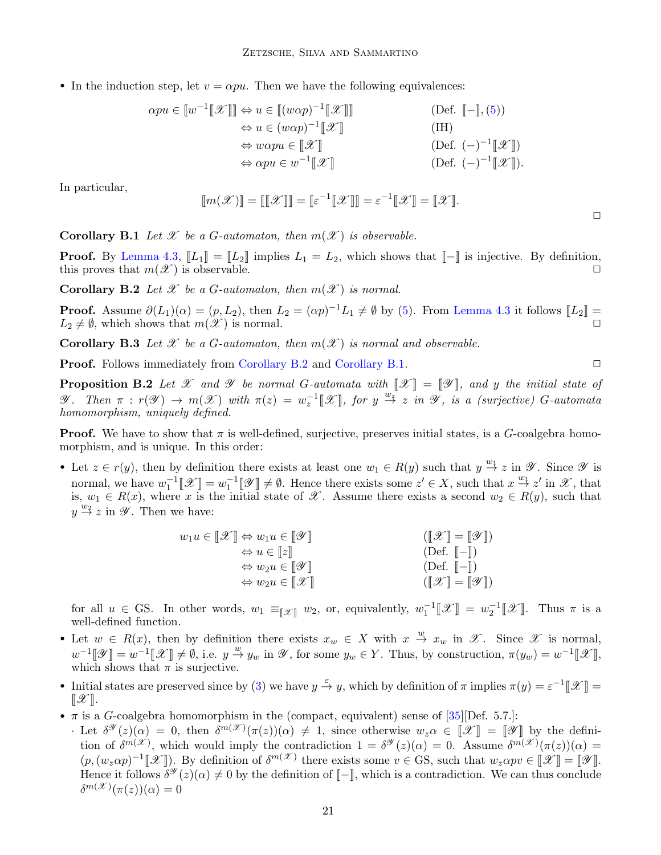• In the induction step, let  $v = \alpha p u$ . Then we have the following equivalences:

$$
\alpha pu \in [w^{-1}[\mathcal{X}]] \Leftrightarrow u \in [(w\alpha p)^{-1}[\mathcal{X}]] \qquad \text{(Def. } [-], (5))
$$
  
\n
$$
\Leftrightarrow u \in (w\alpha p)^{-1}[\mathcal{X}] \qquad \text{(IH)}
$$
  
\n
$$
\Leftrightarrow w\alpha pu \in [\mathcal{X}] \qquad \text{(Def. } (-)^{-1}[\mathcal{X}])
$$
  
\n
$$
\Leftrightarrow \alpha pu \in w^{-1}[\mathcal{X}] \qquad \text{(Def. } (-)^{-1}[\mathcal{X}]).
$$

In particular,

$$
\llbracket m(\mathscr{X}) \rrbracket = \llbracket \llbracket \mathscr{X} \rrbracket \rrbracket = \llbracket \varepsilon^{-1} \llbracket \mathscr{X} \rrbracket \rrbracket = \varepsilon^{-1} \llbracket \mathscr{X} \rrbracket = \llbracket \mathscr{X} \rrbracket.
$$

<span id="page-20-1"></span>**Corollary B.1** Let X be a G-automaton, then  $m(\mathcal{X})$  is observable.

**Proof.** By [Lemma 4.3,](#page-9-4)  $\llbracket L_1 \rrbracket = \llbracket L_2 \rrbracket$  implies  $L_1 = L_2$ , which shows that  $\llbracket - \rrbracket$  is injective. By definition, this proves that  $m(\mathscr{X})$  is observable.

<span id="page-20-0"></span>**Corollary B.2** Let X be a G-automaton, then  $m(\mathscr{X})$  is normal.

**Proof.** Assume  $\partial(L_1)(\alpha) = (p, L_2)$ , then  $L_2 = (\alpha p)^{-1}L_1 \neq \emptyset$  by [\(5\)](#page-8-1). From [Lemma 4.3](#page-9-4) it follows  $[[L_2]] =$  $L_2 \neq \emptyset$ , which shows that  $m(\mathscr{X})$  is normal.

**Corollary B.3** Let X be a G-automaton, then  $m(\mathcal{X})$  is normal and observable.

**Proof.** Follows immediately from [Corollary B.2](#page-20-0) and [Corollary B.1.](#page-20-1) ◯

**Proposition B.2** Let X and Y be normal G-automata with  $\mathcal{X}$  =  $\mathcal{Y}$ , and y the initial state of *V*. Then  $\pi$  :  $r(\mathscr{Y}) \to m(\mathscr{X})$  with  $\pi(z) = w_z^{-1}[\mathscr{X}],$  for  $y \stackrel{w_z}{\to} z$  in  $\mathscr{Y},$  is a (surjective) G-automata homomorphism, uniquely defined.

**Proof.** We have to show that  $\pi$  is well-defined, surjective, preserves initial states, is a G-coalgebra homomorphism, and is unique. In this order:

• Let  $z \in r(y)$ , then by definition there exists at least one  $w_1 \in R(y)$  such that  $y \stackrel{w_1}{\to} z$  in  $\mathscr Y$ . Since  $\mathscr Y$  is normal, we have  $w_1^{-1}[\mathcal{X}] = w_1^{-1}[\mathcal{Y}] \neq \emptyset$ . Hence there exists some  $z' \in X$ , such that  $x \stackrel{w_1}{\to} z'$  in  $\mathcal{X}$ , that is,  $w_1 \in R(x)$ , where x is the initial state of X. Assume there exists a second  $w_2 \in R(y)$ , such that  $y \stackrel{w_2}{\rightarrow} z$  in  $\mathscr Y$ . Then we have:

| $w_1u \in \llbracket \mathcal{X} \rrbracket \Leftrightarrow w_1u \in \llbracket \mathcal{Y} \rrbracket$ | $(\llbracket \mathcal{X} \rrbracket = \llbracket \mathcal{Y} \rrbracket)$ |
|---------------------------------------------------------------------------------------------------------|---------------------------------------------------------------------------|
| $\Leftrightarrow u \in [z]$                                                                             | $(\text{Def. } \llbracket - \rrbracket)$                                  |
| $\Leftrightarrow$ $w_2u \in \llbracket \mathscr{Y} \rrbracket$                                          | $(Def. \parallel - \parallel)$                                            |
| $\Leftrightarrow$ $w_2u \in \llbracket \mathcal{X} \rrbracket$                                          | $(\llbracket \mathcal{X} \rrbracket = \llbracket \mathcal{Y} \rrbracket)$ |

for all  $u \in \text{GS}$ . In other words,  $w_1 \equiv_{\llbracket \mathscr{X} \rrbracket} w_2$ , or, equivalently,  $w_1^{-1} \llbracket \mathscr{X} \rrbracket = w_2^{-1} \llbracket \mathscr{X} \rrbracket$ . Thus  $\pi$  is a well-defined function.

- Let  $w \in R(x)$ , then by definition there exists  $x_w \in X$  with  $x \stackrel{w}{\to} x_w$  in  $\mathscr{X}$ . Since  $\mathscr{X}$  is normal,  $w^{-1}[\mathscr{Y}] = w^{-1}[\mathscr{X}] \neq \emptyset$ , i.e.  $y \stackrel{w}{\rightarrow} y_w$  in  $\mathscr{Y}$ , for some  $y_w \in Y$ . Thus, by construction,  $\pi(y_w) = w^{-1}[\mathscr{X}]$ , which shows that  $\pi$  is surjective.
- Initial states are preserved since by [\(3\)](#page-7-2) we have  $y \stackrel{\varepsilon}{\rightarrow} y$ , which by definition of  $\pi$  implies  $\pi(y) = \varepsilon^{-1} [\mathscr{X}] =$  $\llbracket \mathscr{X} \rrbracket$ .
- $\pi$  is a *G*-coalgebra homomorphism in the (compact, equivalent) sense of [\[35\]](#page-16-2)[Def. 5.7.]:
- · Let  $\delta^{\mathscr{Y}}(z)(\alpha) = 0$ , then  $\delta^{m(\mathscr{X})}(\pi(z))(\alpha) \neq 1$ , since otherwise  $w_z \alpha \in [\mathscr{X}] = [\mathscr{Y}]$  by the definition of  $\delta^{m(\mathscr{X})}$ , which would imply the contradiction  $1 = \delta^{\mathscr{Y}}(z)(\alpha) = 0$ . Assume  $\delta^{m(\mathscr{X})}(\pi(z))(\alpha) = 0$  $(p,(w_z\alpha p)^{-1}[\mathscr{X}])$ . By definition of  $\delta^{m(\mathscr{X})}$  there exists some  $v \in \overline{GS}$ , such that  $w_z \alpha pv \in [\mathscr{X}] = [\mathscr{Y}]$ . Hence it follows  $\delta^{\mathscr{Y}}(z)(\alpha) \neq 0$  by the definition of  $\llbracket - \rrbracket$ , which is a contradiction. We can thus conclude  $\delta^{m(\mathscr{X})}(\pi(z))(\alpha) = 0$

 $\Box$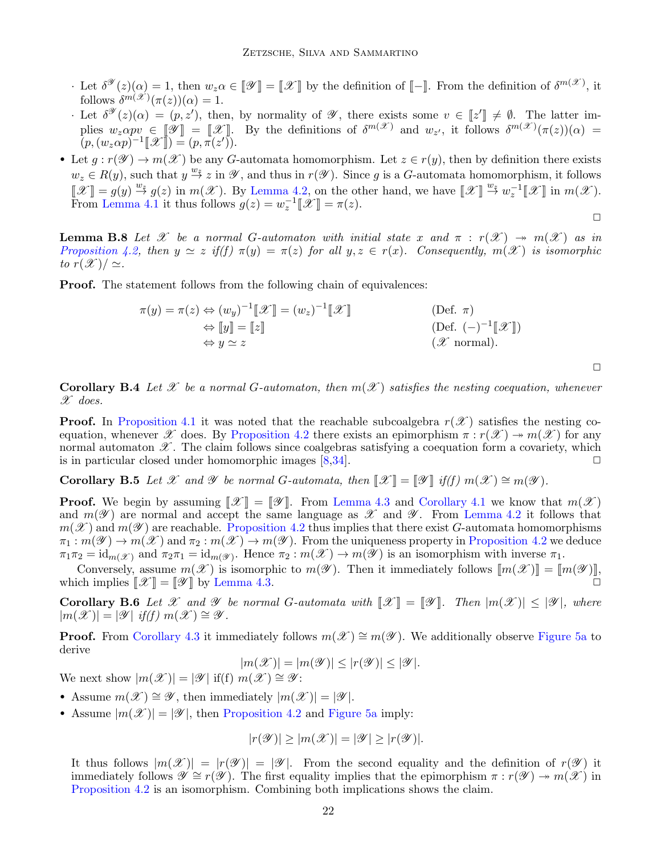- Let  $\delta^{\mathscr{Y}}(z)(\alpha) = 1$ , then  $w_z \alpha \in [\mathscr{Y}] = [\mathscr{X}]$  by the definition of  $[\![ ]\!]$ . From the definition of  $\delta^{m(\mathscr{X})}$ , it follows  $\delta^{m(\mathscr{X})}(\pi(z))(\alpha) = 1.$
- · Let  $\delta^{\mathscr{Y}}(z)(\alpha) = (p, z')$ , then, by normality of  $\mathscr{Y}$ , there exists some  $v \in [z'] \neq \emptyset$ . The latter implies  $w_z \alpha p v \in [\mathscr{Y}] = [\mathscr{X}]$ . By the definitions of  $\delta^{m(\mathscr{X})}$  and  $w_{z'}$ , it follows  $\delta^{m(\mathscr{X})}(\pi(z))(\alpha) =$  $(p, (w_z \alpha p)^{-1} \llbracket \mathcal{X} \rrbracket) = (p, \pi(z)^t).$
- Let  $g: r(\mathscr{Y}) \to m(\mathscr{X})$  be any G-automata homomorphism. Let  $z \in r(y)$ , then by definition there exists  $w_z \in R(y)$ , such that  $y \stackrel{w_z}{\to} z$  in  $\mathscr Y$ , and thus in  $r(\mathscr Y)$ . Since g is a G-automata homomorphism, it follows  $\llbracket \mathcal{X} \rrbracket = g(y) \stackrel{w_{\xi}}{\rightarrow} g(z)$  in  $m(\mathcal{X})$ . By [Lemma 4.2,](#page-8-3) on the other hand, we have  $\llbracket \mathcal{X} \rrbracket \stackrel{w_{\xi}}{\rightarrow} w_{z}^{-1} \llbracket \mathcal{X} \rrbracket$  in  $m(\mathcal{X})$ . From [Lemma 4.1](#page-8-4) it thus follows  $g(z) = w_z^{-1} \llbracket \mathcal{X} \rrbracket = \pi(z)$ .

**Lemma B.8** Let X be a normal G-automaton with initial state x and  $\pi$  :  $r(\mathcal{X}) \rightarrow m(\mathcal{X})$  as in [Proposition 4.2,](#page-9-5) then  $y \simeq z$  if(f)  $\pi(y) = \pi(z)$  for all  $y, z \in r(x)$ . Consequently,  $m(\mathscr{X})$  is isomorphic to  $r(\mathscr{X})/\simeq$ .

**Proof.** The statement follows from the following chain of equivalences:

$$
\pi(y) = \pi(z) \Leftrightarrow (w_y)^{-1} [\mathcal{X}] = (w_z)^{-1} [\mathcal{X}]
$$
\n
$$
\Leftrightarrow [\![y]\!] = [\![z]\!] \qquad (Def. \ \pi)
$$
\n
$$
\Leftrightarrow y \simeq z \qquad (Z \text{ normal}).
$$

 $\Box$ 

 $\Box$ 

**Corollary B.4** Let X be a normal G-automaton, then  $m(\mathcal{X})$  satisfies the nesting coequation, whenever  $\mathscr{X}$  does.

**Proof.** In [Proposition 4.1](#page-8-2) it was noted that the reachable subcoalgebra  $r(\mathscr{X})$  satisfies the nesting co-equation, whenever X does. By [Proposition 4.2](#page-9-5) there exists an epimorphism  $\pi : r(\mathcal{X}) \to m(\mathcal{X})$  for any normal automaton  $\mathscr X$ . The claim follows since coalgebras satisfying a coequation form a covariety, which is in particular closed under homomorphic images  $[8,34]$  $[8,34]$ .

Corollary B.5 Let X and Y be normal G-automata, then  $\mathcal{X} \equiv \mathcal{Y}$  if(f)  $m(\mathcal{X}) \cong m(\mathcal{Y})$ .

**Proof.** We begin by assuming  $\mathcal{X}$  =  $\mathcal{Y}$ . From [Lemma 4.3](#page-9-4) and [Corollary 4.1](#page-9-7) we know that  $m(\mathcal{X})$ and  $m(\mathscr{Y})$  are normal and accept the same language as  $\mathscr{X}$  and  $\mathscr{Y}$ . From [Lemma 4.2](#page-8-3) it follows that  $m(\mathscr{X})$  and  $m(\mathscr{Y})$  are reachable. [Proposition 4.2](#page-9-5) thus implies that there exist G-automata homomorphisms  $\pi_1 : m(\mathscr{Y}) \to m(\mathscr{X})$  and  $\pi_2 : m(\mathscr{X}) \to m(\mathscr{Y})$ . From the uniqueness property in [Proposition 4.2](#page-9-5) we deduce  $\pi_1 \pi_2 = \mathrm{id}_{m(\mathscr{X})}$  and  $\pi_2 \pi_1 = \mathrm{id}_{m(\mathscr{Y})}$ . Hence  $\pi_2 : m(\mathscr{X}) \to m(\mathscr{Y})$  is an isomorphism with inverse  $\pi_1$ .

Conversely, assume  $m(\mathscr{X})$  is isomorphic to  $m(\mathscr{Y})$ . Then it immediately follows  $\llbracket m(\mathscr{X}) \rrbracket = \llbracket m(\mathscr{Y}) \rrbracket$ , which implies  $\mathcal{X}$  =  $\mathcal{Y}$  by [Lemma 4.3.](#page-9-4)

**Corollary B.6** Let X and V be normal G-automata with  $\mathcal{X} \parallel = \mathcal{Y} \parallel$ . Then  $|m(\mathcal{X})| \leq |\mathcal{Y}|$ , where  $|m(\mathscr{X})| = |\mathscr{Y}|$  if(f)  $m(\mathscr{X}) \cong \mathscr{Y}$ .

**Proof.** From [Corollary 4.3](#page-9-1) it immediately follows  $m(\mathscr{X}) \cong m(\mathscr{Y})$ . We additionally observe [Figure 5a](#page-9-6) to derive

$$
|m(\mathscr{X})|=|m(\mathscr{Y})|\leq |r(\mathscr{Y})|\leq |\mathscr{Y}|.
$$

We next show  $|m(\mathscr{X})| = |\mathscr{Y}|$  if(f)  $m(\mathscr{X}) \cong \mathscr{Y}$ :

- Assume  $m(\mathscr{X}) \cong \mathscr{Y}$ , then immediately  $|m(\mathscr{X})| = |\mathscr{Y}|$ .
- Assume  $|m(\mathscr{X})| = |\mathscr{Y}|$ , then [Proposition 4.2](#page-9-5) and [Figure 5a](#page-9-6) imply:

$$
|r(\mathscr{Y})| \ge |m(\mathscr{X})| = |\mathscr{Y}| \ge |r(\mathscr{Y})|.
$$

It thus follows  $|m(\mathscr{X})| = |r(\mathscr{Y})| = |\mathscr{Y}|$ . From the second equality and the definition of  $r(\mathscr{Y})$  it immediately follows  $\mathscr{Y} \cong r(\mathscr{Y})$ . The first equality implies that the epimorphism  $\pi : r(\mathscr{Y}) \to m(\mathscr{X})$  in [Proposition 4.2](#page-9-5) is an isomorphism. Combining both implications shows the claim.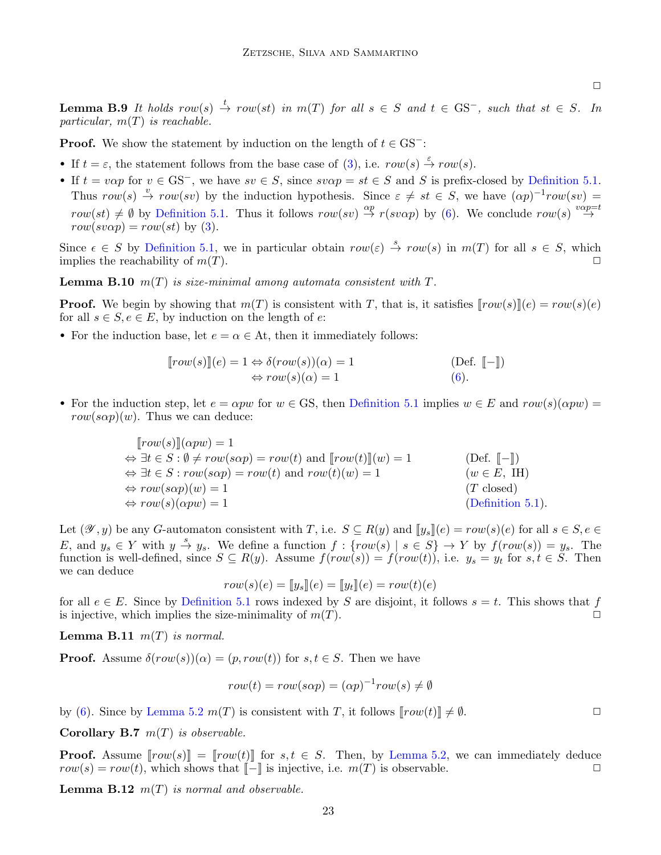$\Box$ 

**Lemma B.9** It holds row(s)  $\stackrel{t}{\rightarrow} row(st)$  in  $m(T)$  for all  $s \in S$  and  $t \in \text{GS}^-$ , such that  $st \in S$ . In particular,  $m(T)$  is reachable.

**Proof.** We show the statement by induction on the length of  $t \in \text{GS}^-$ :

- If  $t = \varepsilon$ , the statement follows from the base case of [\(3\)](#page-7-2), i.e.  $row(s) \stackrel{\varepsilon}{\rightarrow} row(s)$ .
- If  $t = v \alpha p$  for  $v \in \text{GS}^-$ , we have  $sv \in S$ , since  $s v \alpha p = st \in S$  and S is prefix-closed by [Definition 5.1.](#page-10-2) Thus  $row(s) \stackrel{v}{\rightarrow} row(sv)$  by the induction hypothesis. Since  $\varepsilon \neq st \in S$ , we have  $(\alpha p)^{-1}row(sv)$  $row(st) \neq \emptyset$  by [Definition 5.1.](#page-10-2) Thus it follows  $row(sv) \stackrel{\alpha p}{\rightarrow} r(sv\alpha p)$  by [\(6\)](#page-10-3). We conclude  $row(s) \stackrel{v\alpha p=t}{\rightarrow}$  $row(sv\alpha p) = row(st)$  by [\(3\)](#page-7-2).

Since  $\epsilon \in S$  by [Definition 5.1,](#page-10-2) we in particular obtain  $row(\epsilon) \stackrel{s}{\to} row(s)$  in  $m(T)$  for all  $s \in S$ , which implies the reachability of  $m(T)$ .

**Lemma B.10**  $m(T)$  is size-minimal among automata consistent with  $T$ .

**Proof.** We begin by showing that  $m(T)$  is consistent with T, that is, it satisfies  $\lceil row(s) \rceil(e) = row(s)(e)$ for all  $s \in S, e \in E$ , by induction on the length of e:

• For the induction base, let  $e = \alpha \in At$ , then it immediately follows:

$$
[row(s)](e) = 1 \Leftrightarrow \delta(row(s))(\alpha) = 1
$$
 (Def. [-])  

$$
\Leftrightarrow row(s)(\alpha) = 1
$$
 (6).

• For the induction step, let  $e = \alpha p w$  for  $w \in \text{GS}$ , then [Definition 5.1](#page-10-2) implies  $w \in E$  and  $row(s)(\alpha p w) =$  $row(s\alpha p)(w)$ . Thus we can deduce:

$$
[row(s)](\alpha pw) = 1
$$
  
\n
$$
\Leftrightarrow \exists t \in S : \emptyset \neq row(s\alpha p) = row(t) \text{ and } [row(t)](w) = 1
$$
  
\n
$$
\Leftrightarrow \exists t \in S : row(s\alpha p) = row(t) \text{ and } row(t)(w) = 1
$$
  
\n
$$
\Leftrightarrow row(s\alpha p)(w) = 1
$$
  
\n
$$
\Leftrightarrow row(s)(\alpha pw) = 1
$$
  
\n
$$
(T \text{ closed})
$$
  
\n
$$
(Definition 5.1).
$$

Let  $(\mathscr{Y}, y)$  be any G-automaton consistent with T, i.e.  $S \subseteq R(y)$  and  $[[y_s]](e) = row(s)(e)$  for all  $s \in S, e \in$ E, and  $y_s \in Y$  with  $y \stackrel{s}{\to} y_s$ . We define a function  $f : \{row(s) \mid s \in S\} \to Y$  by  $f(row(s)) = y_s$ . The function is well-defined, since  $S \subseteq R(y)$ . Assume  $f(row(s)) = f(row(t))$ , i.e.  $y_s = y_t$  for  $s, t \in S$ . Then we can deduce

$$
row(s)(e) = [y_s](e) = [y_t](e) = row(t)(e)
$$

for all  $e \in E$ . Since by [Definition 5.1](#page-10-2) rows indexed by S are disjoint, it follows  $s = t$ . This shows that f is injective, which implies the size-minimality of  $m(T)$ .

<span id="page-22-0"></span>**Lemma B.11**  $m(T)$  is normal.

**Proof.** Assume  $\delta(row(s))(\alpha) = (p, row(t))$  for  $s, t \in S$ . Then we have

$$
row(t) = row(s\alpha p) = (\alpha p)^{-1} row(s) \neq \emptyset
$$

by [\(6\)](#page-10-3). Since by [Lemma 5.2](#page-11-4)  $m(T)$  is consistent with T, it follows  $\llbracket row(t) \rrbracket \neq \emptyset$ .

<span id="page-22-1"></span>Corollary B.7  $m(T)$  is observable.

**Proof.** Assume  $\lceil row(s) \rceil = \lceil row(t) \rceil$  for  $s, t \in S$ . Then, by [Lemma 5.2,](#page-11-4) we can immediately deduce  $row(s) = row(t)$ , which shows that  $\llbracket - \rrbracket$  is injective, i.e.  $m(T)$  is observable.

**Lemma B.12**  $m(T)$  is normal and observable.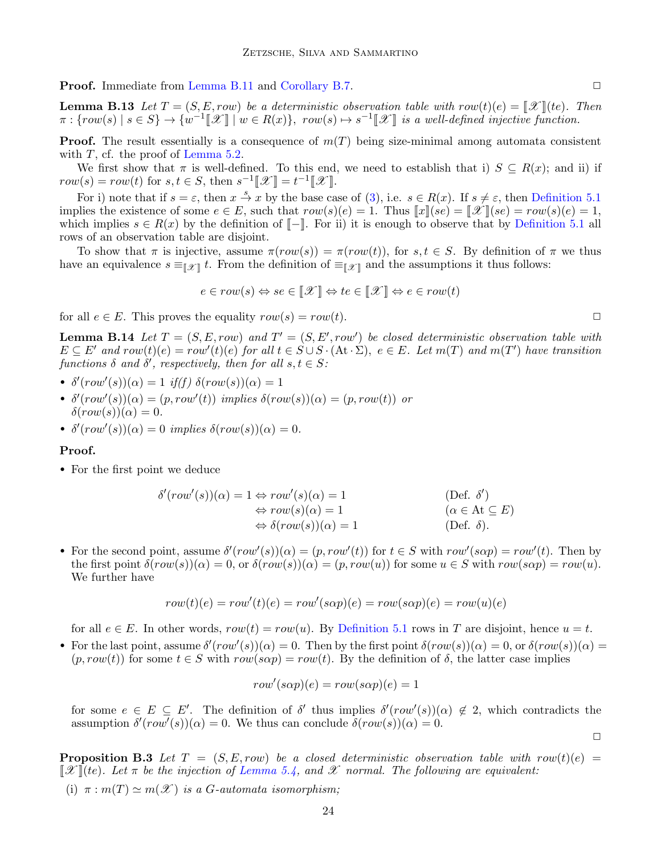**Proof.** Immediate from [Lemma B.11](#page-22-0) and [Corollary B.7.](#page-22-1)

**Lemma B.13** Let  $T = (S, E, row)$  be a deterministic observation table with  $row(t)(e) = \llbracket \mathcal{X} \rrbracket (te)$ . Then  $\pi: \{row(s) \mid s \in S\} \rightarrow \{w^{-1}[\mathscr{X}] \mid w \in R(x)\}, row(s) \mapsto s^{-1}[\mathscr{X}]$  is a well-defined injective function.

**Proof.** The result essentially is a consequence of  $m(T)$  being size-minimal among automata consistent with  $T$ , cf. the proof of [Lemma 5.2.](#page-11-4)

We first show that  $\pi$  is well-defined. To this end, we need to establish that i)  $S \subseteq R(x)$ ; and ii) if  $row(s) = row(t)$  for  $s, t \in S$ , then  $s^{-1}[\mathcal{X}] = t^{-1}[\mathcal{X}].$ 

For i) note that if  $s = \varepsilon$ , then  $x \stackrel{s}{\to} x$  by the base case of [\(3\)](#page-7-2), i.e.  $s \in R(x)$ . If  $s \neq \varepsilon$ , then [Definition 5.1](#page-10-2) implies the existence of some  $e \in E$ , such that  $row(s)(e) = 1$ . Thus  $||x||(se) = ||\mathcal{X}||(se) = row(s)(e) = 1$ , which implies  $s \in R(x)$  by the definition of  $\llbracket - \rrbracket$ . For ii) it is enough to observe that by [Definition 5.1](#page-10-2) all rows of an observation table are disjoint.

To show that  $\pi$  is injective, assume  $\pi(row(s)) = \pi(row(t))$ , for  $s, t \in S$ . By definition of  $\pi$  we thus have an equivalence  $s \equiv_{\llbracket \mathscr{X} \rrbracket} t$ . From the definition of  $\equiv_{\llbracket \mathscr{X} \rrbracket}$  and the assumptions it thus follows:

$$
e \in row(s) \Leftrightarrow se \in \llbracket \mathcal{X} \rrbracket \Leftrightarrow te \in \llbracket \mathcal{X} \rrbracket \Leftrightarrow e \in row(t)
$$

for all  $e \in E$ . This proves the equality  $row(s) = row(t)$ .

<span id="page-23-0"></span>**Lemma B.14** Let  $T = (S, E, row)$  and  $T' = (S, E', row')$  be closed deterministic observation table with  $E \subseteq E'$  and  $row(t)(e) = row'(t)(e)$  for all  $t \in S \cup S \cdot (At \cdot \Sigma)$ ,  $e \in E$ . Let  $m(T)$  and  $m(T')$  have transition functions  $\delta$  and  $\delta'$ , respectively, then for all  $s, t \in S$ :

- $\delta'(row'(s))(\alpha) = 1$  if(f)  $\delta(row(s))(\alpha) = 1$
- $\delta'(row'(s))(\alpha) = (p, row'(t))$  implies  $\delta(row(s))(\alpha) = (p, row(t))$  or  $\delta(row(s))(\alpha) = 0.$
- $\delta'(row'(s))(\alpha) = 0$  implies  $\delta(row(s))(\alpha) = 0$ .

#### Proof.

• For the first point we deduce

$$
\delta'(row'(s))(\alpha) = 1 \Leftrightarrow row'(s)(\alpha) = 1
$$
\n
$$
\Leftrightarrow row(s)(\alpha) = 1
$$
\n
$$
\Leftrightarrow row(s)(\alpha) = 1
$$
\n
$$
(\alpha \in \mathcal{A}t \subseteq E)
$$
\n
$$
\Leftrightarrow \delta(row(s))(\alpha) = 1
$$
\n
$$
(Def. \delta).
$$

• For the second point, assume  $\delta'(row'(s))(\alpha) = (p, row'(t))$  for  $t \in S$  with  $row'(s\alpha p) = row'(t)$ . Then by the first point  $\delta(row(s))(\alpha) = 0$ , or  $\delta(row(s))(\alpha) = (p, row(u))$  for some  $u \in S$  with  $row(s\alpha p) = row(u)$ . We further have

$$
row(t)(e) = row'(t)(e) = row'(s\alpha p)(e) = row(s\alpha p)(e) = row(u)(e)
$$

for all  $e \in E$ . In other words,  $row(t) = row(u)$ . By [Definition 5.1](#page-10-2) rows in T are disjoint, hence  $u = t$ .

• For the last point, assume  $\delta'(row'(s))(\alpha) = 0$ . Then by the first point  $\delta(row(s))(\alpha) = 0$ , or  $\delta(row(s))(\alpha) = 0$  $(p, row(t))$  for some  $t \in S$  with  $row(s\alpha p) = row(t)$ . By the definition of  $\delta$ , the latter case implies

$$
row'(s\alpha p)(e) = row(s\alpha p)(e) = 1
$$

for some  $e \in E \subseteq E'$ . The definition of  $\delta'$  thus implies  $\delta'(row'(s))(\alpha) \notin 2$ , which contradicts the assumption  $\delta'(row'(s))(\alpha) = 0$ . We thus can conclude  $\delta(row(s))(\alpha) = 0$ .

 $\Box$ 

**Proposition B.3** Let  $T = (S, E, row)$  be a closed deterministic observation table with row(t)(e) =  $\mathscr{X}(\mathscr{X})$  (te). Let  $\pi$  be the injection of [Lemma 5.4,](#page-11-2) and  $\mathscr{X}$  normal. The following are equivalent:

(i)  $\pi : m(T) \simeq m(\mathscr{X})$  is a G-automata isomorphism;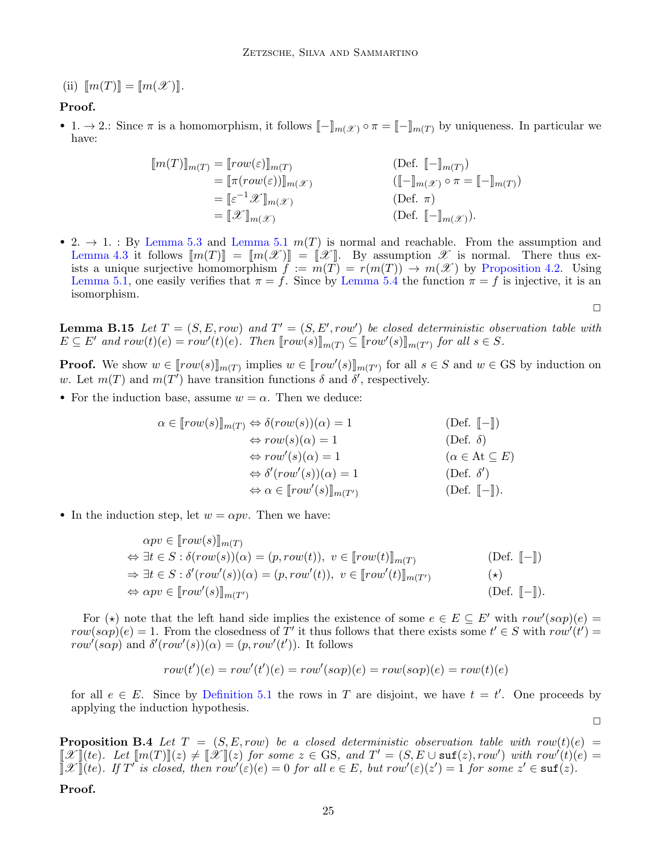(ii)  $\llbracket m(T) \rrbracket = \llbracket m(\mathcal{X}) \rrbracket$ .

# Proof.

• 1.  $\rightarrow$  2.: Since  $\pi$  is a homomorphism, it follows  $\llbracket - \rrbracket_{m(\mathcal{X})} \circ \pi = \llbracket - \rrbracket_{m(T)}$  by uniqueness. In particular we have:

$$
\begin{aligned}\n[m(T)]_{m(T)} &= [row(\varepsilon)]_{m(T)} & \text{(Def. } [-]_{m(T)}) \\
&= [\pi(row(\varepsilon))]_{m(\mathcal{X})} & \text{(Def. } [-]_{m(T)}) \\
&= [\varepsilon^{-1} \mathcal{X}]_{m(\mathcal{X})} & \text{(Def. } \pi) \\
&= [\mathcal{X}]_{m(\mathcal{X})} & \text{(Def. } \pi)\n\end{aligned}
$$

• 2.  $\rightarrow$  1. : By [Lemma 5.3](#page-11-5) and [Lemma 5.1](#page-10-4)  $m(T)$  is normal and reachable. From the assumption and [Lemma 4.3](#page-9-4) it follows  $\llbracket m(T) \rrbracket = \llbracket m(\mathscr{X}) \rrbracket = \llbracket \mathscr{X} \rrbracket$ . By assumption  $\mathscr{X}$  is normal. There thus exists a unique surjective homomorphism  $f := m(\overline{T}) = r(m(T)) \rightarrow m(\mathscr{X})$  by [Proposition 4.2.](#page-9-5) Using [Lemma 5.1,](#page-10-4) one easily verifies that  $\pi = f$ . Since by [Lemma 5.4](#page-11-2) the function  $\pi = f$  is injective, it is an isomorphism.

<span id="page-24-0"></span>**Lemma B.15** Let  $T = (S, E, row)$  and  $T' = (S, E', row')$  be closed deterministic observation table with  $E \subseteq E'$  and  $row(t)(e) = row'(t)(e)$ . Then  $[row(s)]_{m(T)} \subseteq [row'(s)]_{m(T')}$  for all  $s \in S$ .

**Proof.** We show  $w \in [row(s)]_{m(T)}$  implies  $w \in [row'(s)]_{m(T')}$  for all  $s \in S$  and  $w \in GS$  by induction on w. Let  $m(T)$  and  $m(T')$  have transition functions  $\delta$  and  $\delta'$ , respectively.

• For the induction base, assume  $w = \alpha$ . Then we deduce:

$$
\alpha \in [row(s)]_{m(T)} \Leftrightarrow \delta(row(s))(\alpha) = 1
$$
 (Def. [-])  
\n
$$
\Leftrightarrow row(s)(\alpha) = 1
$$
 (Def.  $\delta$ )  
\n
$$
\Leftrightarrow row'(s)(\alpha) = 1
$$
 (Def.  $\delta$ )  
\n
$$
\Leftrightarrow \delta'(row'(s))(\alpha) = 1
$$
 (Def.  $\delta'$ )  
\n
$$
\Leftrightarrow \alpha \in [row'(s)]_{m(T')}
$$
 (Def. [-]).

• In the induction step, let  $w = \alpha pv$ . Then we have:

$$
\alpha pv \in [row(s)]_{m(T)}
$$
\n
$$
\Leftrightarrow \exists t \in S : \delta(row(s))(\alpha) = (p, row(t)), \ v \in [row(t)]_{m(T)} \quad \text{(Def. } [-\text{])}
$$
\n
$$
\Rightarrow \exists t \in S : \delta'(row'(s))(\alpha) = (p, row'(t)), \ v \in [row'(t)]_{m(T')} \quad \text{(*)}
$$
\n
$$
\Leftrightarrow \alpha pv \in [row'(s)]_{m(T')} \quad \text{(Def. } [-\text{]).}
$$

For ( $\star$ ) note that the left hand side implies the existence of some  $e \in E \subseteq E'$  with  $row'(s\alpha p)(e) =$  $row(s\alpha p)(e) = 1$ . From the closedness of T' it thus follows that there exists some  $t' \in S$  with  $row'(t') =$  $row'(s\alpha p)$  and  $\delta'(row'(s))(\alpha) = (p, row'(t'))$ . It follows

$$
row(t')(e) = row'(t')(e) = row'(s\alpha p)(e) = row(s\alpha p)(e) = row(t)(e)
$$

for all  $e \in E$ . Since by [Definition 5.1](#page-10-2) the rows in T are disjoint, we have  $t = t'$ . One proceeds by applying the induction hypothesis.

 $\Box$ 

 $\Box$ 

**Proposition B.4** Let  $T = (S, E, row)$  be a closed deterministic observation table with  $row(t)(e)$  $\llbracket \mathscr{X} \rrbracket$ (te). Let  $\llbracket m(T) \rrbracket(z) \neq \llbracket \mathscr{X} \rrbracket(z)$  for some  $z \in \text{GS}$ , and  $T' = (S, E \cup \text{surf}(z), row')$  with  $row'(t)(e) =$  $\|\mathscr{X}\|$ (te). If  $T'$  is closed, then  $\overline{row}'(\varepsilon)(e) = 0$  for all  $e \in E$ , but  $\overline{row}'(\varepsilon)(z') = 1$  for some  $z' \in \text{suffix}(z)$ .

Proof.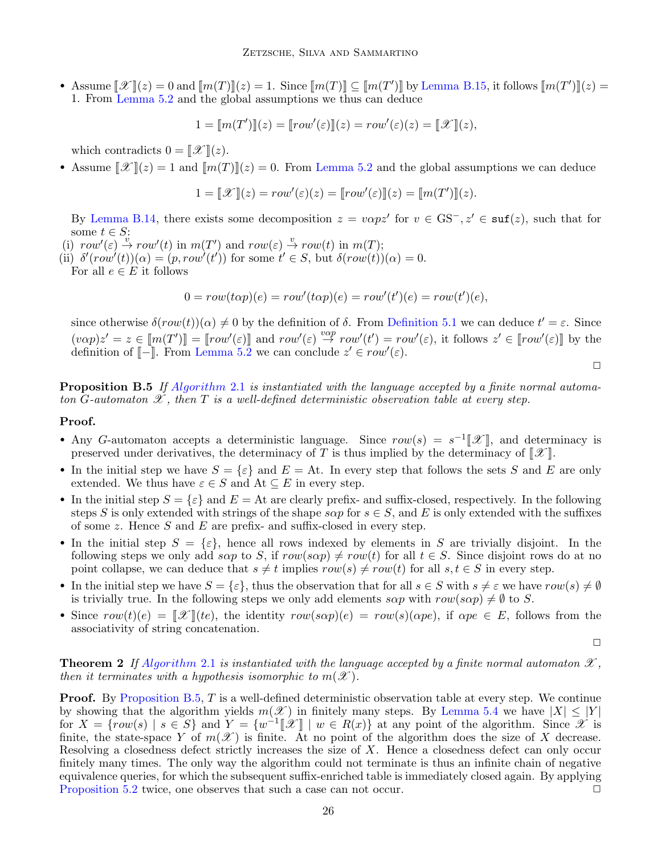• Assume  $\llbracket \mathcal{X} \rrbracket(z) = 0$  and  $\llbracket m(T) \rrbracket(z) = 1$ . Since  $\llbracket m(T) \rrbracket \subseteq \llbracket m(T') \rrbracket$  by [Lemma B.15,](#page-24-0) it follows  $\llbracket m(T') \rrbracket(z) =$ 1. From [Lemma 5.2](#page-11-4) and the global assumptions we thus can deduce

$$
1 = [m(T')]z = [row'(\varepsilon)](z) = row'(\varepsilon)(z) = [\mathcal{X}]](z),
$$

which contradicts  $0 = \llbracket \mathcal{X} \rrbracket(z)$ .

• Assume  $\mathbb{Z}(\mathcal{X}) = 1$  and  $\mathbb{Z}(\mathcal{X})(z) = 0$ . From [Lemma 5.2](#page-11-4) and the global assumptions we can deduce

$$
1 = [\![\mathscr{X}]\!](z) = row'(\varepsilon)(z) = [\![row'(\varepsilon)]\!](z) = [\![m(T')] \!](z).
$$

By [Lemma B.14,](#page-23-0) there exists some decomposition  $z = v \alpha p z'$  for  $v \in \text{GS}^-, z' \in \text{surf}(z)$ , such that for some  $t \in S$ :

(i)  $row'(\varepsilon) \stackrel{v}{\to} row'(t)$  in  $m(T')$  and  $row(\varepsilon) \stackrel{v}{\to} row(t)$  in  $m(T)$ ;

(ii)  $\delta'(row'(t))(\alpha) = (p, row'(t'))$  for some  $t' \in S$ , but  $\delta(row(t))(\alpha) = 0$ .

For all  $e \in E$  it follows

$$
0 = row(t\alpha p)(e) = row'(t\alpha p)(e) = row'(t')(e) = row(t')(e),
$$

since otherwise  $\delta(row(t))(\alpha) \neq 0$  by the definition of  $\delta$ . From [Definition 5.1](#page-10-2) we can deduce  $t' = \varepsilon$ . Since  $(v \alpha p) z' = z \in [m(T')] = [row'(\varepsilon)]$  and  $row'(\varepsilon) \stackrel{v \alpha p}{\rightarrow} row'(t') = row'(\varepsilon)$ , it follows  $z' \in [row'(\varepsilon)]$  by the definition of  $\lbrack - \rbrack$ . From [Lemma 5.2](#page-11-4) we can conclude  $z' \in row'(\varepsilon)$ .

<span id="page-25-0"></span>**Proposition B.5** If [Algorithm](#page-3-0) 2.1 is instantiated with the language accepted by a finite normal automaton G-automaton  $\mathscr X$ , then T is a well-defined deterministic observation table at every step.

#### Proof.

- Any G-automaton accepts a deterministic language. Since  $row(s) = s^{-1}[\mathcal{X}]$ , and determinacy is preserved under derivatives, the determinacy of T is thus implied by the determinacy of  $\llbracket \mathcal{X} \rrbracket$ .
- In the initial step we have  $S = \{\varepsilon\}$  and  $E = At$ . In every step that follows the sets S and E are only extended. We thus have  $\varepsilon \in S$  and  $At \subseteq E$  in every step.
- In the initial step  $S = \{\varepsilon\}$  and  $E = \text{At}$  are clearly prefix- and suffix-closed, respectively. In the following steps S is only extended with strings of the shape  $s \alpha p$  for  $s \in S$ , and E is only extended with the suffixes of some z. Hence  $S$  and  $E$  are prefix- and suffix-closed in every step.
- In the initial step  $S = {\varepsilon}$ , hence all rows indexed by elements in S are trivially disjoint. In the following steps we only add sap to S, if  $row(s\alpha p) \neq row(t)$  for all  $t \in S$ . Since disjoint rows do at no point collapse, we can deduce that  $s \neq t$  implies  $row(s) \neq row(t)$  for all  $s, t \in S$  in every step.
- In the initial step we have  $S = {\varepsilon}$ , thus the observation that for all  $s \in S$  with  $s \neq \varepsilon$  we have  $row(s) \neq \emptyset$ is trivially true. In the following steps we only add elements  $s\alpha p$  with  $row(s\alpha p) \neq \emptyset$  to S.
- Since  $row(t)(e) = \llbracket \mathcal{X} \rrbracket (te)$ , the identity  $row(s\alpha p)(e) = row(s)(\alpha p e)$ , if  $\alpha pe \in E$ , follows from the associativity of string concatenation.

 $\Box$ 

 $\Box$ 

**Theorem 2** If [Algorithm](#page-3-0) 2.1 is instantiated with the language accepted by a finite normal automaton  $\mathscr{X}$ , then it terminates with a hypothesis isomorphic to  $m(\mathscr{X})$ .

**Proof.** By [Proposition B.5,](#page-25-0) T is a well-defined deterministic observation table at every step. We continue by showing that the algorithm yields  $m(\mathscr{X})$  in finitely many steps. By [Lemma 5.4](#page-11-2) we have  $|X| \leq |Y|$ for  $X = \{\text{row}(s) \mid s \in S\}$  and  $Y = \{w^{-1}[\mathcal{X}] \mid w \in R(x)\}$  at any point of the algorithm. Since  $\mathcal{X}$  is finite, the state-space Y of  $m(\mathscr{X})$  is finite. At no point of the algorithm does the size of X decrease. Resolving a closedness defect strictly increases the size of  $X$ . Hence a closedness defect can only occur finitely many times. The only way the algorithm could not terminate is thus an infinite chain of negative equivalence queries, for which the subsequent suffix-enriched table is immediately closed again. By applying [Proposition 5.2](#page-11-3) twice, one observes that such a case can not occur.  $\Box$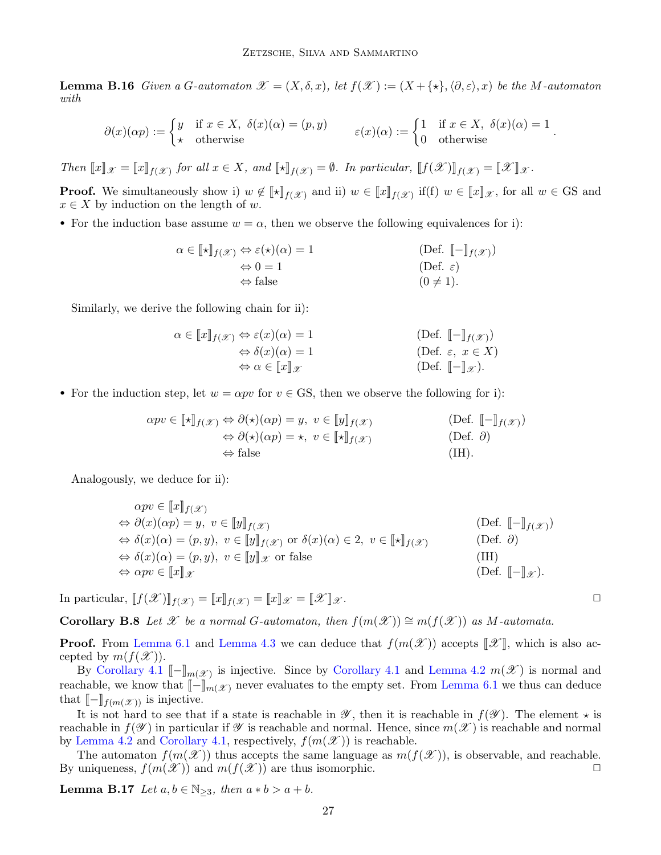**Lemma B.16** Given a G-automaton  $\mathscr{X} = (X, \delta, x)$ , let  $f(\mathscr{X}) := (X + \{\star\}, \langle \partial, \varepsilon \rangle, x)$  be the M-automaton with

$$
\partial(x)(\alpha p) := \begin{cases} y & \text{if } x \in X, \ \delta(x)(\alpha) = (p, y) \\ \star & \text{otherwise} \end{cases} \qquad \varepsilon(x)(\alpha) := \begin{cases} 1 & \text{if } x \in X, \ \delta(x)(\alpha) = 1 \\ 0 & \text{otherwise} \end{cases}.
$$

Then  $\llbracket x \rrbracket_{\mathcal{X}} = \llbracket x \rrbracket_{f(\mathcal{X})}$  for all  $x \in X$ , and  $\llbracket \star \rrbracket_{f(\mathcal{X})} = \emptyset$ . In particular,  $\llbracket f(\mathcal{X}) \rrbracket_{f(\mathcal{X})} = \llbracket \mathcal{X} \rrbracket_{\mathcal{X}}$ .

**Proof.** We simultaneously show i)  $w \notin [\mathbb{t}]_{f(\mathcal{X})}$  and ii)  $w \in [\![x]\!]_{f(\mathcal{X})}$  if(f)  $w \in [\![x]\!]_{\mathcal{X}}$ , for all  $w \in GS$  and  $x \in X$  by induction on the length of w.

• For the induction base assume  $w = \alpha$ , then we observe the following equivalences for i):

$$
\alpha \in [\![ \star ]\!]_{f(\mathscr{X})} \Leftrightarrow \varepsilon(\star)(\alpha) = 1
$$
\n
$$
\Leftrightarrow 0 = 1
$$
\n
$$
\Leftrightarrow \text{false}
$$
\n
$$
(Def. [\![ - ]\!]_{f(\mathscr{X})})
$$
\n
$$
(Def. \varepsilon)
$$
\n
$$
(0 \neq 1).
$$

Similarly, we derive the following chain for ii):

$$
\alpha \in [\![x]\!]_{f(\mathscr{X})} \Leftrightarrow \varepsilon(x)(\alpha) = 1
$$
\n
$$
\Leftrightarrow \delta(x)(\alpha) = 1
$$
\n
$$
\Leftrightarrow \alpha \in [\![x]\!]_{\mathscr{X}}
$$
\n
$$
(Def. \varepsilon, x \in X)
$$
\n
$$
(Def. \lceil -\!]_{\mathscr{X}}).
$$

• For the induction step, let  $w = \alpha pv$  for  $v \in \mathbb{G}S$ , then we observe the following for i):

$$
\alpha pv \in [\![\star]\!]_{f(\mathscr{X})} \Leftrightarrow \partial(\star)(\alpha p) = y, \ v \in [\![y]\!]_{f(\mathscr{X})} \tag{Def. } [\![-]\!]_{f(\mathscr{X})}
$$
  
\n
$$
\Leftrightarrow \partial(\star)(\alpha p) = \star, \ v \in [\![\star]\!]_{f(\mathscr{X})} \tag{Def. } \partial)
$$
  
\n
$$
\Leftrightarrow \text{false} \tag{IH}.
$$

Analogously, we deduce for ii):

$$
\alpha pv \in [\![x]\!]_{f(\mathscr{X})} \n\Leftrightarrow \partial(x)(\alpha p) = y, \ v \in [\![y]\!]_{f(\mathscr{X})} \n\Leftrightarrow \delta(x)(\alpha) = (p, y), \ v \in [\![y]\!]_{f(\mathscr{X})} \text{ or } \delta(x)(\alpha) \in 2, \ v \in [\![\star]\!]_{f(\mathscr{X})} \n\Leftrightarrow \delta(x)(\alpha) = (p, y), \ v \in [\![y]\!]_{\mathscr{X}} \text{ or false} \n\Leftrightarrow \alpha pv \in [\![x]\!]_{\mathscr{X}} \n(\text{Def. } [\![-]\!]_{\mathscr{X}}).
$$

In particular,  $[[f(\mathcal{X})]]_{f(\mathcal{X})} = [[x]]_{f(\mathcal{X})} = [[x]]_{\mathcal{X}} = [[\mathcal{X}]]_{\mathcal{X}}$ .

**Corollary B.8** Let X be a normal G-automaton, then  $f(m(\mathcal{X})) \cong m(f(\mathcal{X}))$  as M-automata.

**Proof.** From [Lemma 6.1](#page-12-0) and [Lemma 4.3](#page-9-4) we can deduce that  $f(m(\mathcal{X}))$  accepts  $\mathcal{X}$ , which is also accepted by  $m(f(\mathcal{X}))$ .

By [Corollary 4.1](#page-9-7)  $[-]_{m(\mathscr{X})}$  is injective. Since by Corollary 4.1 and [Lemma 4.2](#page-8-3)  $m(\mathscr{X})$  is normal and reachable, we know that  $\llbracket - \rrbracket_{m(\mathscr{X})}$  never evaluates to the empty set. From [Lemma 6.1](#page-12-0) we thus can deduce that  $\llbracket - \rrbracket_{f(m(\mathscr{X}))}$  is injective.

It is not hard to see that if a state is reachable in  $\mathscr Y$ , then it is reachable in  $f(\mathscr Y)$ . The element  $\star$  is reachable in  $f(\mathscr{Y})$  in particular if  $\mathscr{Y}$  is reachable and normal. Hence, since  $m(\mathscr{X})$  is reachable and normal by [Lemma 4.2](#page-8-3) and [Corollary 4.1,](#page-9-7) respectively,  $f(m(\mathscr{X}))$  is reachable.

The automaton  $f(m(\mathscr{X}))$  thus accepts the same language as  $m(f(\mathscr{X}))$ , is observable, and reachable. By uniqueness,  $f(m(\mathcal{X}))$  and  $m(f(\mathcal{X}))$  are thus isomorphic.

**Lemma B.17** Let  $a, b \in \mathbb{N}_{\geq 3}$ , then  $a * b > a + b$ .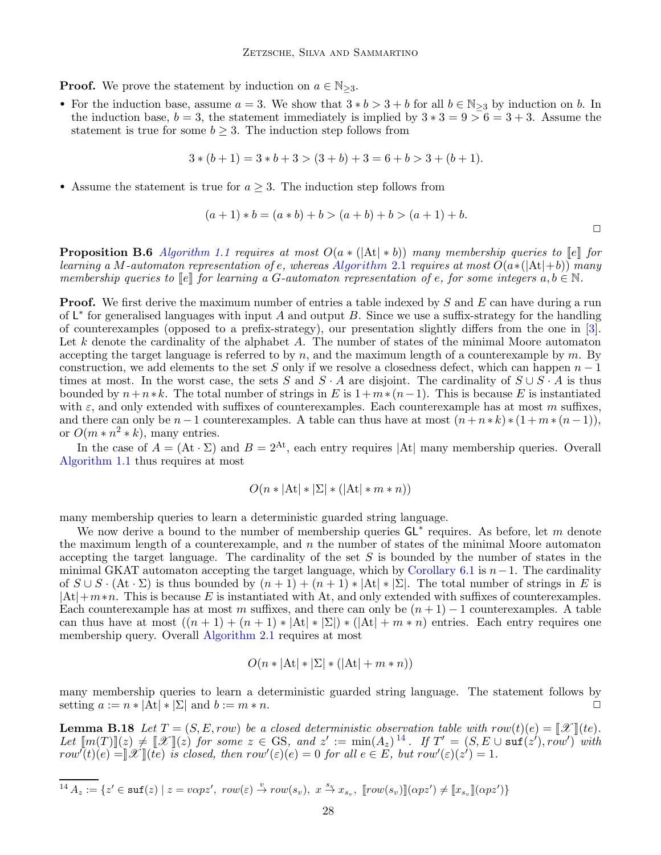**Proof.** We prove the statement by induction on  $a \in \mathbb{N}_{\geq 3}$ .

• For the induction base, assume  $a = 3$ . We show that  $3 * b > 3 + b$  for all  $b \in \mathbb{N}_{\geq 3}$  by induction on b. In the induction base,  $b = 3$ , the statement immediately is implied by  $3 * 3 = 9 > 6 = 3 + 3$ . Assume the statement is true for some  $b \geq 3$ . The induction step follows from

$$
3*(b+1) = 3*b+3 > (3+b) + 3 = 6+b > 3+(b+1).
$$

• Assume the statement is true for  $a \geq 3$ . The induction step follows from

$$
(a+1)*b = (a*b) + b > (a+b) + b > (a+1) + b.
$$

 $\Box$ 

**Proposition B.6** [Algorithm 1.1](#page-1-1) requires at most  $O(a * (|At| * b))$  many membership queries to  $[e]$  for learning a M-automaton representation of e, whereas [Algorithm](#page-3-0) 2.1 requires at most  $O(a*(|At|+b))$  many membership queries to  $\llbracket e \rrbracket$  for learning a G-automaton representation of e, for some integers  $a, b \in \mathbb{N}$ .

**Proof.** We first derive the maximum number of entries a table indexed by S and E can have during a run of  $\mathsf{L}^*$  for generalised languages with input A and output B. Since we use a suffix-strategy for the handling of counterexamples (opposed to a prefix-strategy), our presentation slightly differs from the one in [\[3\]](#page-15-2). Let  $k$  denote the cardinality of the alphabet  $A$ . The number of states of the minimal Moore automaton accepting the target language is referred to by  $n$ , and the maximum length of a counterexample by  $m$ . By construction, we add elements to the set S only if we resolve a closedness defect, which can happen  $n-1$ times at most. In the worst case, the sets S and  $S \cdot A$  are disjoint. The cardinality of  $S \cup S \cdot A$  is thus bounded by  $n+n*k$ . The total number of strings in E is  $1+m*(n-1)$ . This is because E is instantiated with  $\varepsilon$ , and only extended with suffixes of counterexamples. Each counterexample has at most m suffixes, and there can only be  $n-1$  counterexamples. A table can thus have at most  $(n+n*k)*(1+m*(n-1)),$ or  $O(m*n^2*k)$ , many entries.

In the case of  $A = (At \cdot \Sigma)$  and  $B = 2^{At}$ , each entry requires |At| many membership queries. Overall [Algorithm 1.1](#page-1-1) thus requires at most

$$
O(n * |At| * |\Sigma| * (|At| * m * n))
$$

many membership queries to learn a deterministic guarded string language.

We now derive a bound to the number of membership queries  $GL^*$  requires. As before, let m denote the maximum length of a counterexample, and  $n$  the number of states of the minimal Moore automaton accepting the target language. The cardinality of the set  $S$  is bounded by the number of states in the minimal GKAT automaton accepting the target language, which by [Corollary 6.1](#page-12-1) is  $n-1$ . The cardinality of  $S \cup S \cdot (At \cdot \Sigma)$  is thus bounded by  $(n+1) + (n+1) * |At| * |\Sigma|$ . The total number of strings in E is  $|At|+m*n$ . This is because E is instantiated with At, and only extended with suffixes of counterexamples. Each counterexample has at most m suffixes, and there can only be  $(n + 1) - 1$  counterexamples. A table can thus have at most  $((n + 1) + (n + 1) * |At| * |\Sigma|) * (|At| + m * n)$  entries. Each entry requires one membership query. Overall [Algorithm 2.1](#page-3-0) requires at most

$$
O(n * |At| * |\Sigma| * (|At| + m * n))
$$

many membership queries to learn a deterministic guarded string language. The statement follows by setting  $a := n * |A_t| * |\Sigma|$  and  $b := m * n$ .

**Lemma B.18** Let  $T = (S, E, row)$  be a closed deterministic observation table with  $row(t)(e) = \llbracket \mathcal{X} \rrbracket (te)$ . Let  $\llbracket m(T) \rrbracket(z) \neq \llbracket \mathcal{X} \rrbracket(z)$  for some  $z \in \text{GS}$ , and  $z' := \min(A_z)^{14}$  $z' := \min(A_z)^{14}$  $z' := \min(A_z)^{14}$ . If  $T' = (S, E \cup \text{snf}(z'), row')$  with  $row^{\dagger}(t)(e) = \llbracket \mathscr{X} \rrbracket$ (te) is closed, then  $row^{\prime}(\varepsilon)(e) = 0$  for all  $e \in E$ , but  $row^{\prime}(\varepsilon)(z^{\prime}) = 1$ .

<span id="page-27-0"></span>
$$
\overline{^{14}\,A_z:=}\left\{z'\in \texttt{suf}(z)\mid z=v\alpha pz',\;row(\varepsilon)\stackrel{v}{\rightarrow}row(s_v),\;x\stackrel{s_v}{\rightarrow}x_{s_v},\;\llbracket row(s_v)\rrbracket(\alpha pz')\neq \llbracket x_{s_v}\rrbracket(\alpha pz')\right\}
$$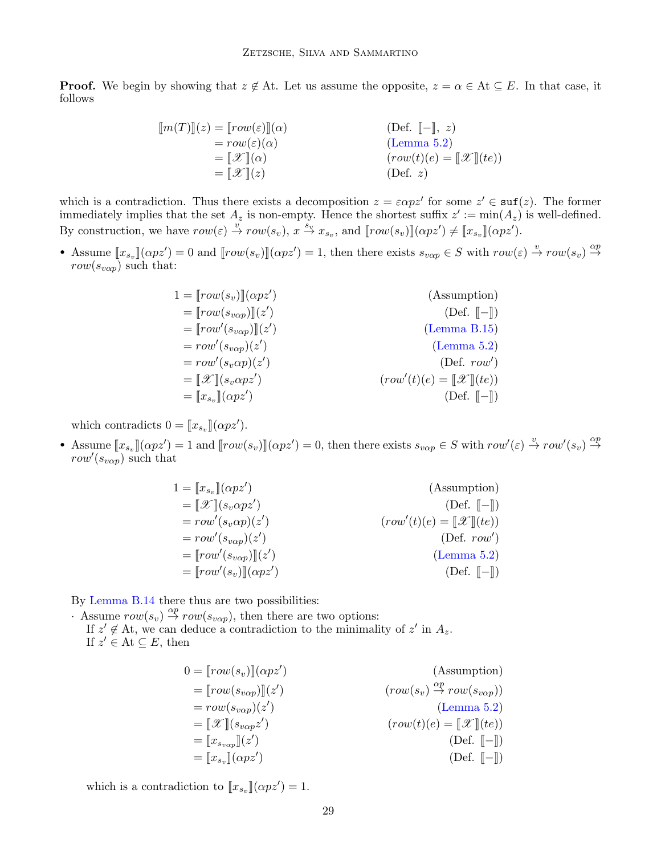**Proof.** We begin by showing that  $z \notin A$ t. Let us assume the opposite,  $z = \alpha \in A$ t  $\subseteq E$ . In that case, it follows

$$
\begin{aligned}\n[m(T)](z) &= [row(\varepsilon)](\alpha) & \text{(Def. } [-], z) \\
&= row(\varepsilon)(\alpha) & \text{(Lemma 5.2)} \\
&= [\mathcal{X}](\alpha) & \text{(rounde)} = [\mathcal{X}](te)) \\
&= [\mathcal{X}](z) & \text{(Def. } z)\n\end{aligned}
$$

which is a contradiction. Thus there exists a decomposition  $z = \varepsilon \alpha p z'$  for some  $z' \in \text{st}(z)$ . The former immediately implies that the set  $A_z$  is non-empty. Hence the shortest suffix  $z' := min(A_z)$  is well-defined. By construction, we have  $row(\varepsilon) \stackrel{v}{\to} row(s_v)$ ,  $x \stackrel{s_v}{\to} x_{s_v}$ , and  $[row(s_v)][\alpha pz') \neq [x_{s_v}](\alpha pz')$ .

• Assume  $[x_{s_v}](\alpha pz') = 0$  and  $[row(s_v)](\alpha pz') = 1$ , then there exists  $s_{v\alpha p} \in S$  with  $row(\varepsilon) \stackrel{v}{\rightarrow} row(s_v) \stackrel{\alpha p}{\rightarrow}$  $row(s_{v\alpha p})$  such that:

| $1 = [row(s_v)][(\alpha pz')]$                        | (Assumption)                                          |
|-------------------------------------------------------|-------------------------------------------------------|
| $= [row(s_{v\alpha p})](z')$                          | $(\text{Def. } \llbracket - \rrbracket)$              |
| $= [row'(s_{v\alpha p})](z')$                         | (Lemma B.15)                                          |
| $= row'(s_{v\alpha p})(z')$                           | (Lemma 5.2)                                           |
| $= row'(s_v \alpha p)(z')$                            | (Def. $row'$ )                                        |
| $=\llbracket \mathcal{X} \rrbracket(s_v \alpha p z')$ | $(row'(t)(e) = \llbracket \mathcal{X} \rrbracket(te)$ |
| $=\llbracket x_{s_n} \rrbracket (\alpha p z')$        | $(\text{Def. } \llbracket - \rrbracket)$              |

which contradicts  $0 = [x_{s_v}](\alpha p z')$ .

• Assume  $[x_{s_v}](\alpha pz') = 1$  and  $[[row(s_v)][(\alpha pz') = 0]$ , then there exists  $s_{v\alpha p} \in S$  with  $row'(\varepsilon) \stackrel{v}{\rightarrow} row'(s_v) \stackrel{\alpha p}{\rightarrow}$  $row'(s_{v\alpha p})$  such that

$$
1 = [x_{s_v}](\alpha p z')
$$
 (Assumption)  
\n
$$
= [\mathcal{X}](s_v \alpha p z')
$$
 (Definition)  
\n
$$
= row'(s_v \alpha p)(z')
$$
 (Def. [-])  
\n
$$
= row'(s_{v\alpha p})(z')
$$
 (Def. row')  
\n
$$
= [row'(s_{v\alpha p})](z')
$$
 (Lemma 5.2)  
\n
$$
= [row'(s_v)][(\alpha pz')
$$
 (Def. [-])

By [Lemma B.14](#page-23-0) there thus are two possibilities:

Assume  $row(s_v) \stackrel{\alpha p}{\rightarrow} row(s_{v \alpha p})$ , then there are two options: If  $z' \notin$  At, we can deduce a contradiction to the minimality of  $z'$  in  $A_z$ . If  $z' \in At \subseteq E$ , then

$$
0 = [row(s_v)](\alpha pz')
$$
 (Assumption)  
\n
$$
= [row(s_{v\alpha p})](z')
$$
 ( $row(s_v) \stackrel{\alpha p}{\rightarrow} row(s_{v\alpha p}))$   
\n
$$
= row(s_{v\alpha p})(z')
$$
 (Lemma 5.2)  
\n
$$
= [\mathcal{X}](s_{v\alpha p}z')
$$
 ( $row(t)(e) = [\mathcal{X}](te)$ )  
\n
$$
= [x_{s_v}](\alpha pz')
$$
 (Def. [-])  
\n $(Def. [-])$ 

which is a contradiction to  $[\![x_{s_v}]\!](\alpha p z') = 1.$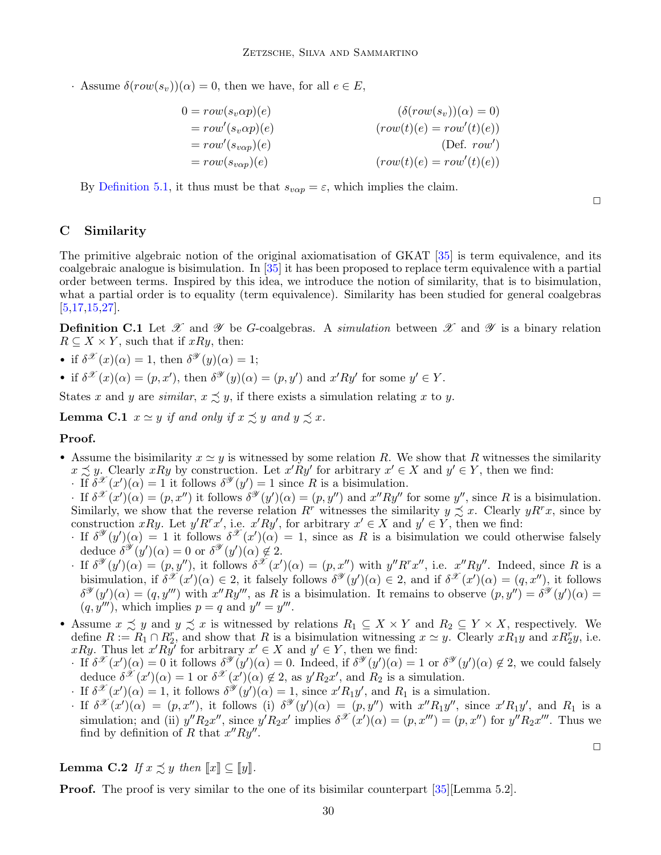· Assume  $\delta(row(s_v))(\alpha) = 0$ , then we have, for all  $e \in E$ ,

$$
0 = row(s_v \alpha p)(e)
$$
  
\n
$$
= row'(s_v \alpha p)(e)
$$
  
\n
$$
= row'(s_{v\alpha p})(e)
$$
  
\n
$$
= row(s_{v\alpha p})(e)
$$
  
\n
$$
= row(s_{v\alpha p})(e)
$$
  
\n
$$
(row(t)(e) = row'(t)(e))
$$
  
\n
$$
(row(t)(e) = row'(t)(e))
$$

By [Definition 5.1,](#page-10-2) it thus must be that  $s_{v\alpha p} = \varepsilon$ , which implies the claim.

### <span id="page-29-0"></span>C Similarity

The primitive algebraic notion of the original axiomatisation of GKAT [\[35\]](#page-16-2) is term equivalence, and its coalgebraic analogue is bisimulation. In [\[35\]](#page-16-2) it has been proposed to replace term equivalence with a partial order between terms. Inspired by this idea, we introduce the notion of similarity, that is to bisimulation, what a partial order is to equality (term equivalence). Similarity has been studied for general coalgebras  $[5,17,15,27]$  $[5,17,15,27]$  $[5,17,15,27]$  $[5,17,15,27]$ .

**Definition C.1** Let X and V be G-coalgebras. A simulation between X and V is a binary relation  $R \subseteq X \times Y$ , such that if  $xRy$ , then:

- if  $\delta^{\mathscr{X}}(x)(\alpha) = 1$ , then  $\delta^{\mathscr{Y}}(y)(\alpha) = 1$ ;
- if  $\delta^{\mathscr{X}}(x)(\alpha) = (p, x'),$  then  $\delta^{\mathscr{Y}}(y)(\alpha) = (p, y')$  and  $x'Ry'$  for some  $y' \in Y$ .

States x and y are *similar*,  $x \precsim y$ , if there exists a simulation relating x to y.

**Lemma C.1**  $x \simeq y$  if and only if  $x \preceq y$  and  $y \preceq x$ .

### Proof.

- Assume the bisimilarity  $x \simeq y$  is witnessed by some relation R. We show that R witnesses the similarity  $x \precsim y$ . Clearly  $xRy$  by construction. Let  $x'Ry'$  for arbitrary  $x' \in X$  and  $y' \in Y$ , then we find:
	- $\cdot$  If  $\delta^{\mathscr{X}}(x')(\alpha) = 1$  it follows  $\delta^{\mathscr{Y}}(y') = 1$  since R is a bisimulation.
	- · If  $\delta^{\mathscr{X}}(x')(\alpha) = (p, x'')$  it follows  $\delta^{\mathscr{Y}}(y')(\alpha) = (p, y'')$  and  $x''Ry''$  for some y'', since R is a bisimulation. Similarly, we show that the reverse relation R<sup>r</sup> witnesses the similarity  $y \precsim x$ . Clearly  $yR^r x$ , since by construction xRy. Let  $y'R^r x'$ , i.e.  $x'Ry'$ , for arbitrary  $x' \in X$  and  $y' \in Y$ , then we find:
	- If  $\delta^{\mathscr{Y}}(y')(\alpha) = 1$  it follows  $\delta^{\mathscr{X}}(x')(\alpha) = 1$ , since as R is a bisimulation we could otherwise falsely deduce  $\delta^{\mathscr{Y}}(y')(\alpha) = 0$  or  $\delta^{\mathscr{Y}}(y')(\alpha) \notin 2$ .
	- $\cdot$  If  $\delta^{\mathscr{Y}}(y')(\alpha) = (p, y'')$ , it follows  $\delta^{\mathscr{X}}(x')(\alpha) = (p, x'')$  with  $y'' R^r x''$ , i.e.  $x'' R y''$ . Indeed, since R is a bisimulation, if  $\delta^{\mathscr{X}}(x')(\alpha) \in 2$ , it falsely follows  $\delta^{\mathscr{Y}}(y')(\alpha) \in 2$ , and if  $\delta^{\mathscr{X}}(x')(\alpha) = (q, x'')$ , it follows  $\delta^{\mathscr{Y}}(y')(\alpha) = (q, y''')$  with  $x''Ry'''$ , as R is a bisimulation. It remains to observe  $(p, y'') = \delta^{\mathscr{Y}}(y')(\alpha) =$  $(q, y^{\prime\prime\prime})$ , which implies  $p = q$  and  $y^{\prime\prime} = y^{\prime\prime\prime}$ .
- Assume  $x \precsim y$  and  $y \precsim x$  is witnessed by relations  $R_1 \subseteq X \times Y$  and  $R_2 \subseteq Y \times X$ , respectively. We define  $R := R_1 \cap R_2^r$ , and show that R is a bisimulation witnessing  $x \simeq y$ . Clearly  $xR_1y$  and  $xR_2^r y$ , i.e. xRy. Thus let  $x'Ry'$  for arbitrary  $x' \in X$  and  $y' \in Y$ , then we find:
	- $\int$  If  $\delta^{\mathscr{X}}(x')(\alpha) = 0$  it follows  $\delta^{\mathscr{Y}}(y')(\alpha) = 0$ . Indeed, if  $\delta^{\mathscr{Y}}(y')(\alpha) = 1$  or  $\delta^{\mathscr{Y}}(y')(\alpha) \notin 2$ , we could falsely deduce  $\delta^{\mathscr{X}}(x')(\alpha) = 1$  or  $\delta^{\mathscr{X}}(x')(\alpha) \notin 2$ , as  $y'R_2x'$ , and  $R_2$  is a simulation.
	- If  $\delta^{\mathscr{X}}(x')(\alpha) = 1$ , it follows  $\delta^{\mathscr{Y}}(y')(\alpha) = 1$ , since  $x'R_1y'$ , and  $R_1$  is a simulation.
	- · If  $\delta^{\mathscr{X}}(x')(\alpha) = (p, x'')$ , it follows (i)  $\delta^{\mathscr{Y}}(y')(\alpha) = (p, y'')$  with  $x''R_1y''$ , since  $x'R_1y'$ , and  $R_1$  is a simulation; and (ii)  $y''R_2x''$ , since  $y'R_2x'$  implies  $\delta^{\mathscr{X}}(x')(\alpha) = (p, x'') = (p, x'')$  for  $y''R_2x'''$ . Thus we find by definition of R that  $x''Ry''$ .

# <span id="page-29-1"></span>**Lemma C.2** If  $x \precsim y$  then  $\llbracket x \rrbracket \subseteq \llbracket y \rrbracket$ .

**Proof.** The proof is very similar to the one of its bisimilar counterpart [\[35\]](#page-16-2)[Lemma 5.2].

 $\Box$ 

 $\Box$